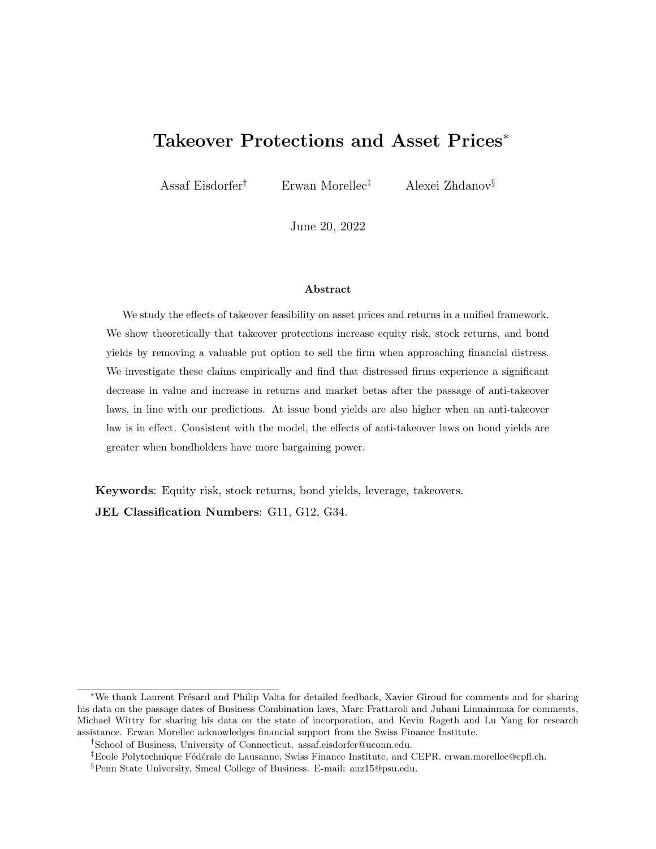# Takeover Protections and Asset Prices<sup>∗</sup>

Assaf Eisdorfer† Erwan Morellec‡ Alexei Zhdanov§

June 20, 2022

#### Abstract

We study the effects of takeover feasibility on asset prices and returns in a unified framework. We show theoretically that takeover protections increase equity risk, stock returns, and bond yields by removing a valuable put option to sell the firm when approaching financial distress. We investigate these claims empirically and find that distressed firms experience a significant decrease in value and increase in returns and market betas after the passage of anti-takeover laws, in line with our predictions. At issue bond yields are also higher when an anti-takeover law is in effect. Consistent with the model, the effects of anti-takeover laws on bond yields are greater when bondholders have more bargaining power.

Keywords: Equity risk, stock returns, bond yields, leverage, takeovers. JEL Classification Numbers: G11, G12, G34.

<sup>∗</sup>We thank Laurent Fr´esard and Philip Valta for detailed feedback, Xavier Giroud for comments and for sharing his data on the passage dates of Business Combination laws, Marc Frattaroli and Juhani Linnainmaa for comments, Michael Wittry for sharing his data on the state of incorporation, and Kevin Rageth and Lu Yang for research assistance. Erwan Morellec acknowledges financial support from the Swiss Finance Institute.

<sup>†</sup>School of Business, University of Connecticut. assaf.eisdorfer@uconn.edu.

 ${}^{\ddagger}$ Ecole Polytechnique Fédérale de Lausanne, Swiss Finance Institute, and CEPR. erwan.morellec@epfl.ch.

<sup>§</sup>Penn State University, Smeal College of Business. E-mail: auz15@psu.edu.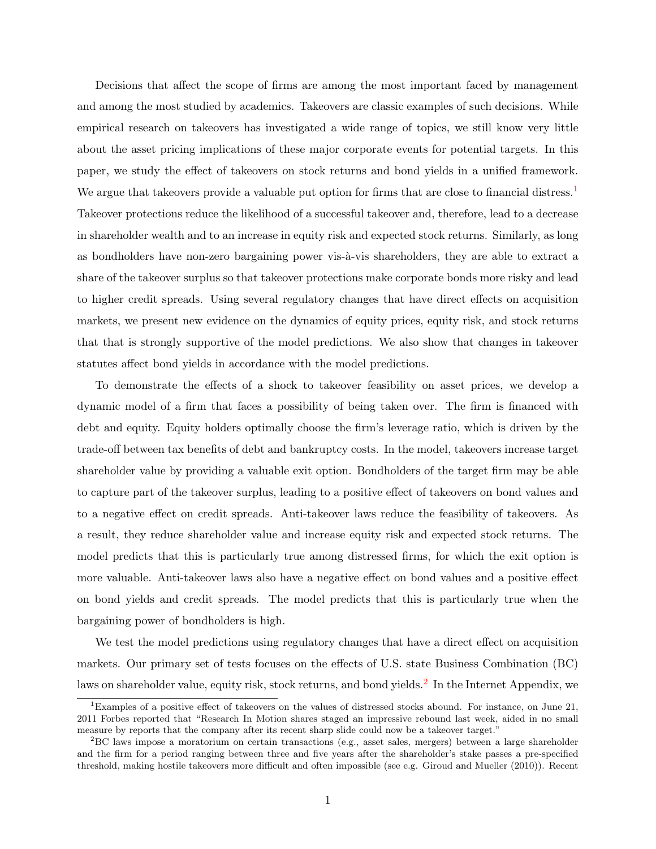Decisions that affect the scope of firms are among the most important faced by management and among the most studied by academics. Takeovers are classic examples of such decisions. While empirical research on takeovers has investigated a wide range of topics, we still know very little about the asset pricing implications of these major corporate events for potential targets. In this paper, we study the effect of takeovers on stock returns and bond yields in a unified framework. We argue that takeovers provide a valuable put option for firms that are close to financial distress.<sup>[1](#page-1-0)</sup> Takeover protections reduce the likelihood of a successful takeover and, therefore, lead to a decrease in shareholder wealth and to an increase in equity risk and expected stock returns. Similarly, as long as bondholders have non-zero bargaining power vis- $\lambda$ -vis shareholders, they are able to extract a share of the takeover surplus so that takeover protections make corporate bonds more risky and lead to higher credit spreads. Using several regulatory changes that have direct effects on acquisition markets, we present new evidence on the dynamics of equity prices, equity risk, and stock returns that that is strongly supportive of the model predictions. We also show that changes in takeover statutes affect bond yields in accordance with the model predictions.

To demonstrate the effects of a shock to takeover feasibility on asset prices, we develop a dynamic model of a firm that faces a possibility of being taken over. The firm is financed with debt and equity. Equity holders optimally choose the firm's leverage ratio, which is driven by the trade-off between tax benefits of debt and bankruptcy costs. In the model, takeovers increase target shareholder value by providing a valuable exit option. Bondholders of the target firm may be able to capture part of the takeover surplus, leading to a positive effect of takeovers on bond values and to a negative effect on credit spreads. Anti-takeover laws reduce the feasibility of takeovers. As a result, they reduce shareholder value and increase equity risk and expected stock returns. The model predicts that this is particularly true among distressed firms, for which the exit option is more valuable. Anti-takeover laws also have a negative effect on bond values and a positive effect on bond yields and credit spreads. The model predicts that this is particularly true when the bargaining power of bondholders is high.

We test the model predictions using regulatory changes that have a direct effect on acquisition markets. Our primary set of tests focuses on the effects of U.S. state Business Combination (BC) laws on shareholder value, equity risk, stock returns, and bond yields.<sup>[2](#page-1-1)</sup> In the Internet Appendix, we

<span id="page-1-0"></span><sup>1</sup>Examples of a positive effect of takeovers on the values of distressed stocks abound. For instance, on June 21, 2011 Forbes reported that "Research In Motion shares staged an impressive rebound last week, aided in no small measure by reports that the company after its recent sharp slide could now be a takeover target."

<span id="page-1-1"></span><sup>2</sup>BC laws impose a moratorium on certain transactions (e.g., asset sales, mergers) between a large shareholder and the firm for a period ranging between three and five years after the shareholder's stake passes a pre-specified threshold, making hostile takeovers more difficult and often impossible (see e.g. Giroud and Mueller (2010)). Recent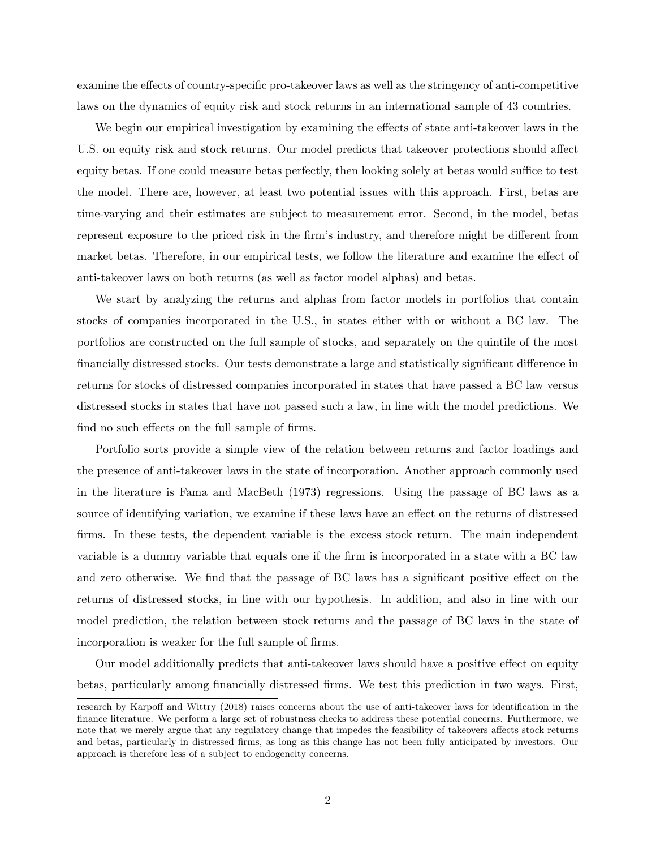examine the effects of country-specific pro-takeover laws as well as the stringency of anti-competitive laws on the dynamics of equity risk and stock returns in an international sample of 43 countries.

We begin our empirical investigation by examining the effects of state anti-takeover laws in the U.S. on equity risk and stock returns. Our model predicts that takeover protections should affect equity betas. If one could measure betas perfectly, then looking solely at betas would suffice to test the model. There are, however, at least two potential issues with this approach. First, betas are time-varying and their estimates are subject to measurement error. Second, in the model, betas represent exposure to the priced risk in the firm's industry, and therefore might be different from market betas. Therefore, in our empirical tests, we follow the literature and examine the effect of anti-takeover laws on both returns (as well as factor model alphas) and betas.

We start by analyzing the returns and alphas from factor models in portfolios that contain stocks of companies incorporated in the U.S., in states either with or without a BC law. The portfolios are constructed on the full sample of stocks, and separately on the quintile of the most financially distressed stocks. Our tests demonstrate a large and statistically significant difference in returns for stocks of distressed companies incorporated in states that have passed a BC law versus distressed stocks in states that have not passed such a law, in line with the model predictions. We find no such effects on the full sample of firms.

Portfolio sorts provide a simple view of the relation between returns and factor loadings and the presence of anti-takeover laws in the state of incorporation. Another approach commonly used in the literature is Fama and MacBeth (1973) regressions. Using the passage of BC laws as a source of identifying variation, we examine if these laws have an effect on the returns of distressed firms. In these tests, the dependent variable is the excess stock return. The main independent variable is a dummy variable that equals one if the firm is incorporated in a state with a BC law and zero otherwise. We find that the passage of BC laws has a significant positive effect on the returns of distressed stocks, in line with our hypothesis. In addition, and also in line with our model prediction, the relation between stock returns and the passage of BC laws in the state of incorporation is weaker for the full sample of firms.

Our model additionally predicts that anti-takeover laws should have a positive effect on equity betas, particularly among financially distressed firms. We test this prediction in two ways. First,

research by Karpoff and Wittry (2018) raises concerns about the use of anti-takeover laws for identification in the finance literature. We perform a large set of robustness checks to address these potential concerns. Furthermore, we note that we merely argue that any regulatory change that impedes the feasibility of takeovers affects stock returns and betas, particularly in distressed firms, as long as this change has not been fully anticipated by investors. Our approach is therefore less of a subject to endogeneity concerns.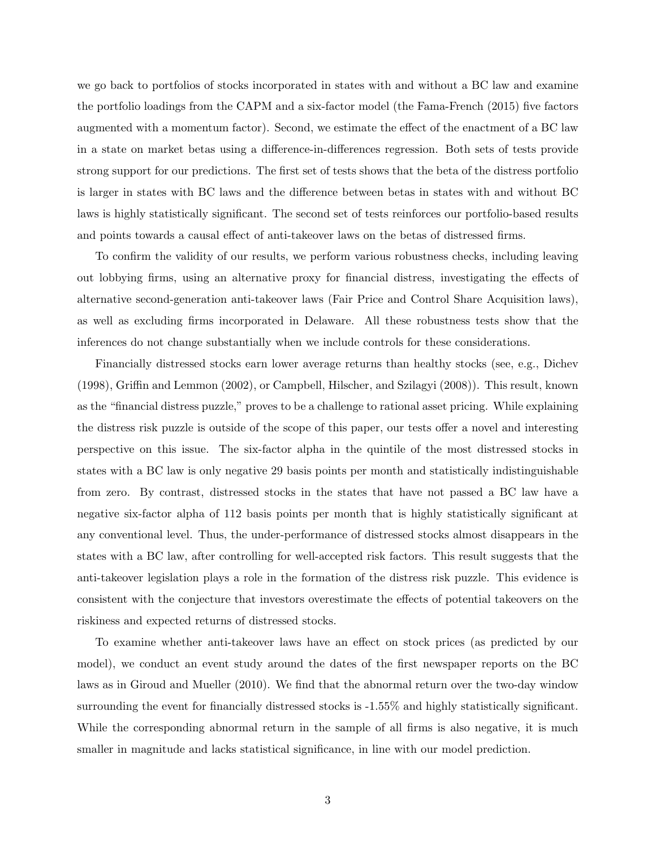we go back to portfolios of stocks incorporated in states with and without a BC law and examine the portfolio loadings from the CAPM and a six-factor model (the Fama-French (2015) five factors augmented with a momentum factor). Second, we estimate the effect of the enactment of a BC law in a state on market betas using a difference-in-differences regression. Both sets of tests provide strong support for our predictions. The first set of tests shows that the beta of the distress portfolio is larger in states with BC laws and the difference between betas in states with and without BC laws is highly statistically significant. The second set of tests reinforces our portfolio-based results and points towards a causal effect of anti-takeover laws on the betas of distressed firms.

To confirm the validity of our results, we perform various robustness checks, including leaving out lobbying firms, using an alternative proxy for financial distress, investigating the effects of alternative second-generation anti-takeover laws (Fair Price and Control Share Acquisition laws), as well as excluding firms incorporated in Delaware. All these robustness tests show that the inferences do not change substantially when we include controls for these considerations.

Financially distressed stocks earn lower average returns than healthy stocks (see, e.g., Dichev (1998), Griffin and Lemmon (2002), or Campbell, Hilscher, and Szilagyi (2008)). This result, known as the "financial distress puzzle," proves to be a challenge to rational asset pricing. While explaining the distress risk puzzle is outside of the scope of this paper, our tests offer a novel and interesting perspective on this issue. The six-factor alpha in the quintile of the most distressed stocks in states with a BC law is only negative 29 basis points per month and statistically indistinguishable from zero. By contrast, distressed stocks in the states that have not passed a BC law have a negative six-factor alpha of 112 basis points per month that is highly statistically significant at any conventional level. Thus, the under-performance of distressed stocks almost disappears in the states with a BC law, after controlling for well-accepted risk factors. This result suggests that the anti-takeover legislation plays a role in the formation of the distress risk puzzle. This evidence is consistent with the conjecture that investors overestimate the effects of potential takeovers on the riskiness and expected returns of distressed stocks.

To examine whether anti-takeover laws have an effect on stock prices (as predicted by our model), we conduct an event study around the dates of the first newspaper reports on the BC laws as in Giroud and Mueller (2010). We find that the abnormal return over the two-day window surrounding the event for financially distressed stocks is -1.55% and highly statistically significant. While the corresponding abnormal return in the sample of all firms is also negative, it is much smaller in magnitude and lacks statistical significance, in line with our model prediction.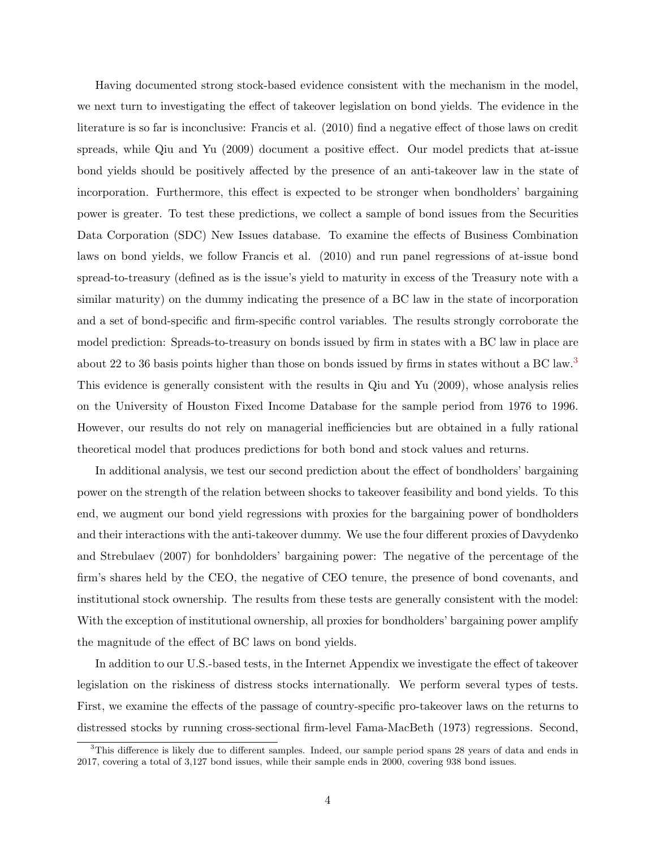Having documented strong stock-based evidence consistent with the mechanism in the model, we next turn to investigating the effect of takeover legislation on bond yields. The evidence in the literature is so far is inconclusive: Francis et al. (2010) find a negative effect of those laws on credit spreads, while Qiu and Yu (2009) document a positive effect. Our model predicts that at-issue bond yields should be positively affected by the presence of an anti-takeover law in the state of incorporation. Furthermore, this effect is expected to be stronger when bondholders' bargaining power is greater. To test these predictions, we collect a sample of bond issues from the Securities Data Corporation (SDC) New Issues database. To examine the effects of Business Combination laws on bond yields, we follow Francis et al. (2010) and run panel regressions of at-issue bond spread-to-treasury (defined as is the issue's yield to maturity in excess of the Treasury note with a similar maturity) on the dummy indicating the presence of a BC law in the state of incorporation and a set of bond-specific and firm-specific control variables. The results strongly corroborate the model prediction: Spreads-to-treasury on bonds issued by firm in states with a BC law in place are about 22 to [3](#page-4-0)6 basis points higher than those on bonds issued by firms in states without a BC law.<sup>3</sup> This evidence is generally consistent with the results in Qiu and Yu (2009), whose analysis relies on the University of Houston Fixed Income Database for the sample period from 1976 to 1996. However, our results do not rely on managerial inefficiencies but are obtained in a fully rational theoretical model that produces predictions for both bond and stock values and returns.

In additional analysis, we test our second prediction about the effect of bondholders' bargaining power on the strength of the relation between shocks to takeover feasibility and bond yields. To this end, we augment our bond yield regressions with proxies for the bargaining power of bondholders and their interactions with the anti-takeover dummy. We use the four different proxies of Davydenko and Strebulaev (2007) for bonhdolders' bargaining power: The negative of the percentage of the firm's shares held by the CEO, the negative of CEO tenure, the presence of bond covenants, and institutional stock ownership. The results from these tests are generally consistent with the model: With the exception of institutional ownership, all proxies for bondholders' bargaining power amplify the magnitude of the effect of BC laws on bond yields.

In addition to our U.S.-based tests, in the Internet Appendix we investigate the effect of takeover legislation on the riskiness of distress stocks internationally. We perform several types of tests. First, we examine the effects of the passage of country-specific pro-takeover laws on the returns to distressed stocks by running cross-sectional firm-level Fama-MacBeth (1973) regressions. Second,

<span id="page-4-0"></span><sup>&</sup>lt;sup>3</sup>This difference is likely due to different samples. Indeed, our sample period spans 28 years of data and ends in 2017, covering a total of 3,127 bond issues, while their sample ends in 2000, covering 938 bond issues.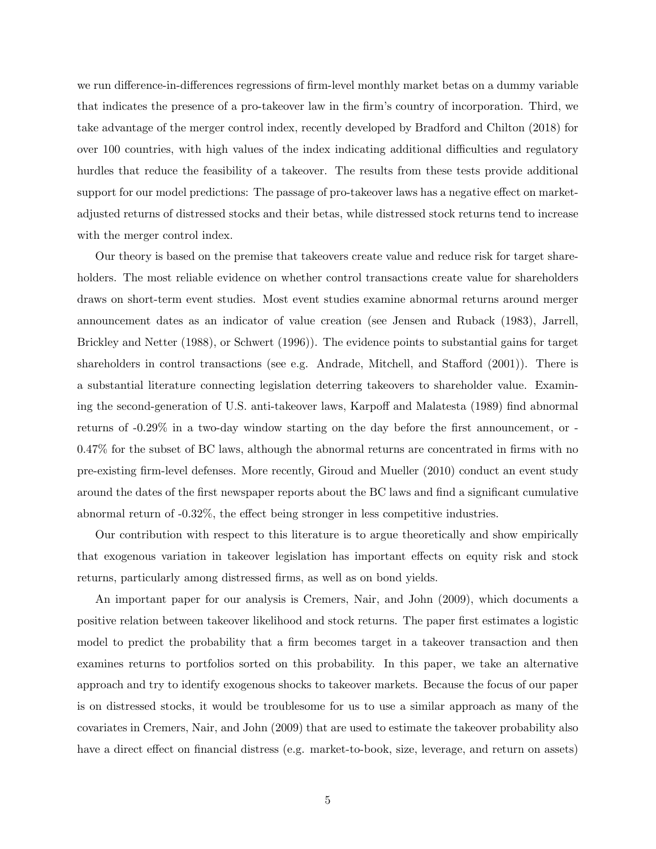we run difference-in-differences regressions of firm-level monthly market betas on a dummy variable that indicates the presence of a pro-takeover law in the firm's country of incorporation. Third, we take advantage of the merger control index, recently developed by Bradford and Chilton (2018) for over 100 countries, with high values of the index indicating additional difficulties and regulatory hurdles that reduce the feasibility of a takeover. The results from these tests provide additional support for our model predictions: The passage of pro-takeover laws has a negative effect on marketadjusted returns of distressed stocks and their betas, while distressed stock returns tend to increase with the merger control index.

Our theory is based on the premise that takeovers create value and reduce risk for target shareholders. The most reliable evidence on whether control transactions create value for shareholders draws on short-term event studies. Most event studies examine abnormal returns around merger announcement dates as an indicator of value creation (see Jensen and Ruback (1983), Jarrell, Brickley and Netter (1988), or Schwert (1996)). The evidence points to substantial gains for target shareholders in control transactions (see e.g. Andrade, Mitchell, and Stafford (2001)). There is a substantial literature connecting legislation deterring takeovers to shareholder value. Examining the second-generation of U.S. anti-takeover laws, Karpoff and Malatesta (1989) find abnormal returns of -0.29% in a two-day window starting on the day before the first announcement, or - 0.47% for the subset of BC laws, although the abnormal returns are concentrated in firms with no pre-existing firm-level defenses. More recently, Giroud and Mueller (2010) conduct an event study around the dates of the first newspaper reports about the BC laws and find a significant cumulative abnormal return of -0.32%, the effect being stronger in less competitive industries.

Our contribution with respect to this literature is to argue theoretically and show empirically that exogenous variation in takeover legislation has important effects on equity risk and stock returns, particularly among distressed firms, as well as on bond yields.

An important paper for our analysis is Cremers, Nair, and John (2009), which documents a positive relation between takeover likelihood and stock returns. The paper first estimates a logistic model to predict the probability that a firm becomes target in a takeover transaction and then examines returns to portfolios sorted on this probability. In this paper, we take an alternative approach and try to identify exogenous shocks to takeover markets. Because the focus of our paper is on distressed stocks, it would be troublesome for us to use a similar approach as many of the covariates in Cremers, Nair, and John (2009) that are used to estimate the takeover probability also have a direct effect on financial distress (e.g. market-to-book, size, leverage, and return on assets)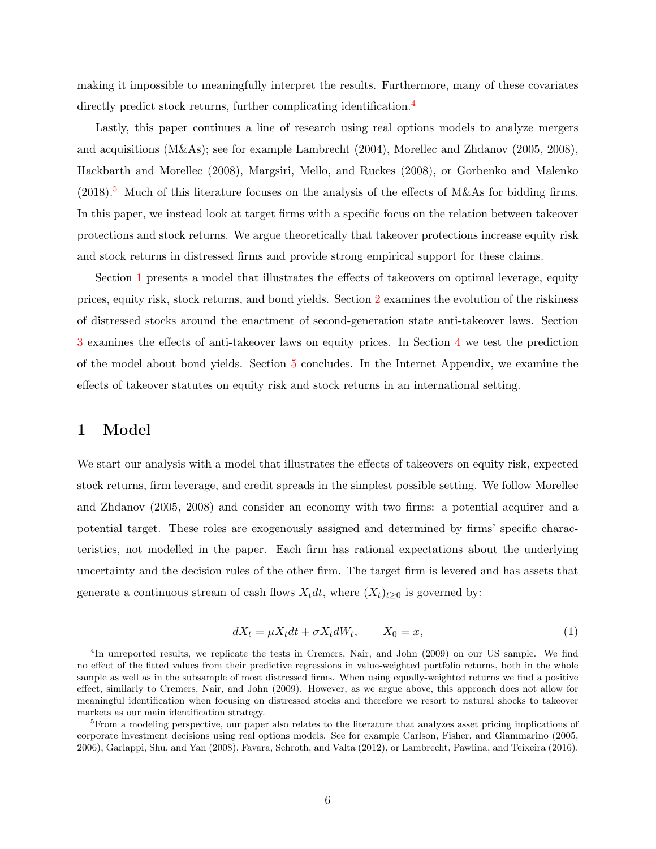making it impossible to meaningfully interpret the results. Furthermore, many of these covariates directly predict stock returns, further complicating identification.<sup>[4](#page-6-0)</sup>

Lastly, this paper continues a line of research using real options models to analyze mergers and acquisitions (M&As); see for example Lambrecht (2004), Morellec and Zhdanov (2005, 2008), Hackbarth and Morellec (2008), Margsiri, Mello, and Ruckes (2008), or Gorbenko and Malenko  $(2018).$ <sup>[5](#page-6-1)</sup> Much of this literature focuses on the analysis of the effects of M&As for bidding firms. In this paper, we instead look at target firms with a specific focus on the relation between takeover protections and stock returns. We argue theoretically that takeover protections increase equity risk and stock returns in distressed firms and provide strong empirical support for these claims.

Section [1](#page-6-2) presents a model that illustrates the effects of takeovers on optimal leverage, equity prices, equity risk, stock returns, and bond yields. Section [2](#page-11-0) examines the evolution of the riskiness of distressed stocks around the enactment of second-generation state anti-takeover laws. Section [3](#page-23-0) examines the effects of anti-takeover laws on equity prices. In Section [4](#page-25-0) we test the prediction of the model about bond yields. Section [5](#page-30-0) concludes. In the Internet Appendix, we examine the effects of takeover statutes on equity risk and stock returns in an international setting.

# <span id="page-6-2"></span>1 Model

We start our analysis with a model that illustrates the effects of takeovers on equity risk, expected stock returns, firm leverage, and credit spreads in the simplest possible setting. We follow Morellec and Zhdanov (2005, 2008) and consider an economy with two firms: a potential acquirer and a potential target. These roles are exogenously assigned and determined by firms' specific characteristics, not modelled in the paper. Each firm has rational expectations about the underlying uncertainty and the decision rules of the other firm. The target firm is levered and has assets that generate a continuous stream of cash flows  $X_t dt$ , where  $(X_t)_{t\geq 0}$  is governed by:

$$
dX_t = \mu X_t dt + \sigma X_t dW_t, \qquad X_0 = x,\tag{1}
$$

<span id="page-6-0"></span><sup>&</sup>lt;sup>4</sup>In unreported results, we replicate the tests in Cremers, Nair, and John (2009) on our US sample. We find no effect of the fitted values from their predictive regressions in value-weighted portfolio returns, both in the whole sample as well as in the subsample of most distressed firms. When using equally-weighted returns we find a positive effect, similarly to Cremers, Nair, and John (2009). However, as we argue above, this approach does not allow for meaningful identification when focusing on distressed stocks and therefore we resort to natural shocks to takeover markets as our main identification strategy.

<span id="page-6-1"></span><sup>&</sup>lt;sup>5</sup>From a modeling perspective, our paper also relates to the literature that analyzes asset pricing implications of corporate investment decisions using real options models. See for example Carlson, Fisher, and Giammarino (2005, 2006), Garlappi, Shu, and Yan (2008), Favara, Schroth, and Valta (2012), or Lambrecht, Pawlina, and Teixeira (2016).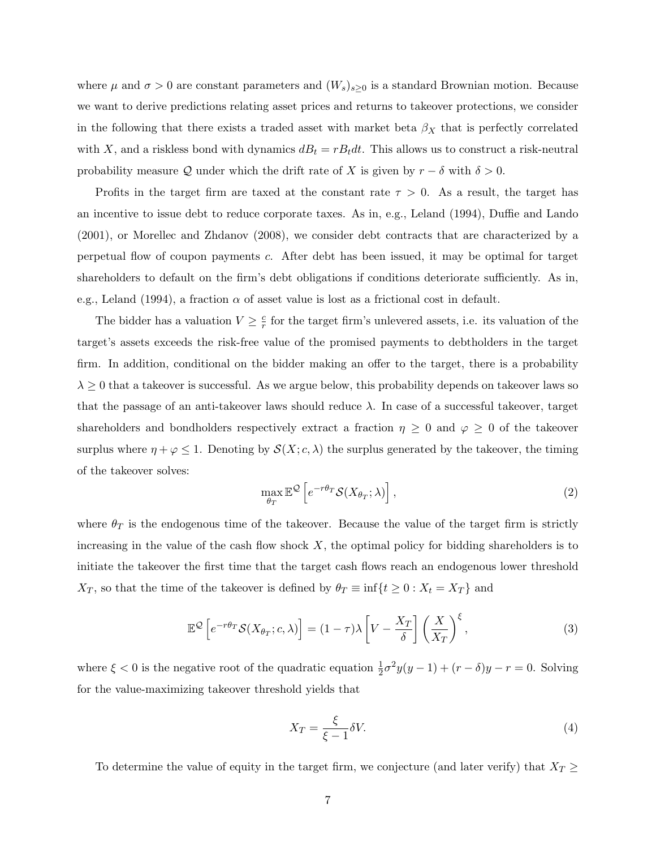where  $\mu$  and  $\sigma > 0$  are constant parameters and  $(W_s)_{s \geq 0}$  is a standard Brownian motion. Because we want to derive predictions relating asset prices and returns to takeover protections, we consider in the following that there exists a traded asset with market beta  $\beta_X$  that is perfectly correlated with X, and a riskless bond with dynamics  $dB_t = rB_t dt$ . This allows us to construct a risk-neutral probability measure Q under which the drift rate of X is given by  $r - \delta$  with  $\delta > 0$ .

Profits in the target firm are taxed at the constant rate  $\tau > 0$ . As a result, the target has an incentive to issue debt to reduce corporate taxes. As in, e.g., Leland (1994), Duffie and Lando (2001), or Morellec and Zhdanov (2008), we consider debt contracts that are characterized by a perpetual flow of coupon payments c. After debt has been issued, it may be optimal for target shareholders to default on the firm's debt obligations if conditions deteriorate sufficiently. As in, e.g., Leland (1994), a fraction  $\alpha$  of asset value is lost as a frictional cost in default.

The bidder has a valuation  $V \geq \frac{c}{r}$  $\frac{c}{r}$  for the target firm's unlevered assets, i.e. its valuation of the target's assets exceeds the risk-free value of the promised payments to debtholders in the target firm. In addition, conditional on the bidder making an offer to the target, there is a probability  $\lambda \geq 0$  that a takeover is successful. As we argue below, this probability depends on takeover laws so that the passage of an anti-takeover laws should reduce  $\lambda$ . In case of a successful takeover, target shareholders and bondholders respectively extract a fraction  $\eta \geq 0$  and  $\varphi \geq 0$  of the takeover surplus where  $\eta + \varphi \leq 1$ . Denoting by  $\mathcal{S}(X; c, \lambda)$  the surplus generated by the takeover, the timing of the takeover solves:

$$
\max_{\theta_T} \mathbb{E}^{\mathcal{Q}} \left[ e^{-r\theta_T} \mathcal{S}(X_{\theta_T}; \lambda) \right],\tag{2}
$$

where  $\theta_T$  is the endogenous time of the takeover. Because the value of the target firm is strictly increasing in the value of the cash flow shock  $X$ , the optimal policy for bidding shareholders is to initiate the takeover the first time that the target cash flows reach an endogenous lower threshold  $X_T$ , so that the time of the takeover is defined by  $\theta_T \equiv \inf\{t \geq 0: X_t = X_T\}$  and

$$
\mathbb{E}^{\mathcal{Q}}\left[e^{-r\theta_T}\mathcal{S}(X_{\theta_T};c,\lambda)\right] = (1-\tau)\lambda\left[V - \frac{X_T}{\delta}\right]\left(\frac{X}{X_T}\right)^{\xi},\tag{3}
$$

where  $\xi < 0$  is the negative root of the quadratic equation  $\frac{1}{2}\sigma^2 y(y-1) + (r - \delta)y - r = 0$ . Solving for the value-maximizing takeover threshold yields that

$$
X_T = \frac{\xi}{\xi - 1} \delta V. \tag{4}
$$

To determine the value of equity in the target firm, we conjecture (and later verify) that  $X_T \geq$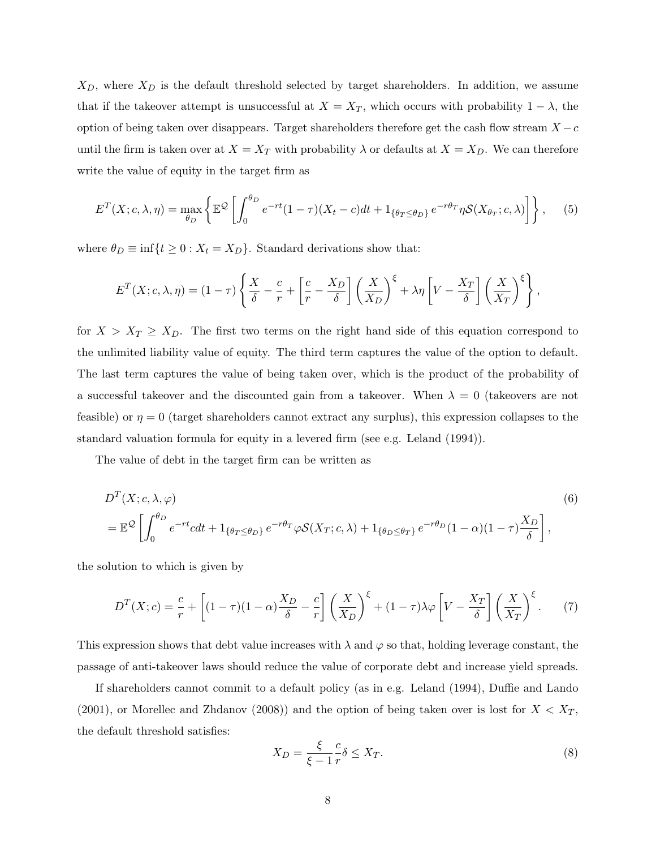$X_D$ , where  $X_D$  is the default threshold selected by target shareholders. In addition, we assume that if the takeover attempt is unsuccessful at  $X = X_T$ , which occurs with probability  $1 - \lambda$ , the option of being taken over disappears. Target shareholders therefore get the cash flow stream  $X - c$ until the firm is taken over at  $X = X_T$  with probability  $\lambda$  or defaults at  $X = X_D$ . We can therefore write the value of equity in the target firm as

$$
E^{T}(X;c,\lambda,\eta) = \max_{\theta_{D}} \left\{ \mathbb{E}^{\mathcal{Q}} \left[ \int_{0}^{\theta_{D}} e^{-rt} (1-\tau)(X_{t}-c)dt + 1_{\{\theta_{T}\leq\theta_{D}\}} e^{-r\theta_{T}} \eta \mathcal{S}(X_{\theta_{T}};c,\lambda) \right] \right\},
$$
(5)

where  $\theta_D \equiv \inf\{t \geq 0 : X_t = X_D\}$ . Standard derivations show that:

$$
E^{T}(X; c, \lambda, \eta) = (1 - \tau) \left\{ \frac{X}{\delta} - \frac{c}{r} + \left[ \frac{c}{r} - \frac{X_{D}}{\delta} \right] \left( \frac{X}{X_{D}} \right)^{\xi} + \lambda \eta \left[ V - \frac{X_{T}}{\delta} \right] \left( \frac{X}{X_{T}} \right)^{\xi} \right\},
$$

for  $X > X_T \ge X_D$ . The first two terms on the right hand side of this equation correspond to the unlimited liability value of equity. The third term captures the value of the option to default. The last term captures the value of being taken over, which is the product of the probability of a successful takeover and the discounted gain from a takeover. When  $\lambda = 0$  (takeovers are not feasible) or  $\eta = 0$  (target shareholders cannot extract any surplus), this expression collapses to the standard valuation formula for equity in a levered firm (see e.g. Leland (1994)).

The value of debt in the target firm can be written as

$$
D^{T}(X; c, \lambda, \varphi)
$$
\n
$$
= \mathbb{E}^{\mathcal{Q}} \left[ \int_{0}^{\theta_{D}} e^{-rt} c dt + 1_{\{\theta_{T} \leq \theta_{D}\}} e^{-r\theta_{T}} \varphi \mathcal{S}(X_{T}; c, \lambda) + 1_{\{\theta_{D} \leq \theta_{T}\}} e^{-r\theta_{D}} (1 - \alpha)(1 - \tau) \frac{X_{D}}{\delta} \right],
$$
\n(6)

the solution to which is given by

<span id="page-8-1"></span>
$$
D^{T}(X;c) = \frac{c}{r} + \left[ (1-\tau)(1-\alpha)\frac{X_D}{\delta} - \frac{c}{r} \right] \left( \frac{X}{X_D} \right)^{\xi} + (1-\tau)\lambda \varphi \left[ V - \frac{X_T}{\delta} \right] \left( \frac{X}{X_T} \right)^{\xi}.
$$
 (7)

This expression shows that debt value increases with  $\lambda$  and  $\varphi$  so that, holding leverage constant, the passage of anti-takeover laws should reduce the value of corporate debt and increase yield spreads.

If shareholders cannot commit to a default policy (as in e.g. Leland (1994), Duffie and Lando (2001), or Morellec and Zhdanov (2008)) and the option of being taken over is lost for  $X < X_T$ , the default threshold satisfies:

<span id="page-8-0"></span>
$$
X_D = \frac{\xi}{\xi - 1} \frac{c}{r} \delta \le X_T. \tag{8}
$$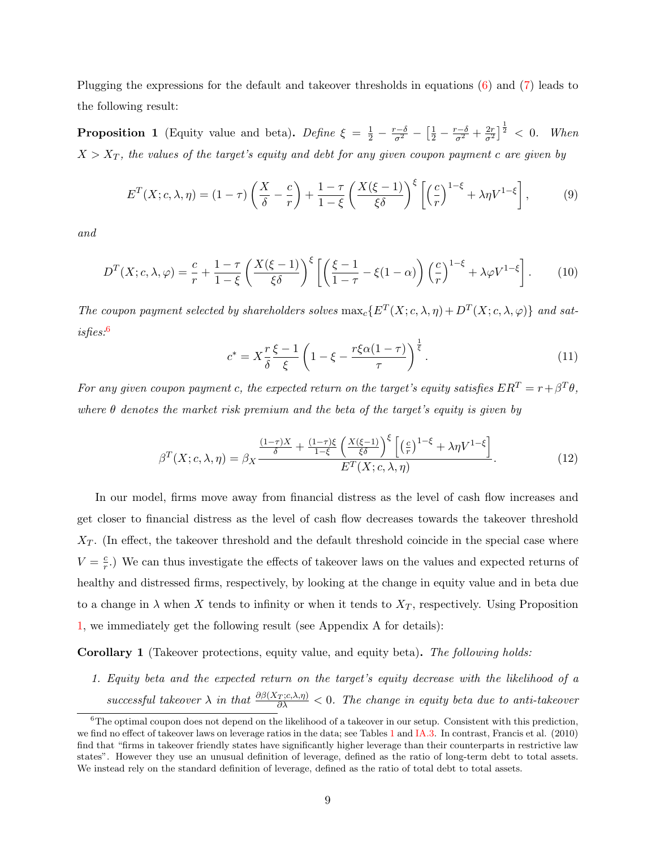Plugging the expressions for the default and takeover thresholds in equations [\(6\)](#page-8-0) and [\(7\)](#page-8-1) leads to the following result:

<span id="page-9-1"></span>**Proposition 1** (Equity value and beta). Define  $\xi = \frac{1}{2} - \frac{r-\delta}{\sigma^2} - \left[\frac{1}{2} - \frac{r-\delta}{\sigma^2} + \frac{2r}{\sigma^2}\right]^{\frac{1}{2}} < 0$ . When  $X > X_T$ , the values of the target's equity and debt for any given coupon payment c are given by

$$
E^{T}(X; c, \lambda, \eta) = (1 - \tau) \left(\frac{X}{\delta} - \frac{c}{r}\right) + \frac{1 - \tau}{1 - \xi} \left(\frac{X(\xi - 1)}{\xi \delta}\right)^{\xi} \left[\left(\frac{c}{r}\right)^{1 - \xi} + \lambda \eta V^{1 - \xi}\right],
$$
(9)

and

$$
D^{T}(X; c, \lambda, \varphi) = \frac{c}{r} + \frac{1-\tau}{1-\xi} \left(\frac{X(\xi-1)}{\xi\delta}\right)^{\xi} \left[ \left(\frac{\xi-1}{1-\tau} - \xi(1-\alpha)\right) \left(\frac{c}{r}\right)^{1-\xi} + \lambda \varphi V^{1-\xi} \right].
$$
 (10)

The coupon payment selected by shareholders solves  $\max_c \{E^T(X; c, \lambda, \eta) + D^T(X; c, \lambda, \varphi)\}\$ and satisfies:[6](#page-9-0)

$$
c^* = X\frac{r\xi - 1}{\delta \xi} \left( 1 - \xi - \frac{r\xi\alpha(1 - \tau)}{\tau} \right)^{\frac{1}{\xi}}.
$$
\n(11)

For any given coupon payment c, the expected return on the target's equity satisfies  $ER^T = r + \beta^T \theta$ , where  $\theta$  denotes the market risk premium and the beta of the target's equity is given by

$$
\beta^T(X; c, \lambda, \eta) = \beta_X \frac{\frac{(1-\tau)X}{\delta} + \frac{(1-\tau)\xi}{1-\xi} \left(\frac{X(\xi-1)}{\xi\delta}\right)^{\xi} \left[ \left(\frac{c}{r}\right)^{1-\xi} + \lambda\eta V^{1-\xi} \right]}{E^T(X; c, \lambda, \eta)}.
$$
\n(12)

In our model, firms move away from financial distress as the level of cash flow increases and get closer to financial distress as the level of cash flow decreases towards the takeover threshold  $X_T$ . (In effect, the takeover threshold and the default threshold coincide in the special case where  $V = \frac{c}{r}$  $\frac{c}{r}$ .) We can thus investigate the effects of takeover laws on the values and expected returns of healthy and distressed firms, respectively, by looking at the change in equity value and in beta due to a change in  $\lambda$  when X tends to infinity or when it tends to  $X_T$ , respectively. Using Proposition [1,](#page-9-1) we immediately get the following result (see Appendix A for details):

<span id="page-9-2"></span>Corollary 1 (Takeover protections, equity value, and equity beta). The following holds:

1. Equity beta and the expected return on the target's equity decrease with the likelihood of a successful takeover  $\lambda$  in that  $\frac{\partial \beta(X_T;c,\lambda,\eta)}{\partial \lambda} < 0$ . The change in equity beta due to anti-takeover

<span id="page-9-0"></span> ${}^{6}$ The optimal coupon does not depend on the likelihood of a takeover in our setup. Consistent with this prediction, we find no effect of takeover laws on leverage ratios in the data; see Tables [1](#page-38-0) and [IA.3.](#page-61-0) In contrast, Francis et al. (2010) find that "firms in takeover friendly states have significantly higher leverage than their counterparts in restrictive law states". However they use an unusual definition of leverage, defined as the ratio of long-term debt to total assets. We instead rely on the standard definition of leverage, defined as the ratio of total debt to total assets.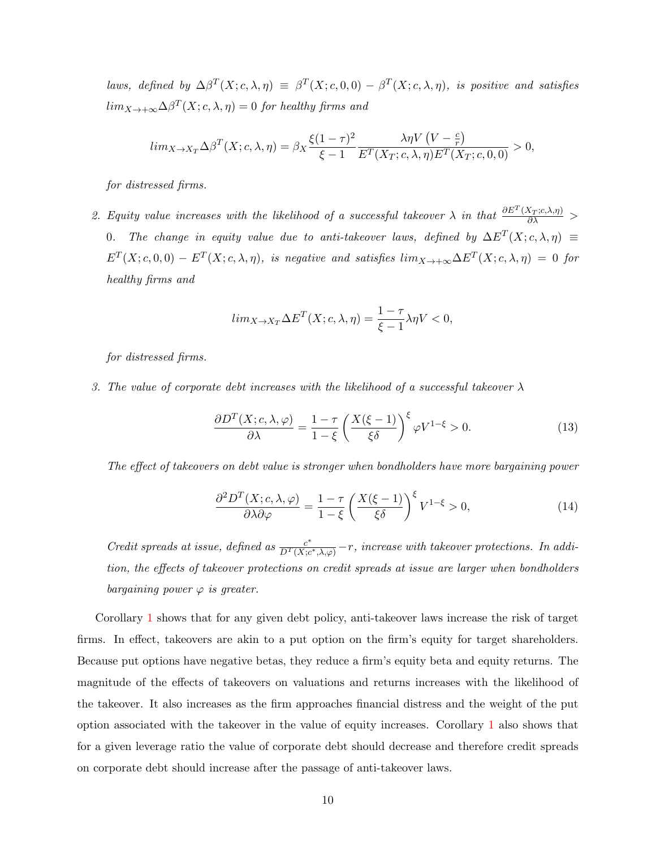laws, defined by  $\Delta\beta^T(X; c, \lambda, \eta) \equiv \beta^T(X; c, 0, 0) - \beta^T(X; c, \lambda, \eta)$ , is positive and satisfies  $\lim_{X \to +\infty} \Delta \beta^T(X; c, \lambda, \eta) = 0$  for healthy firms and

$$
lim_{X \to X_T} \Delta \beta^T(X; c, \lambda, \eta) = \beta_X \frac{\xi (1-\tau)^2}{\xi - 1} \frac{\lambda \eta V(V - \frac{c}{r})}{E^T(X_T; c, \lambda, \eta) E^T(X_T; c, 0, 0)} > 0,
$$

for distressed firms.

2. Equity value increases with the likelihood of a successful takeover  $\lambda$  in that  $\frac{\partial E^T(X_T;c,\lambda,\eta)}{\partial \lambda}$ 0. The change in equity value due to anti-takeover laws, defined by  $\Delta E^{T}(X; c, \lambda, \eta) \equiv$  $E^T(X; c, 0, 0) - E^T(X; c, \lambda, \eta)$ , is negative and satisfies  $\lim_{X \to +\infty} \Delta E^T(X; c, \lambda, \eta) = 0$  for healthy firms and

$$
lim_{X \to X_T} \Delta E^T(X; c, \lambda, \eta) = \frac{1 - \tau}{\xi - 1} \lambda \eta V < 0,
$$

for distressed firms.

3. The value of corporate debt increases with the likelihood of a successful takeover  $\lambda$ 

$$
\frac{\partial D^T(X; c, \lambda, \varphi)}{\partial \lambda} = \frac{1 - \tau}{1 - \xi} \left( \frac{X(\xi - 1)}{\xi \delta} \right)^{\xi} \varphi V^{1 - \xi} > 0.
$$
\n(13)

The effect of takeovers on debt value is stronger when bondholders have more bargaining power

$$
\frac{\partial^2 D^T(X; c, \lambda, \varphi)}{\partial \lambda \partial \varphi} = \frac{1 - \tau}{1 - \xi} \left( \frac{X(\xi - 1)}{\xi \delta} \right)^{\xi} V^{1 - \xi} > 0,
$$
\n(14)

Credit spreads at issue, defined as  $\frac{c^*}{D^T(X; c)}$  $\frac{c^*}{D^T(X;c^*,\lambda,\varphi)}-r$ , increase with takeover protections. In addition, the effects of takeover protections on credit spreads at issue are larger when bondholders bargaining power  $\varphi$  is greater.

Corollary [1](#page-9-2) shows that for any given debt policy, anti-takeover laws increase the risk of target firms. In effect, takeovers are akin to a put option on the firm's equity for target shareholders. Because put options have negative betas, they reduce a firm's equity beta and equity returns. The magnitude of the effects of takeovers on valuations and returns increases with the likelihood of the takeover. It also increases as the firm approaches financial distress and the weight of the put option associated with the takeover in the value of equity increases. Corollary [1](#page-9-2) also shows that for a given leverage ratio the value of corporate debt should decrease and therefore credit spreads on corporate debt should increase after the passage of anti-takeover laws.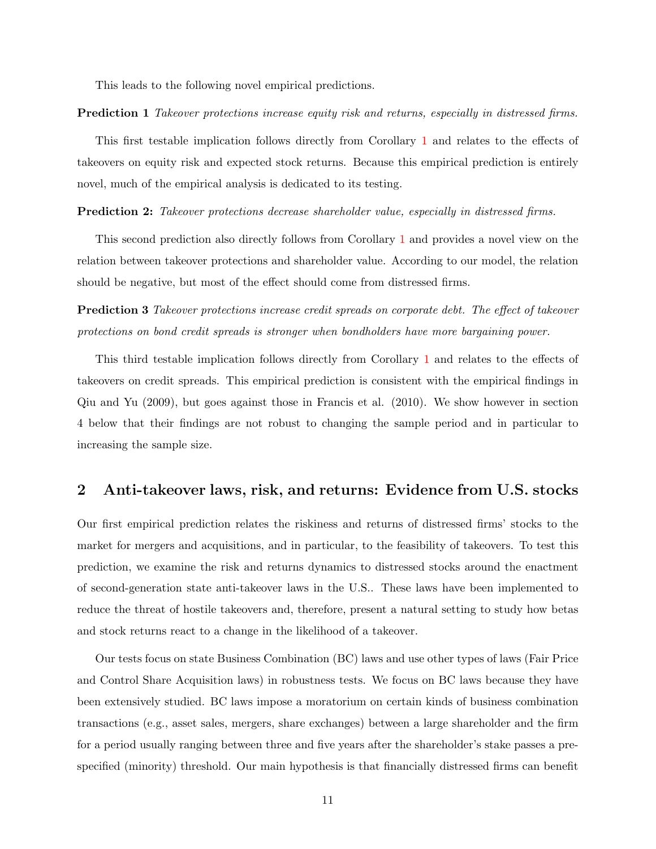This leads to the following novel empirical predictions.

Prediction 1 Takeover protections increase equity risk and returns, especially in distressed firms.

This first testable implication follows directly from Corollary [1](#page-9-2) and relates to the effects of takeovers on equity risk and expected stock returns. Because this empirical prediction is entirely novel, much of the empirical analysis is dedicated to its testing.

**Prediction 2:** Takeover protections decrease shareholder value, especially in distressed firms.

This second prediction also directly follows from Corollary [1](#page-9-2) and provides a novel view on the relation between takeover protections and shareholder value. According to our model, the relation should be negative, but most of the effect should come from distressed firms.

**Prediction 3** Takeover protections increase credit spreads on corporate debt. The effect of takeover protections on bond credit spreads is stronger when bondholders have more bargaining power.

This third testable implication follows directly from Corollary [1](#page-9-2) and relates to the effects of takeovers on credit spreads. This empirical prediction is consistent with the empirical findings in Qiu and Yu (2009), but goes against those in Francis et al. (2010). We show however in section 4 below that their findings are not robust to changing the sample period and in particular to increasing the sample size.

# <span id="page-11-0"></span>2 Anti-takeover laws, risk, and returns: Evidence from U.S. stocks

Our first empirical prediction relates the riskiness and returns of distressed firms' stocks to the market for mergers and acquisitions, and in particular, to the feasibility of takeovers. To test this prediction, we examine the risk and returns dynamics to distressed stocks around the enactment of second-generation state anti-takeover laws in the U.S.. These laws have been implemented to reduce the threat of hostile takeovers and, therefore, present a natural setting to study how betas and stock returns react to a change in the likelihood of a takeover.

Our tests focus on state Business Combination (BC) laws and use other types of laws (Fair Price and Control Share Acquisition laws) in robustness tests. We focus on BC laws because they have been extensively studied. BC laws impose a moratorium on certain kinds of business combination transactions (e.g., asset sales, mergers, share exchanges) between a large shareholder and the firm for a period usually ranging between three and five years after the shareholder's stake passes a prespecified (minority) threshold. Our main hypothesis is that financially distressed firms can benefit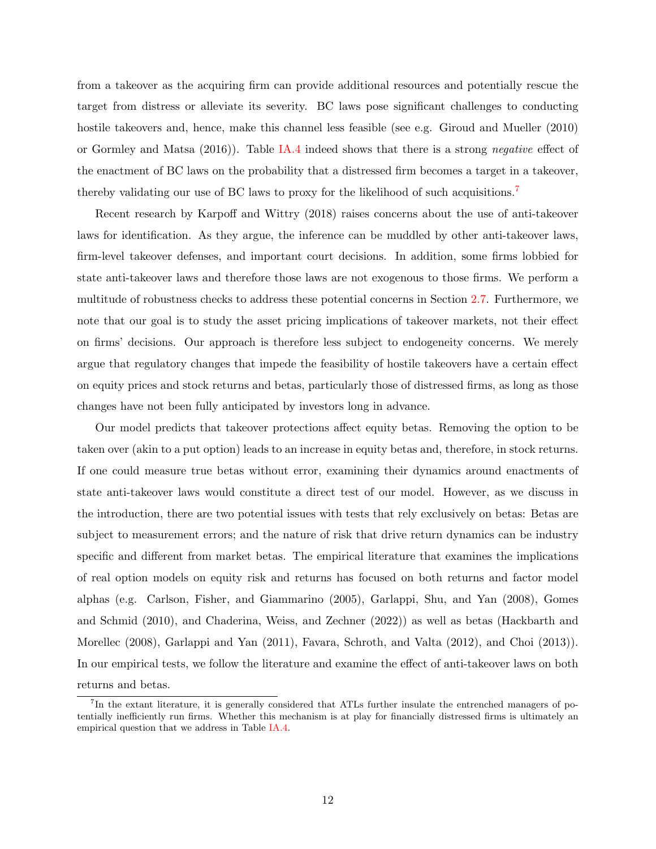from a takeover as the acquiring firm can provide additional resources and potentially rescue the target from distress or alleviate its severity. BC laws pose significant challenges to conducting hostile takeovers and, hence, make this channel less feasible (see e.g. Giroud and Mueller (2010) or Gormley and Matsa (2016)). Table [IA.4](#page-62-0) indeed shows that there is a strong negative effect of the enactment of BC laws on the probability that a distressed firm becomes a target in a takeover, thereby validating our use of BC laws to proxy for the likelihood of such acquisitions.<sup>[7](#page-12-0)</sup>

Recent research by Karpoff and Wittry (2018) raises concerns about the use of anti-takeover laws for identification. As they argue, the inference can be muddled by other anti-takeover laws, firm-level takeover defenses, and important court decisions. In addition, some firms lobbied for state anti-takeover laws and therefore those laws are not exogenous to those firms. We perform a multitude of robustness checks to address these potential concerns in Section [2.7.](#page-21-0) Furthermore, we note that our goal is to study the asset pricing implications of takeover markets, not their effect on firms' decisions. Our approach is therefore less subject to endogeneity concerns. We merely argue that regulatory changes that impede the feasibility of hostile takeovers have a certain effect on equity prices and stock returns and betas, particularly those of distressed firms, as long as those changes have not been fully anticipated by investors long in advance.

Our model predicts that takeover protections affect equity betas. Removing the option to be taken over (akin to a put option) leads to an increase in equity betas and, therefore, in stock returns. If one could measure true betas without error, examining their dynamics around enactments of state anti-takeover laws would constitute a direct test of our model. However, as we discuss in the introduction, there are two potential issues with tests that rely exclusively on betas: Betas are subject to measurement errors; and the nature of risk that drive return dynamics can be industry specific and different from market betas. The empirical literature that examines the implications of real option models on equity risk and returns has focused on both returns and factor model alphas (e.g. Carlson, Fisher, and Giammarino (2005), Garlappi, Shu, and Yan (2008), Gomes and Schmid (2010), and Chaderina, Weiss, and Zechner (2022)) as well as betas (Hackbarth and Morellec (2008), Garlappi and Yan (2011), Favara, Schroth, and Valta (2012), and Choi (2013)). In our empirical tests, we follow the literature and examine the effect of anti-takeover laws on both returns and betas.

<span id="page-12-0"></span><sup>&</sup>lt;sup>7</sup>In the extant literature, it is generally considered that ATLs further insulate the entrenched managers of potentially inefficiently run firms. Whether this mechanism is at play for financially distressed firms is ultimately an empirical question that we address in Table [IA.4.](#page-62-0)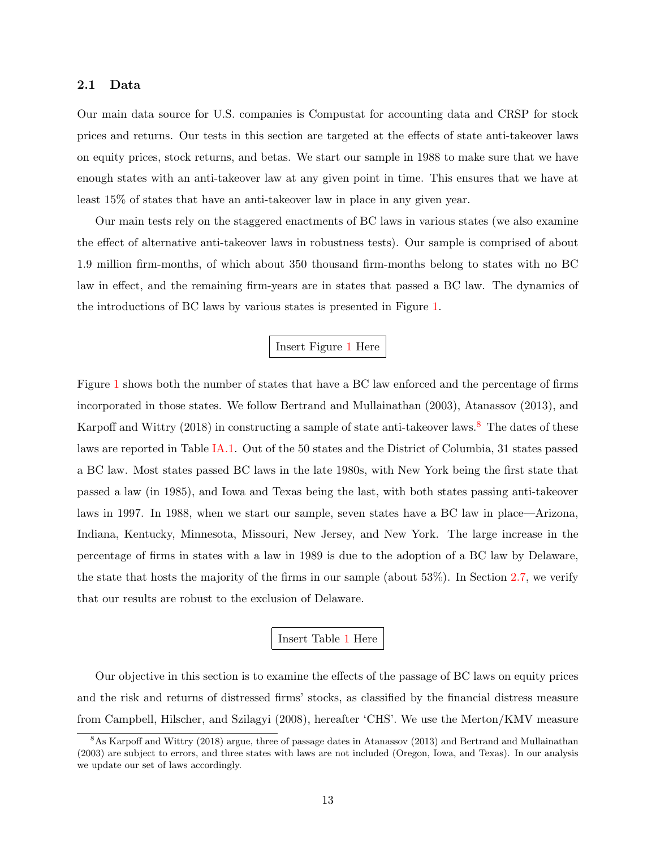### <span id="page-13-1"></span>2.1 Data

Our main data source for U.S. companies is Compustat for accounting data and CRSP for stock prices and returns. Our tests in this section are targeted at the effects of state anti-takeover laws on equity prices, stock returns, and betas. We start our sample in 1988 to make sure that we have enough states with an anti-takeover law at any given point in time. This ensures that we have at least 15% of states that have an anti-takeover law in place in any given year.

Our main tests rely on the staggered enactments of BC laws in various states (we also examine the effect of alternative anti-takeover laws in robustness tests). Our sample is comprised of about 1.9 million firm-months, of which about 350 thousand firm-months belong to states with no BC law in effect, and the remaining firm-years are in states that passed a BC law. The dynamics of the introductions of BC laws by various states is presented in Figure [1.](#page-50-0)

### Insert Figure [1](#page-50-0) Here

Figure [1](#page-50-0) shows both the number of states that have a BC law enforced and the percentage of firms incorporated in those states. We follow Bertrand and Mullainathan (2003), Atanassov (2013), and Karpoff and Wittry (201[8](#page-13-0)) in constructing a sample of state anti-takeover laws.<sup>8</sup> The dates of these laws are reported in Table [IA.1.](#page-58-0) Out of the 50 states and the District of Columbia, 31 states passed a BC law. Most states passed BC laws in the late 1980s, with New York being the first state that passed a law (in 1985), and Iowa and Texas being the last, with both states passing anti-takeover laws in 1997. In 1988, when we start our sample, seven states have a BC law in place—Arizona, Indiana, Kentucky, Minnesota, Missouri, New Jersey, and New York. The large increase in the percentage of firms in states with a law in 1989 is due to the adoption of a BC law by Delaware, the state that hosts the majority of the firms in our sample (about 53%). In Section [2.7,](#page-21-0) we verify that our results are robust to the exclusion of Delaware.

### Insert Table [1](#page-38-0) Here

Our objective in this section is to examine the effects of the passage of BC laws on equity prices and the risk and returns of distressed firms' stocks, as classified by the financial distress measure from Campbell, Hilscher, and Szilagyi (2008), hereafter 'CHS'. We use the Merton/KMV measure

<span id="page-13-0"></span><sup>&</sup>lt;sup>8</sup>As Karpoff and Wittry (2018) argue, three of passage dates in Atanassov (2013) and Bertrand and Mullainathan (2003) are subject to errors, and three states with laws are not included (Oregon, Iowa, and Texas). In our analysis we update our set of laws accordingly.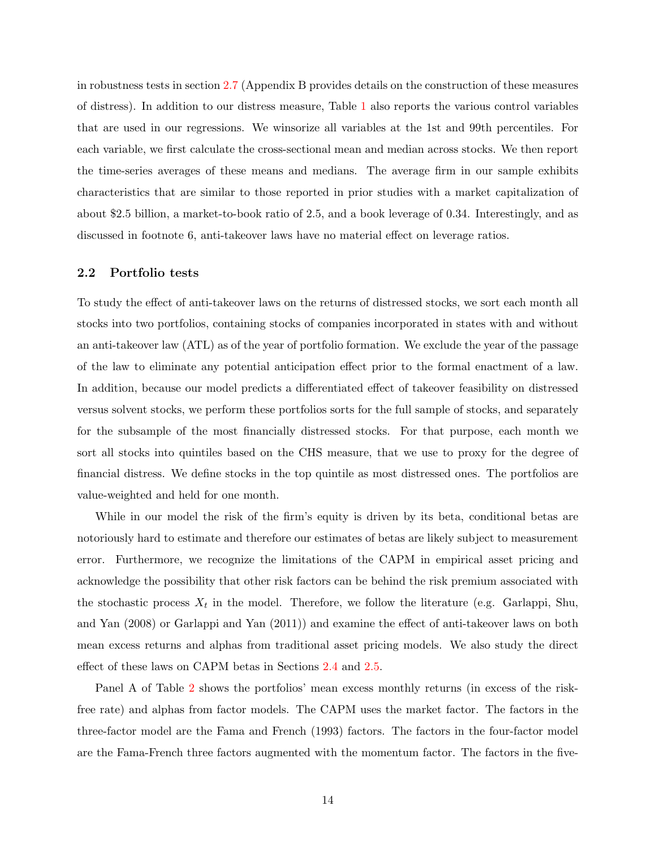in robustness tests in section [2.7](#page-21-0) (Appendix B provides details on the construction of these measures of distress). In addition to our distress measure, Table [1](#page-38-0) also reports the various control variables that are used in our regressions. We winsorize all variables at the 1st and 99th percentiles. For each variable, we first calculate the cross-sectional mean and median across stocks. We then report the time-series averages of these means and medians. The average firm in our sample exhibits characteristics that are similar to those reported in prior studies with a market capitalization of about \$2.5 billion, a market-to-book ratio of 2.5, and a book leverage of 0.34. Interestingly, and as discussed in footnote 6, anti-takeover laws have no material effect on leverage ratios.

#### 2.2 Portfolio tests

To study the effect of anti-takeover laws on the returns of distressed stocks, we sort each month all stocks into two portfolios, containing stocks of companies incorporated in states with and without an anti-takeover law (ATL) as of the year of portfolio formation. We exclude the year of the passage of the law to eliminate any potential anticipation effect prior to the formal enactment of a law. In addition, because our model predicts a differentiated effect of takeover feasibility on distressed versus solvent stocks, we perform these portfolios sorts for the full sample of stocks, and separately for the subsample of the most financially distressed stocks. For that purpose, each month we sort all stocks into quintiles based on the CHS measure, that we use to proxy for the degree of financial distress. We define stocks in the top quintile as most distressed ones. The portfolios are value-weighted and held for one month.

While in our model the risk of the firm's equity is driven by its beta, conditional betas are notoriously hard to estimate and therefore our estimates of betas are likely subject to measurement error. Furthermore, we recognize the limitations of the CAPM in empirical asset pricing and acknowledge the possibility that other risk factors can be behind the risk premium associated with the stochastic process  $X_t$  in the model. Therefore, we follow the literature (e.g. Garlappi, Shu, and Yan (2008) or Garlappi and Yan (2011)) and examine the effect of anti-takeover laws on both mean excess returns and alphas from traditional asset pricing models. We also study the direct effect of these laws on CAPM betas in Sections [2.4](#page-16-0) and [2.5.](#page-17-0)

Panel A of Table [2](#page-39-0) shows the portfolios' mean excess monthly returns (in excess of the riskfree rate) and alphas from factor models. The CAPM uses the market factor. The factors in the three-factor model are the Fama and French (1993) factors. The factors in the four-factor model are the Fama-French three factors augmented with the momentum factor. The factors in the five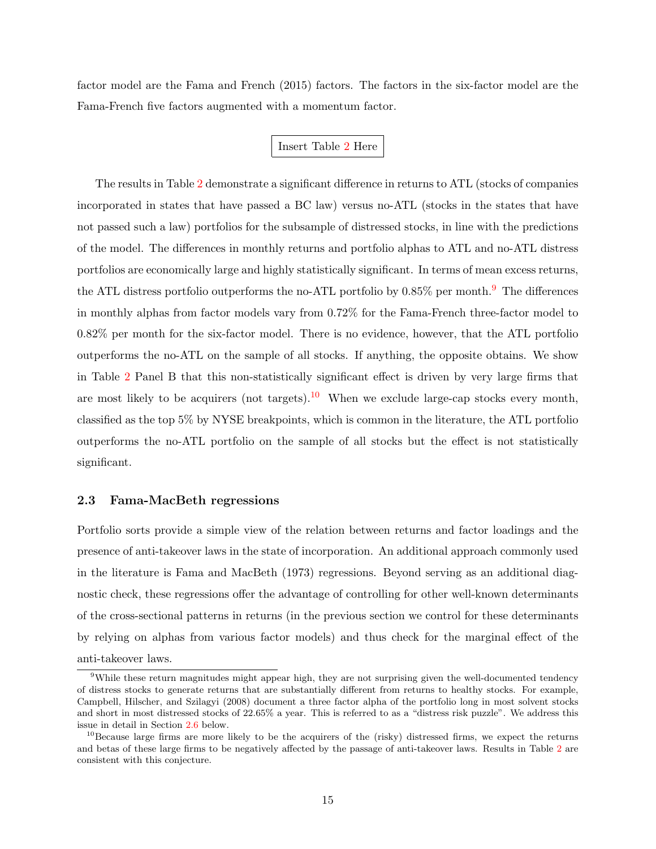factor model are the Fama and French (2015) factors. The factors in the six-factor model are the Fama-French five factors augmented with a momentum factor.

### Insert Table [2](#page-39-0) Here

The results in Table [2](#page-39-0) demonstrate a significant difference in returns to ATL (stocks of companies incorporated in states that have passed a BC law) versus no-ATL (stocks in the states that have not passed such a law) portfolios for the subsample of distressed stocks, in line with the predictions of the model. The differences in monthly returns and portfolio alphas to ATL and no-ATL distress portfolios are economically large and highly statistically significant. In terms of mean excess returns, the ATL distress portfolio outperforms the no-ATL portfolio by  $0.85\%$  per month.<sup>[9](#page-15-0)</sup> The differences in monthly alphas from factor models vary from 0.72% for the Fama-French three-factor model to 0.82% per month for the six-factor model. There is no evidence, however, that the ATL portfolio outperforms the no-ATL on the sample of all stocks. If anything, the opposite obtains. We show in Table [2](#page-39-0) Panel B that this non-statistically significant effect is driven by very large firms that are most likely to be acquirers (not targets).<sup>[10](#page-15-1)</sup> When we exclude large-cap stocks every month, classified as the top 5% by NYSE breakpoints, which is common in the literature, the ATL portfolio outperforms the no-ATL portfolio on the sample of all stocks but the effect is not statistically significant.

### 2.3 Fama-MacBeth regressions

Portfolio sorts provide a simple view of the relation between returns and factor loadings and the presence of anti-takeover laws in the state of incorporation. An additional approach commonly used in the literature is Fama and MacBeth (1973) regressions. Beyond serving as an additional diagnostic check, these regressions offer the advantage of controlling for other well-known determinants of the cross-sectional patterns in returns (in the previous section we control for these determinants by relying on alphas from various factor models) and thus check for the marginal effect of the anti-takeover laws.

<span id="page-15-0"></span><sup>&</sup>lt;sup>9</sup>While these return magnitudes might appear high, they are not surprising given the well-documented tendency of distress stocks to generate returns that are substantially different from returns to healthy stocks. For example, Campbell, Hilscher, and Szilagyi (2008) document a three factor alpha of the portfolio long in most solvent stocks and short in most distressed stocks of 22.65% a year. This is referred to as a "distress risk puzzle". We address this issue in detail in Section [2.6](#page-19-0) below.

<span id="page-15-1"></span> $10B$ ecause large firms are more likely to be the acquirers of the (risky) distressed firms, we expect the returns and betas of these large firms to be negatively affected by the passage of anti-takeover laws. Results in Table [2](#page-39-0) are consistent with this conjecture.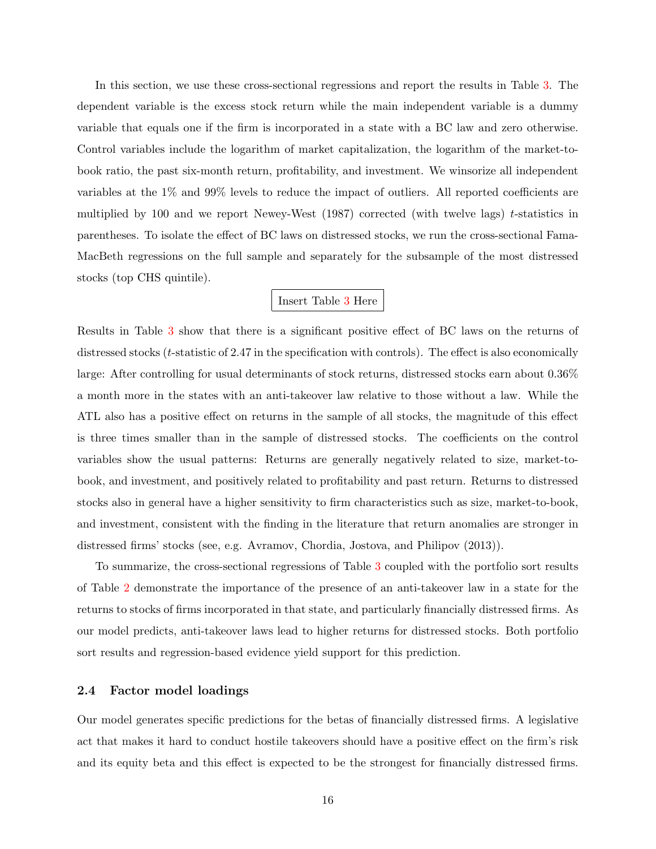In this section, we use these cross-sectional regressions and report the results in Table [3.](#page-41-0) The dependent variable is the excess stock return while the main independent variable is a dummy variable that equals one if the firm is incorporated in a state with a BC law and zero otherwise. Control variables include the logarithm of market capitalization, the logarithm of the market-tobook ratio, the past six-month return, profitability, and investment. We winsorize all independent variables at the 1% and 99% levels to reduce the impact of outliers. All reported coefficients are multiplied by 100 and we report Newey-West (1987) corrected (with twelve lags) t-statistics in parentheses. To isolate the effect of BC laws on distressed stocks, we run the cross-sectional Fama-MacBeth regressions on the full sample and separately for the subsample of the most distressed stocks (top CHS quintile).

### Insert Table [3](#page-41-0) Here

Results in Table [3](#page-41-0) show that there is a significant positive effect of BC laws on the returns of distressed stocks ( $t$ -statistic of 2.47 in the specification with controls). The effect is also economically large: After controlling for usual determinants of stock returns, distressed stocks earn about 0.36% a month more in the states with an anti-takeover law relative to those without a law. While the ATL also has a positive effect on returns in the sample of all stocks, the magnitude of this effect is three times smaller than in the sample of distressed stocks. The coefficients on the control variables show the usual patterns: Returns are generally negatively related to size, market-tobook, and investment, and positively related to profitability and past return. Returns to distressed stocks also in general have a higher sensitivity to firm characteristics such as size, market-to-book, and investment, consistent with the finding in the literature that return anomalies are stronger in distressed firms' stocks (see, e.g. Avramov, Chordia, Jostova, and Philipov (2013)).

To summarize, the cross-sectional regressions of Table [3](#page-41-0) coupled with the portfolio sort results of Table [2](#page-39-0) demonstrate the importance of the presence of an anti-takeover law in a state for the returns to stocks of firms incorporated in that state, and particularly financially distressed firms. As our model predicts, anti-takeover laws lead to higher returns for distressed stocks. Both portfolio sort results and regression-based evidence yield support for this prediction.

### <span id="page-16-0"></span>2.4 Factor model loadings

Our model generates specific predictions for the betas of financially distressed firms. A legislative act that makes it hard to conduct hostile takeovers should have a positive effect on the firm's risk and its equity beta and this effect is expected to be the strongest for financially distressed firms.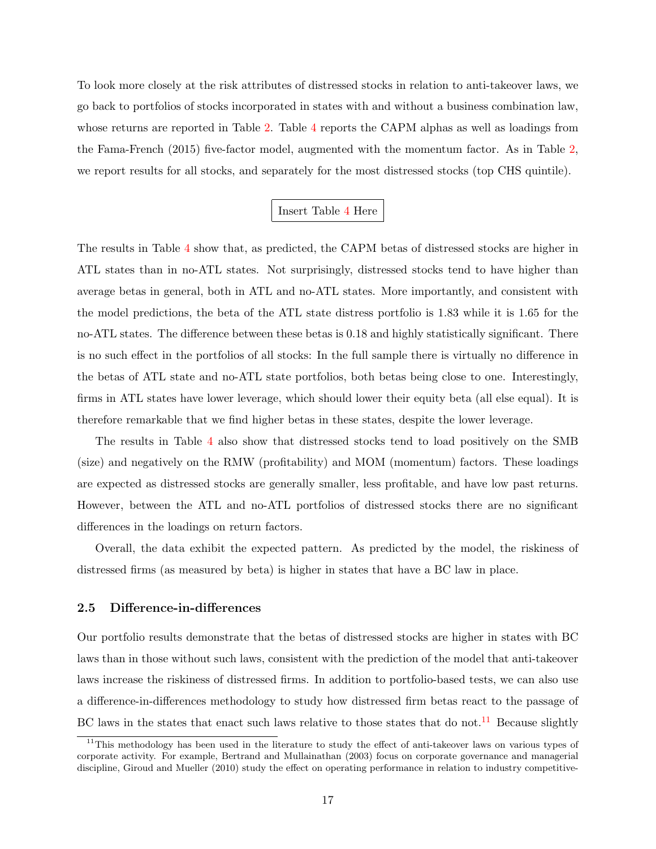To look more closely at the risk attributes of distressed stocks in relation to anti-takeover laws, we go back to portfolios of stocks incorporated in states with and without a business combination law, whose returns are reported in Table [2.](#page-39-0) Table [4](#page-42-0) reports the CAPM alphas as well as loadings from the Fama-French (2015) five-factor model, augmented with the momentum factor. As in Table [2,](#page-39-0) we report results for all stocks, and separately for the most distressed stocks (top CHS quintile).

### Insert Table [4](#page-42-0) Here

The results in Table [4](#page-42-0) show that, as predicted, the CAPM betas of distressed stocks are higher in ATL states than in no-ATL states. Not surprisingly, distressed stocks tend to have higher than average betas in general, both in ATL and no-ATL states. More importantly, and consistent with the model predictions, the beta of the ATL state distress portfolio is 1.83 while it is 1.65 for the no-ATL states. The difference between these betas is 0.18 and highly statistically significant. There is no such effect in the portfolios of all stocks: In the full sample there is virtually no difference in the betas of ATL state and no-ATL state portfolios, both betas being close to one. Interestingly, firms in ATL states have lower leverage, which should lower their equity beta (all else equal). It is therefore remarkable that we find higher betas in these states, despite the lower leverage.

The results in Table [4](#page-42-0) also show that distressed stocks tend to load positively on the SMB (size) and negatively on the RMW (profitability) and MOM (momentum) factors. These loadings are expected as distressed stocks are generally smaller, less profitable, and have low past returns. However, between the ATL and no-ATL portfolios of distressed stocks there are no significant differences in the loadings on return factors.

Overall, the data exhibit the expected pattern. As predicted by the model, the riskiness of distressed firms (as measured by beta) is higher in states that have a BC law in place.

#### <span id="page-17-0"></span>2.5 Difference-in-differences

Our portfolio results demonstrate that the betas of distressed stocks are higher in states with BC laws than in those without such laws, consistent with the prediction of the model that anti-takeover laws increase the riskiness of distressed firms. In addition to portfolio-based tests, we can also use a difference-in-differences methodology to study how distressed firm betas react to the passage of BC laws in the states that enact such laws relative to those states that do not.<sup>[11](#page-17-1)</sup> Because slightly

<span id="page-17-1"></span><sup>&</sup>lt;sup>11</sup>This methodology has been used in the literature to study the effect of anti-takeover laws on various types of corporate activity. For example, Bertrand and Mullainathan (2003) focus on corporate governance and managerial discipline, Giroud and Mueller (2010) study the effect on operating performance in relation to industry competitive-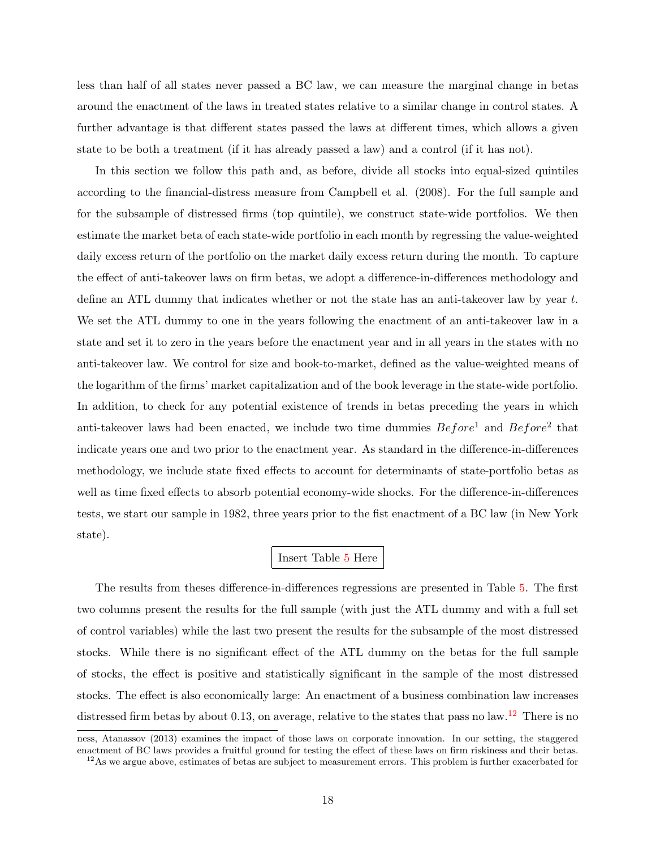less than half of all states never passed a BC law, we can measure the marginal change in betas around the enactment of the laws in treated states relative to a similar change in control states. A further advantage is that different states passed the laws at different times, which allows a given state to be both a treatment (if it has already passed a law) and a control (if it has not).

In this section we follow this path and, as before, divide all stocks into equal-sized quintiles according to the financial-distress measure from Campbell et al. (2008). For the full sample and for the subsample of distressed firms (top quintile), we construct state-wide portfolios. We then estimate the market beta of each state-wide portfolio in each month by regressing the value-weighted daily excess return of the portfolio on the market daily excess return during the month. To capture the effect of anti-takeover laws on firm betas, we adopt a difference-in-differences methodology and define an ATL dummy that indicates whether or not the state has an anti-takeover law by year t. We set the ATL dummy to one in the years following the enactment of an anti-takeover law in a state and set it to zero in the years before the enactment year and in all years in the states with no anti-takeover law. We control for size and book-to-market, defined as the value-weighted means of the logarithm of the firms' market capitalization and of the book leverage in the state-wide portfolio. In addition, to check for any potential existence of trends in betas preceding the years in which anti-takeover laws had been enacted, we include two time dummies  $Before<sup>1</sup>$  and  $Before<sup>2</sup>$  that indicate years one and two prior to the enactment year. As standard in the difference-in-differences methodology, we include state fixed effects to account for determinants of state-portfolio betas as well as time fixed effects to absorb potential economy-wide shocks. For the difference-in-differences tests, we start our sample in 1982, three years prior to the fist enactment of a BC law (in New York state).

### Insert Table [5](#page-43-0) Here

The results from theses difference-in-differences regressions are presented in Table [5.](#page-43-0) The first two columns present the results for the full sample (with just the ATL dummy and with a full set of control variables) while the last two present the results for the subsample of the most distressed stocks. While there is no significant effect of the ATL dummy on the betas for the full sample of stocks, the effect is positive and statistically significant in the sample of the most distressed stocks. The effect is also economically large: An enactment of a business combination law increases distressed firm betas by about 0.13, on average, relative to the states that pass no law.<sup>[12](#page-18-0)</sup> There is no

ness, Atanassov (2013) examines the impact of those laws on corporate innovation. In our setting, the staggered enactment of BC laws provides a fruitful ground for testing the effect of these laws on firm riskiness and their betas.

<span id="page-18-0"></span> $12\text{As}$  we argue above, estimates of betas are subject to measurement errors. This problem is further exacerbated for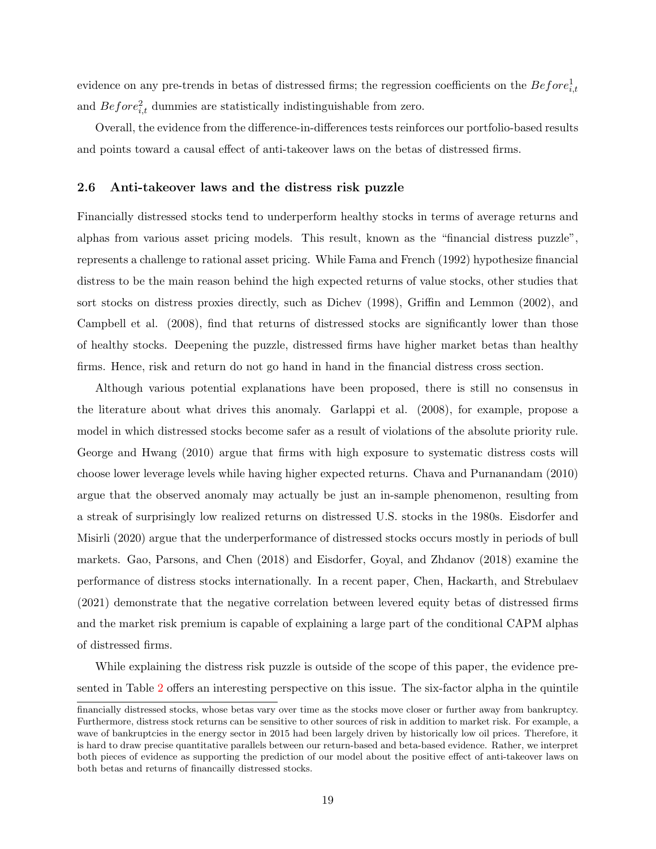evidence on any pre-trends in betas of distressed firms; the regression coefficients on the  $Before_{i,t}^1$ and  $Before_{i,t}^2$  dummies are statistically indistinguishable from zero.

Overall, the evidence from the difference-in-differences tests reinforces our portfolio-based results and points toward a causal effect of anti-takeover laws on the betas of distressed firms.

#### <span id="page-19-0"></span>2.6 Anti-takeover laws and the distress risk puzzle

Financially distressed stocks tend to underperform healthy stocks in terms of average returns and alphas from various asset pricing models. This result, known as the "financial distress puzzle", represents a challenge to rational asset pricing. While Fama and French (1992) hypothesize financial distress to be the main reason behind the high expected returns of value stocks, other studies that sort stocks on distress proxies directly, such as Dichev (1998), Griffin and Lemmon (2002), and Campbell et al. (2008), find that returns of distressed stocks are significantly lower than those of healthy stocks. Deepening the puzzle, distressed firms have higher market betas than healthy firms. Hence, risk and return do not go hand in hand in the financial distress cross section.

Although various potential explanations have been proposed, there is still no consensus in the literature about what drives this anomaly. Garlappi et al. (2008), for example, propose a model in which distressed stocks become safer as a result of violations of the absolute priority rule. George and Hwang (2010) argue that firms with high exposure to systematic distress costs will choose lower leverage levels while having higher expected returns. Chava and Purnanandam (2010) argue that the observed anomaly may actually be just an in-sample phenomenon, resulting from a streak of surprisingly low realized returns on distressed U.S. stocks in the 1980s. Eisdorfer and Misirli (2020) argue that the underperformance of distressed stocks occurs mostly in periods of bull markets. Gao, Parsons, and Chen (2018) and Eisdorfer, Goyal, and Zhdanov (2018) examine the performance of distress stocks internationally. In a recent paper, Chen, Hackarth, and Strebulaev (2021) demonstrate that the negative correlation between levered equity betas of distressed firms and the market risk premium is capable of explaining a large part of the conditional CAPM alphas of distressed firms.

While explaining the distress risk puzzle is outside of the scope of this paper, the evidence presented in Table [2](#page-39-0) offers an interesting perspective on this issue. The six-factor alpha in the quintile

financially distressed stocks, whose betas vary over time as the stocks move closer or further away from bankruptcy. Furthermore, distress stock returns can be sensitive to other sources of risk in addition to market risk. For example, a wave of bankruptcies in the energy sector in 2015 had been largely driven by historically low oil prices. Therefore, it is hard to draw precise quantitative parallels between our return-based and beta-based evidence. Rather, we interpret both pieces of evidence as supporting the prediction of our model about the positive effect of anti-takeover laws on both betas and returns of financailly distressed stocks.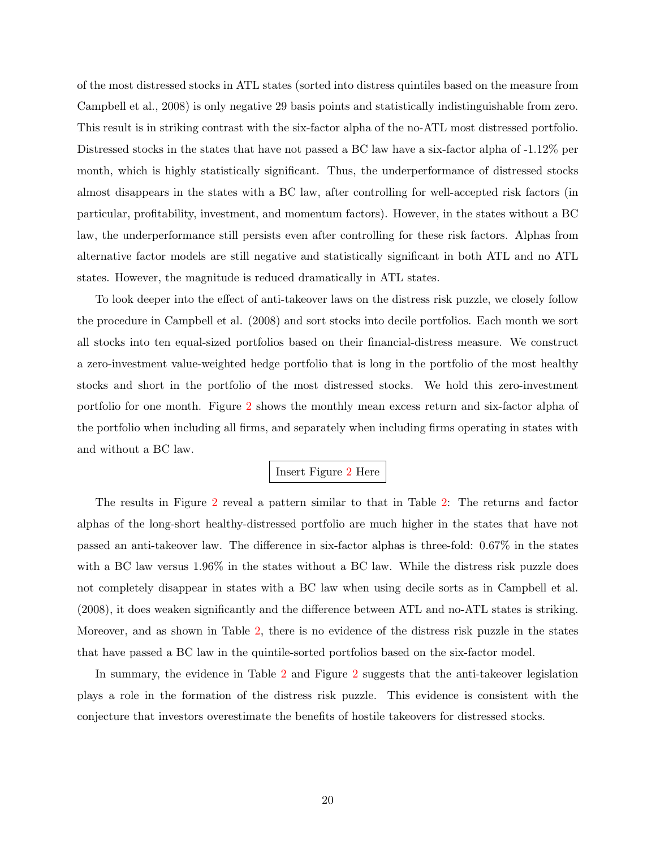of the most distressed stocks in ATL states (sorted into distress quintiles based on the measure from Campbell et al., 2008) is only negative 29 basis points and statistically indistinguishable from zero. This result is in striking contrast with the six-factor alpha of the no-ATL most distressed portfolio. Distressed stocks in the states that have not passed a BC law have a six-factor alpha of -1.12% per month, which is highly statistically significant. Thus, the underperformance of distressed stocks almost disappears in the states with a BC law, after controlling for well-accepted risk factors (in particular, profitability, investment, and momentum factors). However, in the states without a BC law, the underperformance still persists even after controlling for these risk factors. Alphas from alternative factor models are still negative and statistically significant in both ATL and no ATL states. However, the magnitude is reduced dramatically in ATL states.

To look deeper into the effect of anti-takeover laws on the distress risk puzzle, we closely follow the procedure in Campbell et al. (2008) and sort stocks into decile portfolios. Each month we sort all stocks into ten equal-sized portfolios based on their financial-distress measure. We construct a zero-investment value-weighted hedge portfolio that is long in the portfolio of the most healthy stocks and short in the portfolio of the most distressed stocks. We hold this zero-investment portfolio for one month. Figure [2](#page-51-0) shows the monthly mean excess return and six-factor alpha of the portfolio when including all firms, and separately when including firms operating in states with and without a BC law.

### Insert Figure [2](#page-51-0) Here

The results in Figure [2](#page-51-0) reveal a pattern similar to that in Table [2:](#page-39-0) The returns and factor alphas of the long-short healthy-distressed portfolio are much higher in the states that have not passed an anti-takeover law. The difference in six-factor alphas is three-fold: 0.67% in the states with a BC law versus  $1.96\%$  in the states without a BC law. While the distress risk puzzle does not completely disappear in states with a BC law when using decile sorts as in Campbell et al. (2008), it does weaken significantly and the difference between ATL and no-ATL states is striking. Moreover, and as shown in Table [2,](#page-39-0) there is no evidence of the distress risk puzzle in the states that have passed a BC law in the quintile-sorted portfolios based on the six-factor model.

In summary, the evidence in Table [2](#page-39-0) and Figure [2](#page-51-0) suggests that the anti-takeover legislation plays a role in the formation of the distress risk puzzle. This evidence is consistent with the conjecture that investors overestimate the benefits of hostile takeovers for distressed stocks.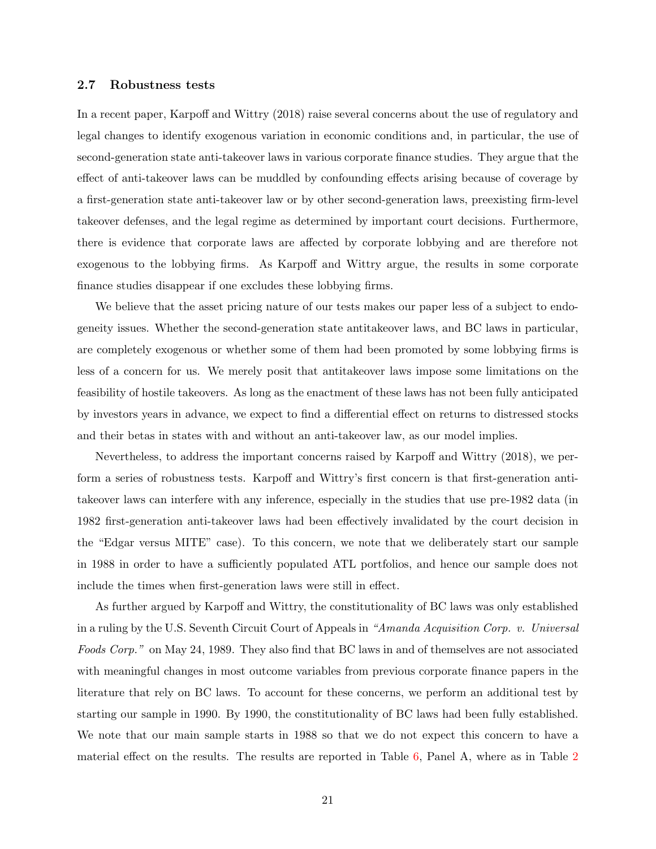#### <span id="page-21-0"></span>2.7 Robustness tests

In a recent paper, Karpoff and Wittry (2018) raise several concerns about the use of regulatory and legal changes to identify exogenous variation in economic conditions and, in particular, the use of second-generation state anti-takeover laws in various corporate finance studies. They argue that the effect of anti-takeover laws can be muddled by confounding effects arising because of coverage by a first-generation state anti-takeover law or by other second-generation laws, preexisting firm-level takeover defenses, and the legal regime as determined by important court decisions. Furthermore, there is evidence that corporate laws are affected by corporate lobbying and are therefore not exogenous to the lobbying firms. As Karpoff and Wittry argue, the results in some corporate finance studies disappear if one excludes these lobbying firms.

We believe that the asset pricing nature of our tests makes our paper less of a subject to endogeneity issues. Whether the second-generation state antitakeover laws, and BC laws in particular, are completely exogenous or whether some of them had been promoted by some lobbying firms is less of a concern for us. We merely posit that antitakeover laws impose some limitations on the feasibility of hostile takeovers. As long as the enactment of these laws has not been fully anticipated by investors years in advance, we expect to find a differential effect on returns to distressed stocks and their betas in states with and without an anti-takeover law, as our model implies.

Nevertheless, to address the important concerns raised by Karpoff and Wittry (2018), we perform a series of robustness tests. Karpoff and Wittry's first concern is that first-generation antitakeover laws can interfere with any inference, especially in the studies that use pre-1982 data (in 1982 first-generation anti-takeover laws had been effectively invalidated by the court decision in the "Edgar versus MITE" case). To this concern, we note that we deliberately start our sample in 1988 in order to have a sufficiently populated ATL portfolios, and hence our sample does not include the times when first-generation laws were still in effect.

As further argued by Karpoff and Wittry, the constitutionality of BC laws was only established in a ruling by the U.S. Seventh Circuit Court of Appeals in "Amanda Acquisition Corp. v. Universal Foods Corp." on May 24, 1989. They also find that BC laws in and of themselves are not associated with meaningful changes in most outcome variables from previous corporate finance papers in the literature that rely on BC laws. To account for these concerns, we perform an additional test by starting our sample in 1990. By 1990, the constitutionality of BC laws had been fully established. We note that our main sample starts in 1988 so that we do not expect this concern to have a material effect on the results. The results are reported in Table  $6$ , Panel A, where as in Table  $2$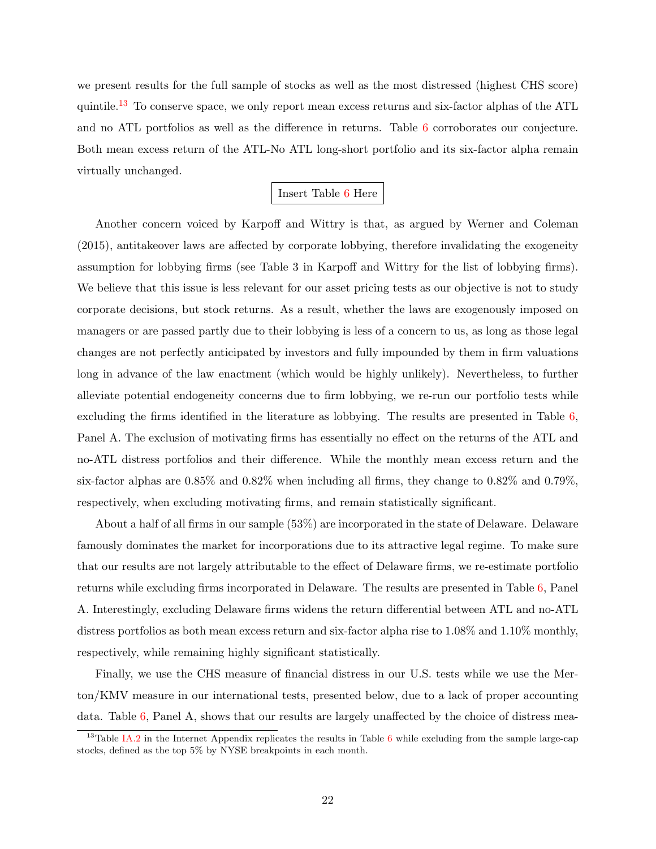we present results for the full sample of stocks as well as the most distressed (highest CHS score) quintile.<sup>[13](#page-22-0)</sup> To conserve space, we only report mean excess returns and six-factor alphas of the ATL and no ATL portfolios as well as the difference in returns. Table [6](#page-44-0) corroborates our conjecture. Both mean excess return of the ATL-No ATL long-short portfolio and its six-factor alpha remain virtually unchanged.

### Insert Table [6](#page-44-0) Here

Another concern voiced by Karpoff and Wittry is that, as argued by Werner and Coleman (2015), antitakeover laws are affected by corporate lobbying, therefore invalidating the exogeneity assumption for lobbying firms (see Table 3 in Karpoff and Wittry for the list of lobbying firms). We believe that this issue is less relevant for our asset pricing tests as our objective is not to study corporate decisions, but stock returns. As a result, whether the laws are exogenously imposed on managers or are passed partly due to their lobbying is less of a concern to us, as long as those legal changes are not perfectly anticipated by investors and fully impounded by them in firm valuations long in advance of the law enactment (which would be highly unlikely). Nevertheless, to further alleviate potential endogeneity concerns due to firm lobbying, we re-run our portfolio tests while excluding the firms identified in the literature as lobbying. The results are presented in Table [6,](#page-44-0) Panel A. The exclusion of motivating firms has essentially no effect on the returns of the ATL and no-ATL distress portfolios and their difference. While the monthly mean excess return and the six-factor alphas are  $0.85\%$  and  $0.82\%$  when including all firms, they change to  $0.82\%$  and  $0.79\%$ . respectively, when excluding motivating firms, and remain statistically significant.

About a half of all firms in our sample (53%) are incorporated in the state of Delaware. Delaware famously dominates the market for incorporations due to its attractive legal regime. To make sure that our results are not largely attributable to the effect of Delaware firms, we re-estimate portfolio returns while excluding firms incorporated in Delaware. The results are presented in Table [6,](#page-44-0) Panel A. Interestingly, excluding Delaware firms widens the return differential between ATL and no-ATL distress portfolios as both mean excess return and six-factor alpha rise to 1.08% and 1.10% monthly, respectively, while remaining highly significant statistically.

Finally, we use the CHS measure of financial distress in our U.S. tests while we use the Merton/KMV measure in our international tests, presented below, due to a lack of proper accounting data. Table [6,](#page-44-0) Panel A, shows that our results are largely unaffected by the choice of distress mea-

<span id="page-22-0"></span><sup>&</sup>lt;sup>13</sup>Table [IA.2](#page-59-0) in the Internet Appendix replicates the results in Table [6](#page-44-0) while excluding from the sample large-cap stocks, defined as the top 5% by NYSE breakpoints in each month.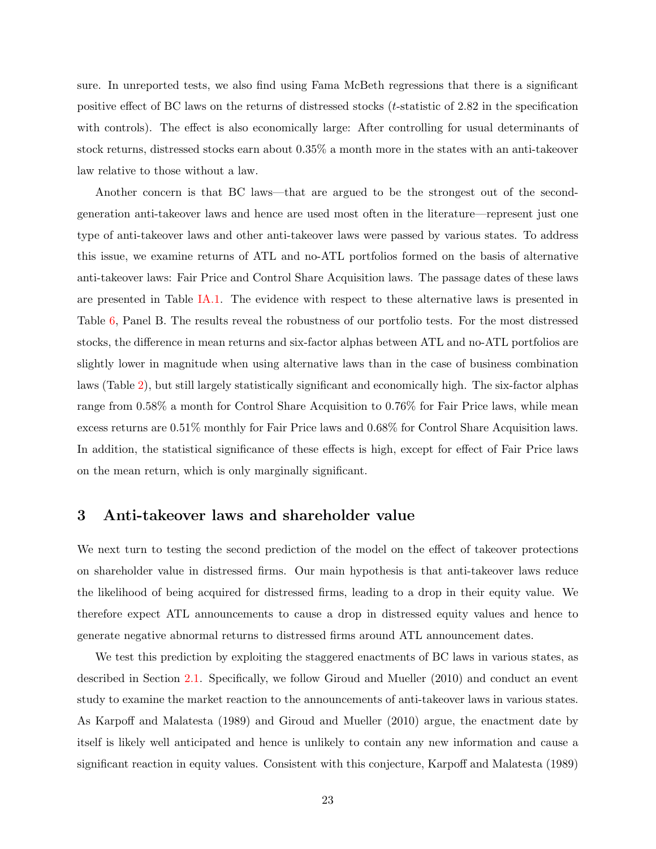sure. In unreported tests, we also find using Fama McBeth regressions that there is a significant positive effect of BC laws on the returns of distressed stocks  $(t\text{-statistic of } 2.82 \text{ in the specification})$ with controls). The effect is also economically large: After controlling for usual determinants of stock returns, distressed stocks earn about 0.35% a month more in the states with an anti-takeover law relative to those without a law.

Another concern is that BC laws—that are argued to be the strongest out of the secondgeneration anti-takeover laws and hence are used most often in the literature—represent just one type of anti-takeover laws and other anti-takeover laws were passed by various states. To address this issue, we examine returns of ATL and no-ATL portfolios formed on the basis of alternative anti-takeover laws: Fair Price and Control Share Acquisition laws. The passage dates of these laws are presented in Table [IA.1.](#page-58-0) The evidence with respect to these alternative laws is presented in Table [6,](#page-44-0) Panel B. The results reveal the robustness of our portfolio tests. For the most distressed stocks, the difference in mean returns and six-factor alphas between ATL and no-ATL portfolios are slightly lower in magnitude when using alternative laws than in the case of business combination laws (Table [2\)](#page-39-0), but still largely statistically significant and economically high. The six-factor alphas range from 0.58% a month for Control Share Acquisition to 0.76% for Fair Price laws, while mean excess returns are 0.51% monthly for Fair Price laws and 0.68% for Control Share Acquisition laws. In addition, the statistical significance of these effects is high, except for effect of Fair Price laws on the mean return, which is only marginally significant.

### <span id="page-23-0"></span>3 Anti-takeover laws and shareholder value

We next turn to testing the second prediction of the model on the effect of takeover protections on shareholder value in distressed firms. Our main hypothesis is that anti-takeover laws reduce the likelihood of being acquired for distressed firms, leading to a drop in their equity value. We therefore expect ATL announcements to cause a drop in distressed equity values and hence to generate negative abnormal returns to distressed firms around ATL announcement dates.

We test this prediction by exploiting the staggered enactments of BC laws in various states, as described in Section [2.1.](#page-13-1) Specifically, we follow Giroud and Mueller (2010) and conduct an event study to examine the market reaction to the announcements of anti-takeover laws in various states. As Karpoff and Malatesta (1989) and Giroud and Mueller (2010) argue, the enactment date by itself is likely well anticipated and hence is unlikely to contain any new information and cause a significant reaction in equity values. Consistent with this conjecture, Karpoff and Malatesta (1989)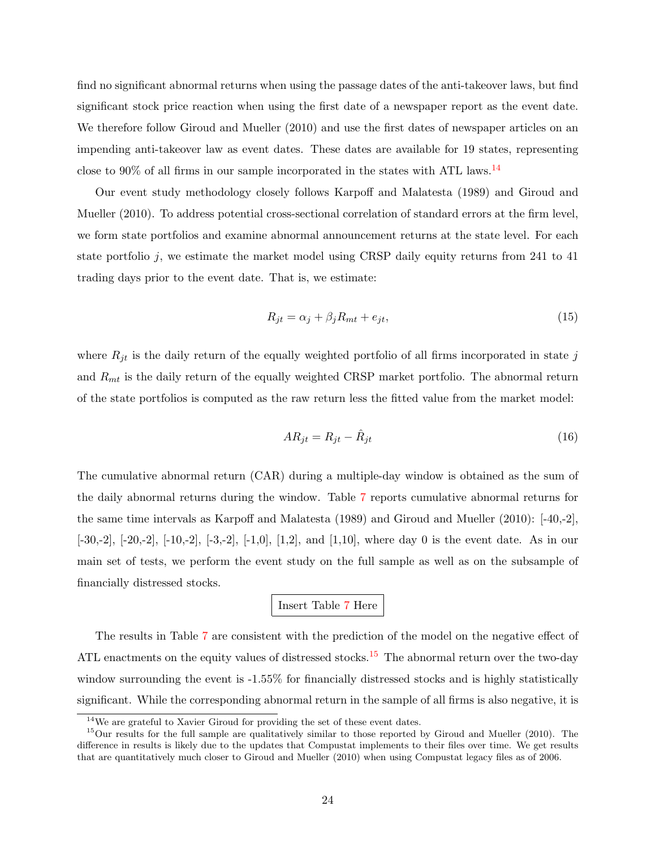find no significant abnormal returns when using the passage dates of the anti-takeover laws, but find significant stock price reaction when using the first date of a newspaper report as the event date. We therefore follow Giroud and Mueller (2010) and use the first dates of newspaper articles on an impending anti-takeover law as event dates. These dates are available for 19 states, representing close to  $90\%$  of all firms in our sample incorporated in the states with ATL laws.<sup>[14](#page-24-0)</sup>

Our event study methodology closely follows Karpoff and Malatesta (1989) and Giroud and Mueller (2010). To address potential cross-sectional correlation of standard errors at the firm level, we form state portfolios and examine abnormal announcement returns at the state level. For each state portfolio j, we estimate the market model using CRSP daily equity returns from 241 to 41 trading days prior to the event date. That is, we estimate:

$$
R_{jt} = \alpha_j + \beta_j R_{mt} + e_{jt},\tag{15}
$$

where  $R_{jt}$  is the daily return of the equally weighted portfolio of all firms incorporated in state j and  $R_{mt}$  is the daily return of the equally weighted CRSP market portfolio. The abnormal return of the state portfolios is computed as the raw return less the fitted value from the market model:

$$
AR_{jt} = R_{jt} - \hat{R}_{jt} \tag{16}
$$

The cumulative abnormal return (CAR) during a multiple-day window is obtained as the sum of the daily abnormal returns during the window. Table [7](#page-46-0) reports cumulative abnormal returns for the same time intervals as Karpoff and Malatesta (1989) and Giroud and Mueller (2010): [-40,-2],  $[-30,-2]$ ,  $[-20,-2]$ ,  $[-10,-2]$ ,  $[-3,-2]$ ,  $[-1,0]$ ,  $[1,2]$ , and  $[1,10]$ , where day 0 is the event date. As in our main set of tests, we perform the event study on the full sample as well as on the subsample of financially distressed stocks.

Insert Table [7](#page-46-0) Here

The results in Table [7](#page-46-0) are consistent with the prediction of the model on the negative effect of ATL enactments on the equity values of distressed stocks.<sup>[15](#page-24-1)</sup> The abnormal return over the two-day window surrounding the event is  $-1.55\%$  for financially distressed stocks and is highly statistically significant. While the corresponding abnormal return in the sample of all firms is also negative, it is

<span id="page-24-1"></span><span id="page-24-0"></span><sup>14</sup>We are grateful to Xavier Giroud for providing the set of these event dates.

<sup>&</sup>lt;sup>15</sup>Our results for the full sample are qualitatively similar to those reported by Giroud and Mueller (2010). The difference in results is likely due to the updates that Compustat implements to their files over time. We get results that are quantitatively much closer to Giroud and Mueller (2010) when using Compustat legacy files as of 2006.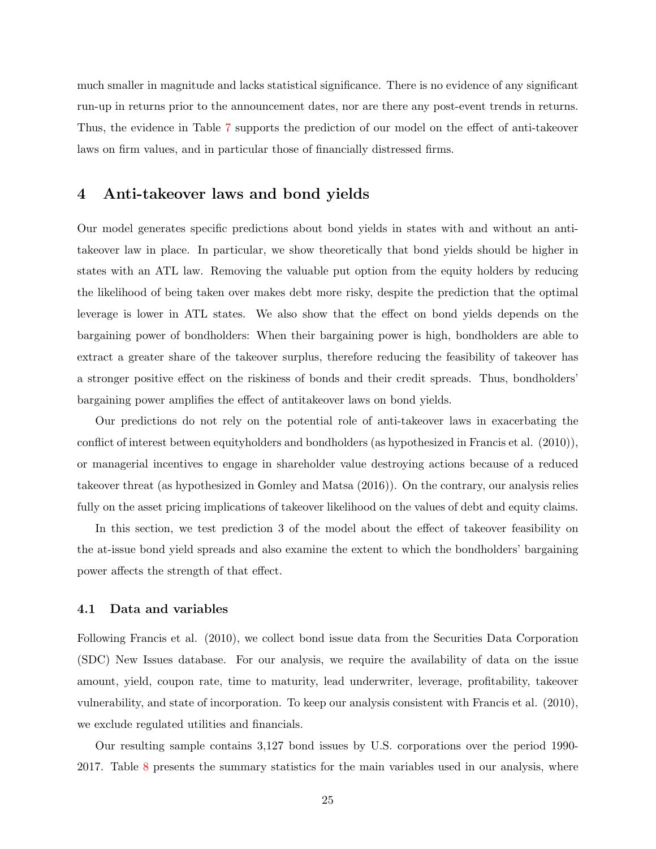much smaller in magnitude and lacks statistical significance. There is no evidence of any significant run-up in returns prior to the announcement dates, nor are there any post-event trends in returns. Thus, the evidence in Table [7](#page-46-0) supports the prediction of our model on the effect of anti-takeover laws on firm values, and in particular those of financially distressed firms.

## <span id="page-25-0"></span>4 Anti-takeover laws and bond yields

Our model generates specific predictions about bond yields in states with and without an antitakeover law in place. In particular, we show theoretically that bond yields should be higher in states with an ATL law. Removing the valuable put option from the equity holders by reducing the likelihood of being taken over makes debt more risky, despite the prediction that the optimal leverage is lower in ATL states. We also show that the effect on bond yields depends on the bargaining power of bondholders: When their bargaining power is high, bondholders are able to extract a greater share of the takeover surplus, therefore reducing the feasibility of takeover has a stronger positive effect on the riskiness of bonds and their credit spreads. Thus, bondholders' bargaining power amplifies the effect of antitakeover laws on bond yields.

Our predictions do not rely on the potential role of anti-takeover laws in exacerbating the conflict of interest between equityholders and bondholders (as hypothesized in Francis et al. (2010)), or managerial incentives to engage in shareholder value destroying actions because of a reduced takeover threat (as hypothesized in Gomley and Matsa (2016)). On the contrary, our analysis relies fully on the asset pricing implications of takeover likelihood on the values of debt and equity claims.

In this section, we test prediction 3 of the model about the effect of takeover feasibility on the at-issue bond yield spreads and also examine the extent to which the bondholders' bargaining power affects the strength of that effect.

### 4.1 Data and variables

Following Francis et al. (2010), we collect bond issue data from the Securities Data Corporation (SDC) New Issues database. For our analysis, we require the availability of data on the issue amount, yield, coupon rate, time to maturity, lead underwriter, leverage, profitability, takeover vulnerability, and state of incorporation. To keep our analysis consistent with Francis et al. (2010), we exclude regulated utilities and financials.

Our resulting sample contains 3,127 bond issues by U.S. corporations over the period 1990- 2017. Table [8](#page-47-0) presents the summary statistics for the main variables used in our analysis, where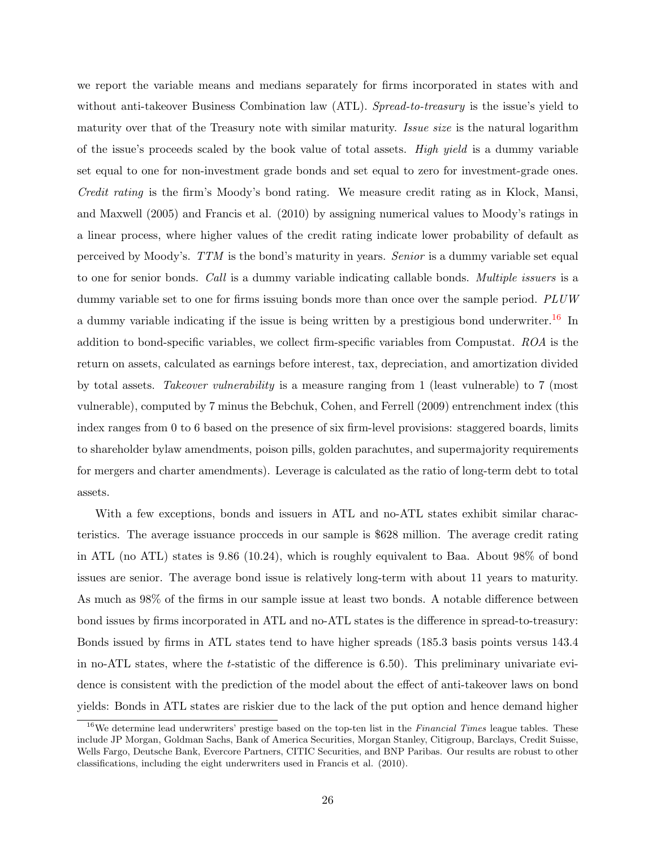we report the variable means and medians separately for firms incorporated in states with and without anti-takeover Business Combination law (ATL). Spread-to-treasury is the issue's yield to maturity over that of the Treasury note with similar maturity. Issue size is the natural logarithm of the issue's proceeds scaled by the book value of total assets. High yield is a dummy variable set equal to one for non-investment grade bonds and set equal to zero for investment-grade ones. Credit rating is the firm's Moody's bond rating. We measure credit rating as in Klock, Mansi, and Maxwell (2005) and Francis et al. (2010) by assigning numerical values to Moody's ratings in a linear process, where higher values of the credit rating indicate lower probability of default as perceived by Moody's. TTM is the bond's maturity in years. Senior is a dummy variable set equal to one for senior bonds. Call is a dummy variable indicating callable bonds. Multiple issuers is a dummy variable set to one for firms issuing bonds more than once over the sample period. PLUW a dummy variable indicating if the issue is being written by a prestigious bond underwriter.<sup>[16](#page-26-0)</sup> In addition to bond-specific variables, we collect firm-specific variables from Compustat. ROA is the return on assets, calculated as earnings before interest, tax, depreciation, and amortization divided by total assets. Takeover vulnerability is a measure ranging from 1 (least vulnerable) to 7 (most vulnerable), computed by 7 minus the Bebchuk, Cohen, and Ferrell (2009) entrenchment index (this index ranges from 0 to 6 based on the presence of six firm-level provisions: staggered boards, limits to shareholder bylaw amendments, poison pills, golden parachutes, and supermajority requirements for mergers and charter amendments). Leverage is calculated as the ratio of long-term debt to total assets.

With a few exceptions, bonds and issuers in ATL and no-ATL states exhibit similar characteristics. The average issuance procceds in our sample is \$628 million. The average credit rating in ATL (no ATL) states is 9.86 (10.24), which is roughly equivalent to Baa. About 98% of bond issues are senior. The average bond issue is relatively long-term with about 11 years to maturity. As much as 98% of the firms in our sample issue at least two bonds. A notable difference between bond issues by firms incorporated in ATL and no-ATL states is the difference in spread-to-treasury: Bonds issued by firms in ATL states tend to have higher spreads (185.3 basis points versus 143.4 in no-ATL states, where the t-statistic of the difference is 6.50). This preliminary univariate evidence is consistent with the prediction of the model about the effect of anti-takeover laws on bond yields: Bonds in ATL states are riskier due to the lack of the put option and hence demand higher

<span id="page-26-0"></span> $16$ We determine lead underwriters' prestige based on the top-ten list in the Financial Times league tables. These include JP Morgan, Goldman Sachs, Bank of America Securities, Morgan Stanley, Citigroup, Barclays, Credit Suisse, Wells Fargo, Deutsche Bank, Evercore Partners, CITIC Securities, and BNP Paribas. Our results are robust to other classifications, including the eight underwriters used in Francis et al. (2010).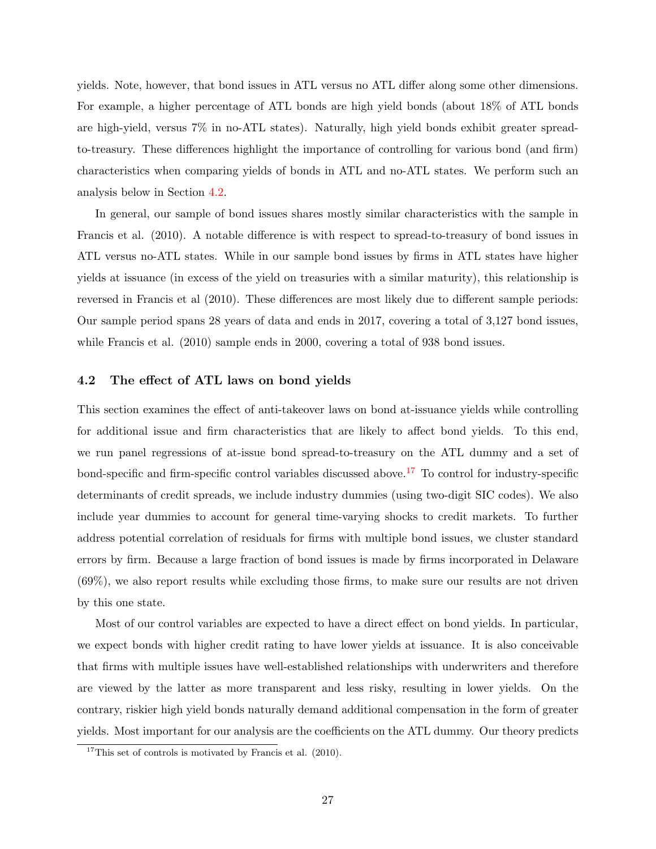yields. Note, however, that bond issues in ATL versus no ATL differ along some other dimensions. For example, a higher percentage of ATL bonds are high yield bonds (about 18% of ATL bonds are high-yield, versus 7% in no-ATL states). Naturally, high yield bonds exhibit greater spreadto-treasury. These differences highlight the importance of controlling for various bond (and firm) characteristics when comparing yields of bonds in ATL and no-ATL states. We perform such an analysis below in Section [4.2.](#page-27-0)

In general, our sample of bond issues shares mostly similar characteristics with the sample in Francis et al. (2010). A notable difference is with respect to spread-to-treasury of bond issues in ATL versus no-ATL states. While in our sample bond issues by firms in ATL states have higher yields at issuance (in excess of the yield on treasuries with a similar maturity), this relationship is reversed in Francis et al (2010). These differences are most likely due to different sample periods: Our sample period spans 28 years of data and ends in 2017, covering a total of 3,127 bond issues, while Francis et al. (2010) sample ends in 2000, covering a total of 938 bond issues.

### <span id="page-27-0"></span>4.2 The effect of ATL laws on bond yields

This section examines the effect of anti-takeover laws on bond at-issuance yields while controlling for additional issue and firm characteristics that are likely to affect bond yields. To this end, we run panel regressions of at-issue bond spread-to-treasury on the ATL dummy and a set of bond-specific and firm-specific control variables discussed above.[17](#page-27-1) To control for industry-specific determinants of credit spreads, we include industry dummies (using two-digit SIC codes). We also include year dummies to account for general time-varying shocks to credit markets. To further address potential correlation of residuals for firms with multiple bond issues, we cluster standard errors by firm. Because a large fraction of bond issues is made by firms incorporated in Delaware (69%), we also report results while excluding those firms, to make sure our results are not driven by this one state.

Most of our control variables are expected to have a direct effect on bond yields. In particular, we expect bonds with higher credit rating to have lower yields at issuance. It is also conceivable that firms with multiple issues have well-established relationships with underwriters and therefore are viewed by the latter as more transparent and less risky, resulting in lower yields. On the contrary, riskier high yield bonds naturally demand additional compensation in the form of greater yields. Most important for our analysis are the coefficients on the ATL dummy. Our theory predicts

<span id="page-27-1"></span> $17$ This set of controls is motivated by Francis et al. (2010).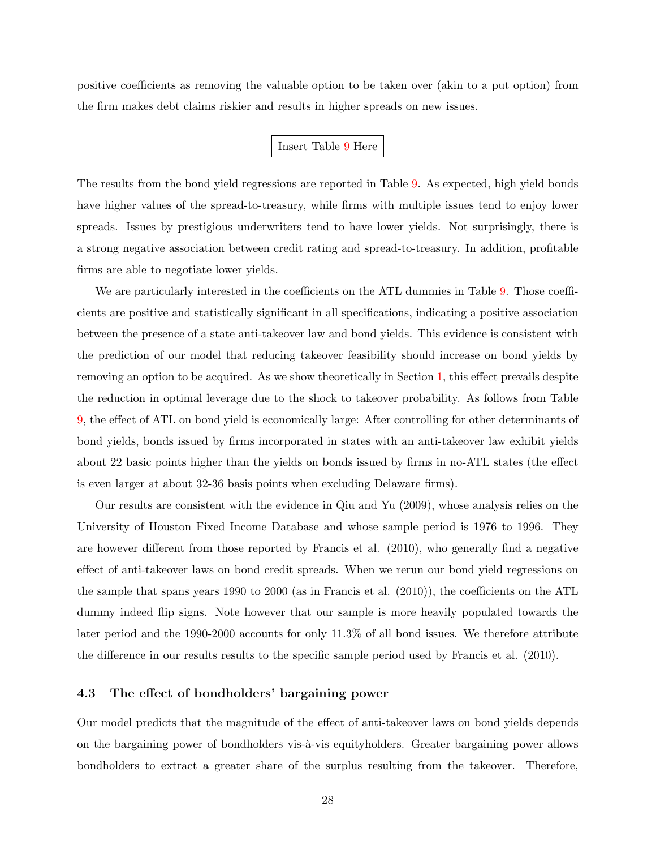positive coefficients as removing the valuable option to be taken over (akin to a put option) from the firm makes debt claims riskier and results in higher spreads on new issues.

### Insert Table [9](#page-48-0) Here

The results from the bond yield regressions are reported in Table [9.](#page-48-0) As expected, high yield bonds have higher values of the spread-to-treasury, while firms with multiple issues tend to enjoy lower spreads. Issues by prestigious underwriters tend to have lower yields. Not surprisingly, there is a strong negative association between credit rating and spread-to-treasury. In addition, profitable firms are able to negotiate lower yields.

We are particularly interested in the coefficients on the ATL dummies in Table [9.](#page-48-0) Those coefficients are positive and statistically significant in all specifications, indicating a positive association between the presence of a state anti-takeover law and bond yields. This evidence is consistent with the prediction of our model that reducing takeover feasibility should increase on bond yields by removing an option to be acquired. As we show theoretically in Section [1,](#page-6-2) this effect prevails despite the reduction in optimal leverage due to the shock to takeover probability. As follows from Table [9,](#page-48-0) the effect of ATL on bond yield is economically large: After controlling for other determinants of bond yields, bonds issued by firms incorporated in states with an anti-takeover law exhibit yields about 22 basic points higher than the yields on bonds issued by firms in no-ATL states (the effect is even larger at about 32-36 basis points when excluding Delaware firms).

Our results are consistent with the evidence in Qiu and Yu (2009), whose analysis relies on the University of Houston Fixed Income Database and whose sample period is 1976 to 1996. They are however different from those reported by Francis et al. (2010), who generally find a negative effect of anti-takeover laws on bond credit spreads. When we rerun our bond yield regressions on the sample that spans years 1990 to 2000 (as in Francis et al. (2010)), the coefficients on the ATL dummy indeed flip signs. Note however that our sample is more heavily populated towards the later period and the 1990-2000 accounts for only 11.3% of all bond issues. We therefore attribute the difference in our results results to the specific sample period used by Francis et al. (2010).

#### 4.3 The effect of bondholders' bargaining power

Our model predicts that the magnitude of the effect of anti-takeover laws on bond yields depends on the bargaining power of bondholders vis- $\grave{a}$ -vis equityholders. Greater bargaining power allows bondholders to extract a greater share of the surplus resulting from the takeover. Therefore,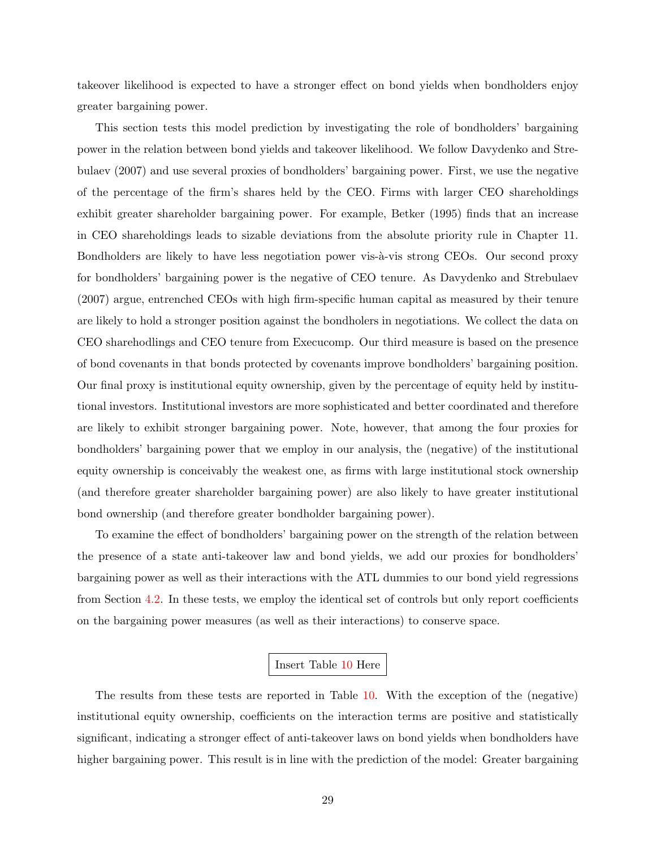takeover likelihood is expected to have a stronger effect on bond yields when bondholders enjoy greater bargaining power.

This section tests this model prediction by investigating the role of bondholders' bargaining power in the relation between bond yields and takeover likelihood. We follow Davydenko and Strebulaev (2007) and use several proxies of bondholders' bargaining power. First, we use the negative of the percentage of the firm's shares held by the CEO. Firms with larger CEO shareholdings exhibit greater shareholder bargaining power. For example, Betker (1995) finds that an increase in CEO shareholdings leads to sizable deviations from the absolute priority rule in Chapter 11. Bondholders are likely to have less negotiation power vis- $\alpha$ -vis strong CEOs. Our second proxy for bondholders' bargaining power is the negative of CEO tenure. As Davydenko and Strebulaev (2007) argue, entrenched CEOs with high firm-specific human capital as measured by their tenure are likely to hold a stronger position against the bondholers in negotiations. We collect the data on CEO sharehodlings and CEO tenure from Execucomp. Our third measure is based on the presence of bond covenants in that bonds protected by covenants improve bondholders' bargaining position. Our final proxy is institutional equity ownership, given by the percentage of equity held by institutional investors. Institutional investors are more sophisticated and better coordinated and therefore are likely to exhibit stronger bargaining power. Note, however, that among the four proxies for bondholders' bargaining power that we employ in our analysis, the (negative) of the institutional equity ownership is conceivably the weakest one, as firms with large institutional stock ownership (and therefore greater shareholder bargaining power) are also likely to have greater institutional bond ownership (and therefore greater bondholder bargaining power).

To examine the effect of bondholders' bargaining power on the strength of the relation between the presence of a state anti-takeover law and bond yields, we add our proxies for bondholders' bargaining power as well as their interactions with the ATL dummies to our bond yield regressions from Section [4.2.](#page-27-0) In these tests, we employ the identical set of controls but only report coefficients on the bargaining power measures (as well as their interactions) to conserve space.

### Insert Table [10](#page-49-0) Here

The results from these tests are reported in Table [10.](#page-49-0) With the exception of the (negative) institutional equity ownership, coefficients on the interaction terms are positive and statistically significant, indicating a stronger effect of anti-takeover laws on bond yields when bondholders have higher bargaining power. This result is in line with the prediction of the model: Greater bargaining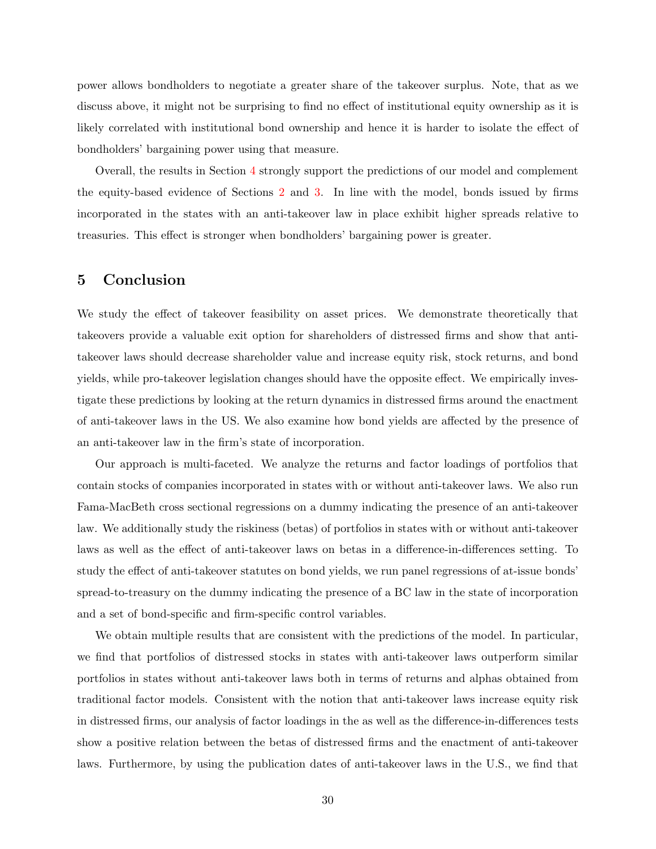power allows bondholders to negotiate a greater share of the takeover surplus. Note, that as we discuss above, it might not be surprising to find no effect of institutional equity ownership as it is likely correlated with institutional bond ownership and hence it is harder to isolate the effect of bondholders' bargaining power using that measure.

Overall, the results in Section [4](#page-25-0) strongly support the predictions of our model and complement the equity-based evidence of Sections [2](#page-11-0) and [3.](#page-23-0) In line with the model, bonds issued by firms incorporated in the states with an anti-takeover law in place exhibit higher spreads relative to treasuries. This effect is stronger when bondholders' bargaining power is greater.

# <span id="page-30-0"></span>5 Conclusion

We study the effect of takeover feasibility on asset prices. We demonstrate theoretically that takeovers provide a valuable exit option for shareholders of distressed firms and show that antitakeover laws should decrease shareholder value and increase equity risk, stock returns, and bond yields, while pro-takeover legislation changes should have the opposite effect. We empirically investigate these predictions by looking at the return dynamics in distressed firms around the enactment of anti-takeover laws in the US. We also examine how bond yields are affected by the presence of an anti-takeover law in the firm's state of incorporation.

Our approach is multi-faceted. We analyze the returns and factor loadings of portfolios that contain stocks of companies incorporated in states with or without anti-takeover laws. We also run Fama-MacBeth cross sectional regressions on a dummy indicating the presence of an anti-takeover law. We additionally study the riskiness (betas) of portfolios in states with or without anti-takeover laws as well as the effect of anti-takeover laws on betas in a difference-in-differences setting. To study the effect of anti-takeover statutes on bond yields, we run panel regressions of at-issue bonds' spread-to-treasury on the dummy indicating the presence of a BC law in the state of incorporation and a set of bond-specific and firm-specific control variables.

We obtain multiple results that are consistent with the predictions of the model. In particular, we find that portfolios of distressed stocks in states with anti-takeover laws outperform similar portfolios in states without anti-takeover laws both in terms of returns and alphas obtained from traditional factor models. Consistent with the notion that anti-takeover laws increase equity risk in distressed firms, our analysis of factor loadings in the as well as the difference-in-differences tests show a positive relation between the betas of distressed firms and the enactment of anti-takeover laws. Furthermore, by using the publication dates of anti-takeover laws in the U.S., we find that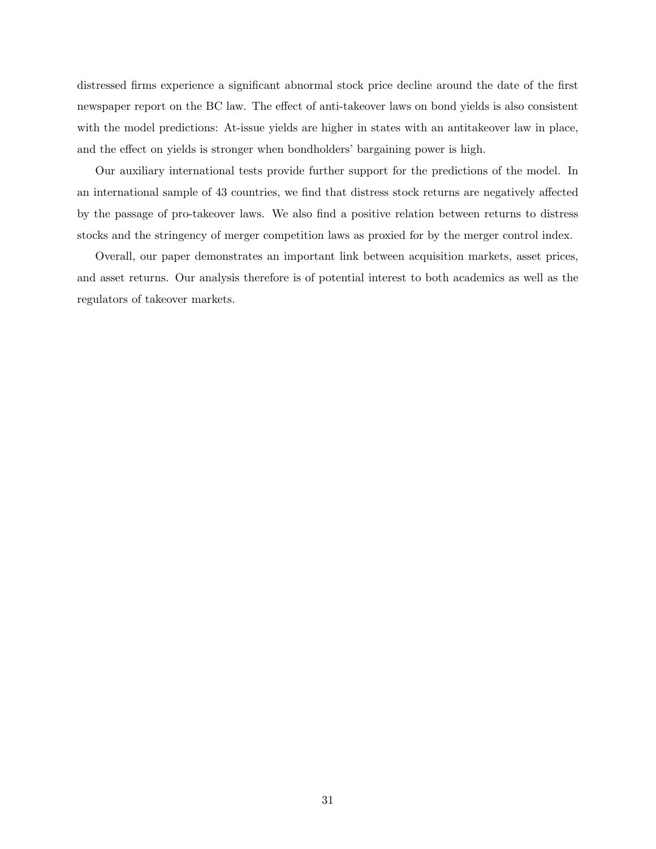distressed firms experience a significant abnormal stock price decline around the date of the first newspaper report on the BC law. The effect of anti-takeover laws on bond yields is also consistent with the model predictions: At-issue yields are higher in states with an antitake over law in place, and the effect on yields is stronger when bondholders' bargaining power is high.

Our auxiliary international tests provide further support for the predictions of the model. In an international sample of 43 countries, we find that distress stock returns are negatively affected by the passage of pro-takeover laws. We also find a positive relation between returns to distress stocks and the stringency of merger competition laws as proxied for by the merger control index.

Overall, our paper demonstrates an important link between acquisition markets, asset prices, and asset returns. Our analysis therefore is of potential interest to both academics as well as the regulators of takeover markets.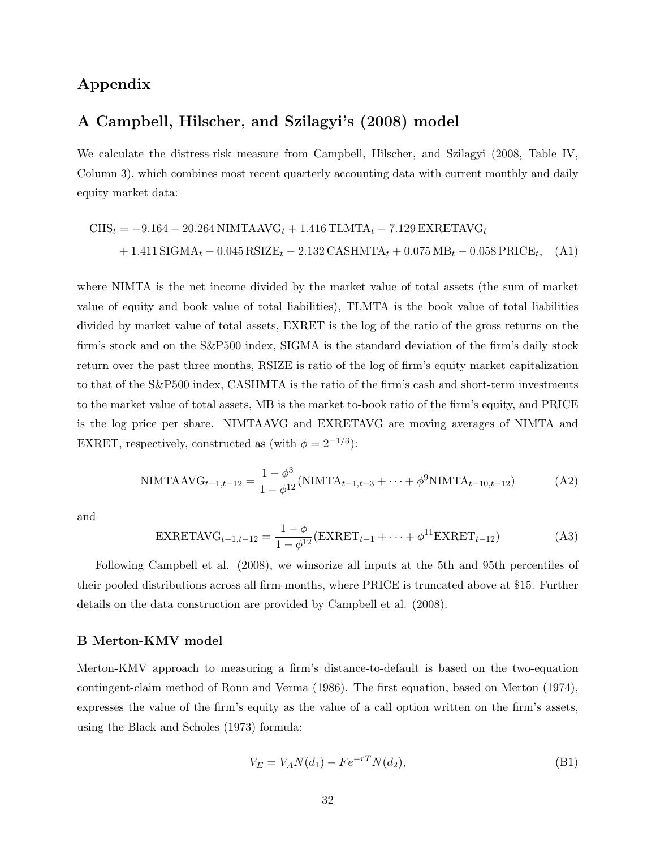# Appendix

# A Campbell, Hilscher, and Szilagyi's (2008) model

We calculate the distress-risk measure from Campbell, Hilscher, and Szilagyi (2008, Table IV, Column 3), which combines most recent quarterly accounting data with current monthly and daily equity market data:

$$
CHS_t = -9.164 - 20.264 NIMTAAVG_t + 1.416 TLMTA_t - 7.129 EXRETAVG_t + 1.411 SIGMA_t - 0.045 RSIZE_t - 2.132 CASHMTA_t + 0.075 MB_t - 0.058 PRICE_t, (A1)
$$

where NIMTA is the net income divided by the market value of total assets (the sum of market value of equity and book value of total liabilities), TLMTA is the book value of total liabilities divided by market value of total assets, EXRET is the log of the ratio of the gross returns on the firm's stock and on the S&P500 index, SIGMA is the standard deviation of the firm's daily stock return over the past three months, RSIZE is ratio of the log of firm's equity market capitalization to that of the S&P500 index, CASHMTA is the ratio of the firm's cash and short-term investments to the market value of total assets, MB is the market to-book ratio of the firm's equity, and PRICE is the log price per share. NIMTAAVG and EXRETAVG are moving averages of NIMTA and EXRET, respectively, constructed as (with  $\phi = 2^{-1/3}$ ):

NIMTAAVG<sub>t-1,t-12</sub> = 
$$
\frac{1 - \phi^3}{1 - \phi^{12}}
$$
(NIMTA<sub>t-1,t-3</sub> + ··· +  $\phi^9$ NIMTA<sub>t-10,t-12</sub>) (A2)

and

$$
\text{EXRETAVG}_{t-1,t-12} = \frac{1-\phi}{1-\phi^{12}} (\text{EXRET}_{t-1} + \dots + \phi^{11} \text{EXRET}_{t-12}) \tag{A3}
$$

Following Campbell et al. (2008), we winsorize all inputs at the 5th and 95th percentiles of their pooled distributions across all firm-months, where PRICE is truncated above at \$15. Further details on the data construction are provided by Campbell et al. (2008).

#### B Merton-KMV model

Merton-KMV approach to measuring a firm's distance-to-default is based on the two-equation contingent-claim method of Ronn and Verma (1986). The first equation, based on Merton (1974), expresses the value of the firm's equity as the value of a call option written on the firm's assets, using the Black and Scholes (1973) formula:

$$
V_E = V_A N(d_1) - F e^{-rT} N(d_2), \tag{B1}
$$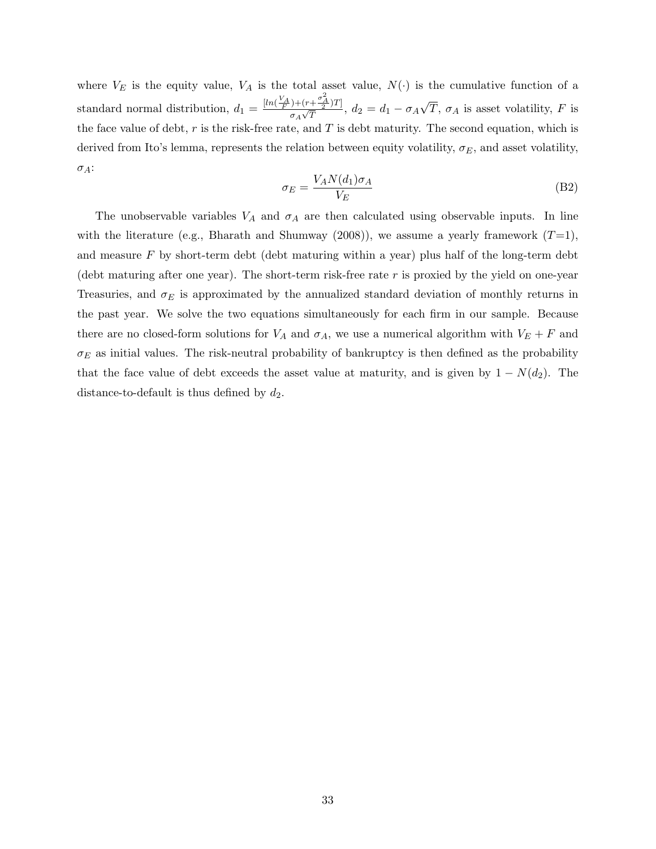where  $V_E$  is the equity value,  $V_A$  is the total asset value,  $N(\cdot)$  is the cumulative function of a standard normal distribution,  $d_1 = \frac{[ln(\frac{V_A}{F}) + (r + \frac{\sigma_A^2}{2})T]}{\sigma_A \sqrt{T}}$  $\frac{\sigma_A\sqrt{T}}{\sigma_A\sqrt{T}}$ ,  $d_2=d_1-\sigma_A$ √  $T, \sigma_A$  is asset volatility, F is the face value of debt,  $r$  is the risk-free rate, and  $T$  is debt maturity. The second equation, which is derived from Ito's lemma, represents the relation between equity volatility,  $\sigma_E$ , and asset volatility,  $\sigma_A$ :

$$
\sigma_E = \frac{V_A N(d_1) \sigma_A}{V_E} \tag{B2}
$$

The unobservable variables  $V_A$  and  $\sigma_A$  are then calculated using observable inputs. In line with the literature (e.g., Bharath and Shumway (2008)), we assume a yearly framework  $(T=1)$ , and measure  $F$  by short-term debt (debt maturing within a year) plus half of the long-term debt (debt maturing after one year). The short-term risk-free rate  $r$  is proxied by the yield on one-year Treasuries, and  $\sigma_E$  is approximated by the annualized standard deviation of monthly returns in the past year. We solve the two equations simultaneously for each firm in our sample. Because there are no closed-form solutions for  $V_A$  and  $\sigma_A$ , we use a numerical algorithm with  $V_E + F$  and  $\sigma_E$  as initial values. The risk-neutral probability of bankruptcy is then defined as the probability that the face value of debt exceeds the asset value at maturity, and is given by  $1 - N(d_2)$ . The distance-to-default is thus defined by  $d_2$ .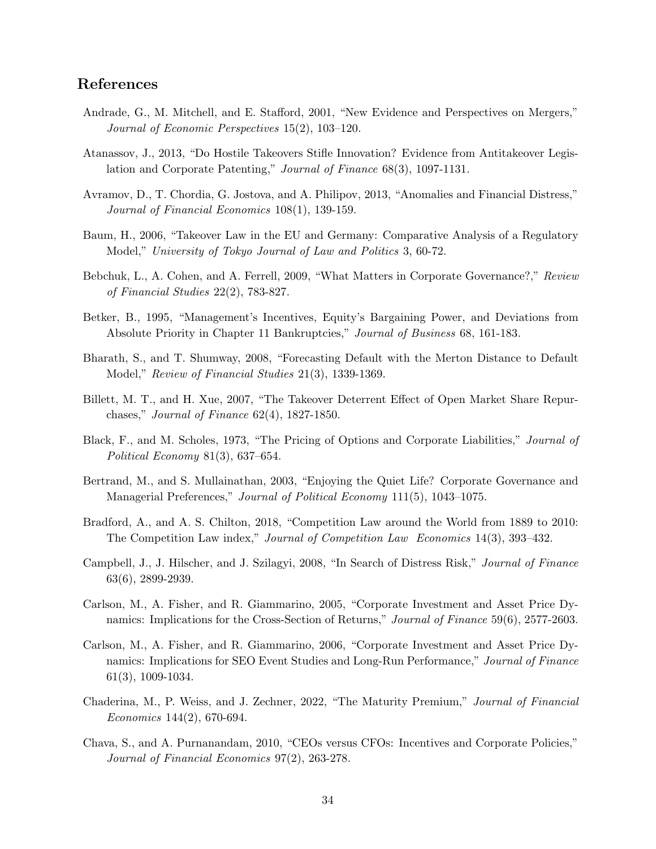# References

- Andrade, G., M. Mitchell, and E. Stafford, 2001, "New Evidence and Perspectives on Mergers," Journal of Economic Perspectives 15(2), 103–120.
- Atanassov, J., 2013, "Do Hostile Takeovers Stifle Innovation? Evidence from Antitakeover Legislation and Corporate Patenting," Journal of Finance 68(3), 1097-1131.
- Avramov, D., T. Chordia, G. Jostova, and A. Philipov, 2013, "Anomalies and Financial Distress," Journal of Financial Economics 108(1), 139-159.
- Baum, H., 2006, "Takeover Law in the EU and Germany: Comparative Analysis of a Regulatory Model," University of Tokyo Journal of Law and Politics 3, 60-72.
- Bebchuk, L., A. Cohen, and A. Ferrell, 2009, "What Matters in Corporate Governance?," Review of Financial Studies 22(2), 783-827.
- Betker, B., 1995, "Management's Incentives, Equity's Bargaining Power, and Deviations from Absolute Priority in Chapter 11 Bankruptcies," Journal of Business 68, 161-183.
- Bharath, S., and T. Shumway, 2008, "Forecasting Default with the Merton Distance to Default Model," Review of Financial Studies 21(3), 1339-1369.
- Billett, M. T., and H. Xue, 2007, "The Takeover Deterrent Effect of Open Market Share Repurchases," Journal of Finance 62(4), 1827-1850.
- Black, F., and M. Scholes, 1973, "The Pricing of Options and Corporate Liabilities," *Journal of* Political Economy 81(3), 637–654.
- Bertrand, M., and S. Mullainathan, 2003, "Enjoying the Quiet Life? Corporate Governance and Managerial Preferences," Journal of Political Economy 111(5), 1043–1075.
- Bradford, A., and A. S. Chilton, 2018, "Competition Law around the World from 1889 to 2010: The Competition Law index," Journal of Competition Law Economics 14(3), 393–432.
- Campbell, J., J. Hilscher, and J. Szilagyi, 2008, "In Search of Distress Risk," Journal of Finance 63(6), 2899-2939.
- Carlson, M., A. Fisher, and R. Giammarino, 2005, "Corporate Investment and Asset Price Dynamics: Implications for the Cross-Section of Returns," Journal of Finance 59(6), 2577-2603.
- Carlson, M., A. Fisher, and R. Giammarino, 2006, "Corporate Investment and Asset Price Dynamics: Implications for SEO Event Studies and Long-Run Performance," Journal of Finance 61(3), 1009-1034.
- Chaderina, M., P. Weiss, and J. Zechner, 2022, "The Maturity Premium," Journal of Financial Economics 144(2), 670-694.
- Chava, S., and A. Purnanandam, 2010, "CEOs versus CFOs: Incentives and Corporate Policies," Journal of Financial Economics 97(2), 263-278.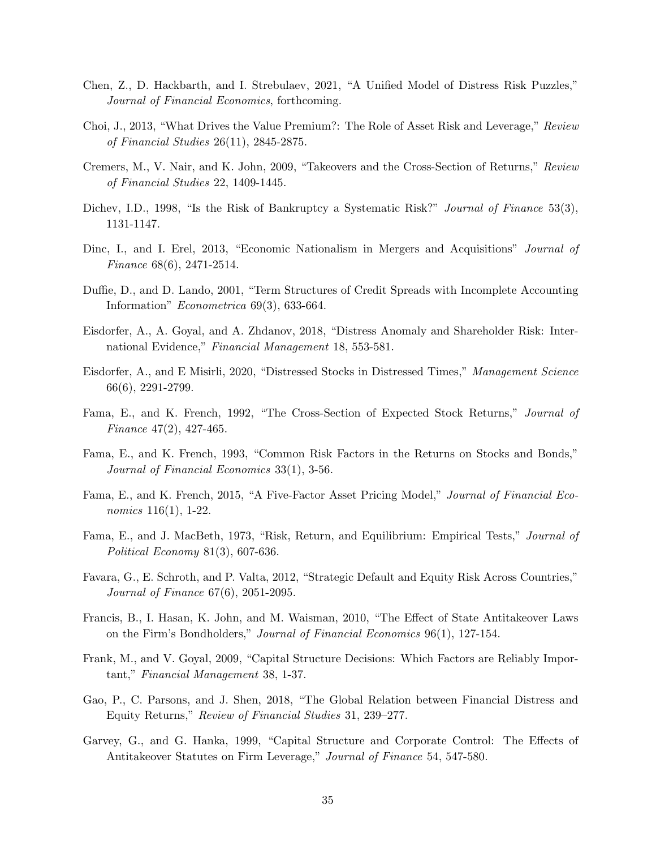- Chen, Z., D. Hackbarth, and I. Strebulaev, 2021, "A Unified Model of Distress Risk Puzzles," Journal of Financial Economics, forthcoming.
- Choi, J., 2013, "What Drives the Value Premium?: The Role of Asset Risk and Leverage," Review of Financial Studies 26(11), 2845-2875.
- Cremers, M., V. Nair, and K. John, 2009, "Takeovers and the Cross-Section of Returns," Review of Financial Studies 22, 1409-1445.
- Dichev, I.D., 1998, "Is the Risk of Bankruptcy a Systematic Risk?" Journal of Finance 53(3), 1131-1147.
- Dinc, I., and I. Erel, 2013, "Economic Nationalism in Mergers and Acquisitions" *Journal of* Finance 68(6), 2471-2514.
- Duffie, D., and D. Lando, 2001, "Term Structures of Credit Spreads with Incomplete Accounting Information" Econometrica 69(3), 633-664.
- Eisdorfer, A., A. Goyal, and A. Zhdanov, 2018, "Distress Anomaly and Shareholder Risk: International Evidence," Financial Management 18, 553-581.
- Eisdorfer, A., and E Misirli, 2020, "Distressed Stocks in Distressed Times," Management Science 66(6), 2291-2799.
- Fama, E., and K. French, 1992, "The Cross-Section of Expected Stock Returns," Journal of Finance 47(2), 427-465.
- Fama, E., and K. French, 1993, "Common Risk Factors in the Returns on Stocks and Bonds," Journal of Financial Economics 33(1), 3-56.
- Fama, E., and K. French, 2015, "A Five-Factor Asset Pricing Model," Journal of Financial Economics 116(1), 1-22.
- Fama, E., and J. MacBeth, 1973, "Risk, Return, and Equilibrium: Empirical Tests," Journal of Political Economy 81(3), 607-636.
- Favara, G., E. Schroth, and P. Valta, 2012, "Strategic Default and Equity Risk Across Countries," Journal of Finance 67(6), 2051-2095.
- Francis, B., I. Hasan, K. John, and M. Waisman, 2010, "The Effect of State Antitakeover Laws on the Firm's Bondholders," Journal of Financial Economics 96(1), 127-154.
- Frank, M., and V. Goyal, 2009, "Capital Structure Decisions: Which Factors are Reliably Important," Financial Management 38, 1-37.
- Gao, P., C. Parsons, and J. Shen, 2018, "The Global Relation between Financial Distress and Equity Returns," Review of Financial Studies 31, 239–277.
- Garvey, G., and G. Hanka, 1999, "Capital Structure and Corporate Control: The Effects of Antitakeover Statutes on Firm Leverage," Journal of Finance 54, 547-580.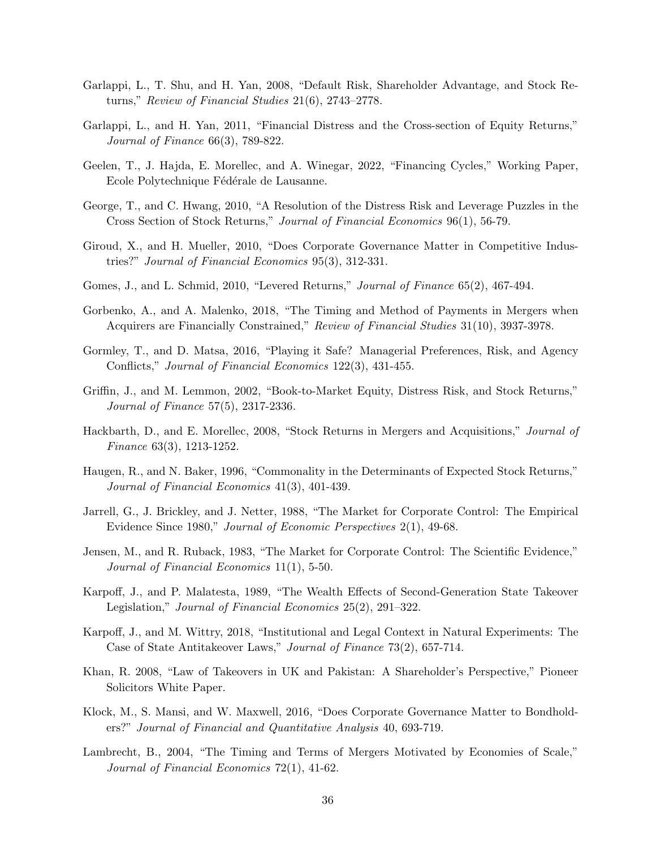- Garlappi, L., T. Shu, and H. Yan, 2008, "Default Risk, Shareholder Advantage, and Stock Returns," Review of Financial Studies 21(6), 2743–2778.
- Garlappi, L., and H. Yan, 2011, "Financial Distress and the Cross-section of Equity Returns," Journal of Finance 66(3), 789-822.
- Geelen, T., J. Hajda, E. Morellec, and A. Winegar, 2022, "Financing Cycles," Working Paper, Ecole Polytechnique Fédérale de Lausanne.
- George, T., and C. Hwang, 2010, "A Resolution of the Distress Risk and Leverage Puzzles in the Cross Section of Stock Returns," Journal of Financial Economics 96(1), 56-79.
- Giroud, X., and H. Mueller, 2010, "Does Corporate Governance Matter in Competitive Industries?" Journal of Financial Economics 95(3), 312-331.
- Gomes, J., and L. Schmid, 2010, "Levered Returns," *Journal of Finance* 65(2), 467-494.
- Gorbenko, A., and A. Malenko, 2018, "The Timing and Method of Payments in Mergers when Acquirers are Financially Constrained," Review of Financial Studies 31(10), 3937-3978.
- Gormley, T., and D. Matsa, 2016, "Playing it Safe? Managerial Preferences, Risk, and Agency Conflicts," Journal of Financial Economics 122(3), 431-455.
- Griffin, J., and M. Lemmon, 2002, "Book-to-Market Equity, Distress Risk, and Stock Returns," Journal of Finance 57(5), 2317-2336.
- Hackbarth, D., and E. Morellec, 2008, "Stock Returns in Mergers and Acquisitions," *Journal of* Finance 63(3), 1213-1252.
- Haugen, R., and N. Baker, 1996, "Commonality in the Determinants of Expected Stock Returns," Journal of Financial Economics 41(3), 401-439.
- Jarrell, G., J. Brickley, and J. Netter, 1988, "The Market for Corporate Control: The Empirical Evidence Since 1980," Journal of Economic Perspectives 2(1), 49-68.
- Jensen, M., and R. Ruback, 1983, "The Market for Corporate Control: The Scientific Evidence," Journal of Financial Economics 11(1), 5-50.
- Karpoff, J., and P. Malatesta, 1989, "The Wealth Effects of Second-Generation State Takeover Legislation," Journal of Financial Economics 25(2), 291–322.
- Karpoff, J., and M. Wittry, 2018, "Institutional and Legal Context in Natural Experiments: The Case of State Antitakeover Laws," Journal of Finance 73(2), 657-714.
- Khan, R. 2008, "Law of Takeovers in UK and Pakistan: A Shareholder's Perspective," Pioneer Solicitors White Paper.
- Klock, M., S. Mansi, and W. Maxwell, 2016, "Does Corporate Governance Matter to Bondholders?" Journal of Financial and Quantitative Analysis 40, 693-719.
- Lambrecht, B., 2004, "The Timing and Terms of Mergers Motivated by Economies of Scale," Journal of Financial Economics 72(1), 41-62.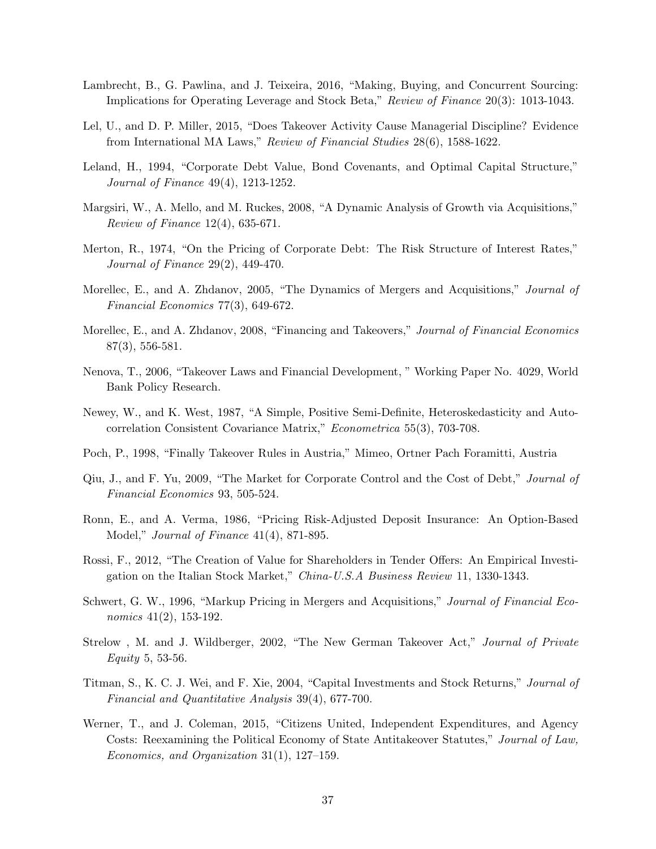- Lambrecht, B., G. Pawlina, and J. Teixeira, 2016, "Making, Buying, and Concurrent Sourcing: Implications for Operating Leverage and Stock Beta," Review of Finance 20(3): 1013-1043.
- Lel, U., and D. P. Miller, 2015, "Does Takeover Activity Cause Managerial Discipline? Evidence from International MA Laws," Review of Financial Studies 28(6), 1588-1622.
- Leland, H., 1994, "Corporate Debt Value, Bond Covenants, and Optimal Capital Structure," Journal of Finance 49(4), 1213-1252.
- Margsiri, W., A. Mello, and M. Ruckes, 2008, "A Dynamic Analysis of Growth via Acquisitions," Review of Finance 12(4), 635-671.
- Merton, R., 1974, "On the Pricing of Corporate Debt: The Risk Structure of Interest Rates," Journal of Finance 29(2), 449-470.
- Morellec, E., and A. Zhdanov, 2005, "The Dynamics of Mergers and Acquisitions," *Journal of* Financial Economics 77(3), 649-672.
- Morellec, E., and A. Zhdanov, 2008, "Financing and Takeovers," Journal of Financial Economics 87(3), 556-581.
- Nenova, T., 2006, "Takeover Laws and Financial Development, " Working Paper No. 4029, World Bank Policy Research.
- Newey, W., and K. West, 1987, "A Simple, Positive Semi-Definite, Heteroskedasticity and Autocorrelation Consistent Covariance Matrix," Econometrica 55(3), 703-708.
- Poch, P., 1998, "Finally Takeover Rules in Austria," Mimeo, Ortner Pach Foramitti, Austria
- Qiu, J., and F. Yu, 2009, "The Market for Corporate Control and the Cost of Debt," Journal of Financial Economics 93, 505-524.
- Ronn, E., and A. Verma, 1986, "Pricing Risk-Adjusted Deposit Insurance: An Option-Based Model," Journal of Finance 41(4), 871-895.
- Rossi, F., 2012, "The Creation of Value for Shareholders in Tender Offers: An Empirical Investigation on the Italian Stock Market," China-U.S.A Business Review 11, 1330-1343.
- Schwert, G. W., 1996, "Markup Pricing in Mergers and Acquisitions," Journal of Financial Economics 41(2), 153-192.
- Strelow, M. and J. Wildberger, 2002, "The New German Takeover Act," Journal of Private Equity 5, 53-56.
- Titman, S., K. C. J. Wei, and F. Xie, 2004, "Capital Investments and Stock Returns," Journal of Financial and Quantitative Analysis 39(4), 677-700.
- Werner, T., and J. Coleman, 2015, "Citizens United, Independent Expenditures, and Agency Costs: Reexamining the Political Economy of State Antitakeover Statutes," Journal of Law, Economics, and Organization 31(1), 127–159.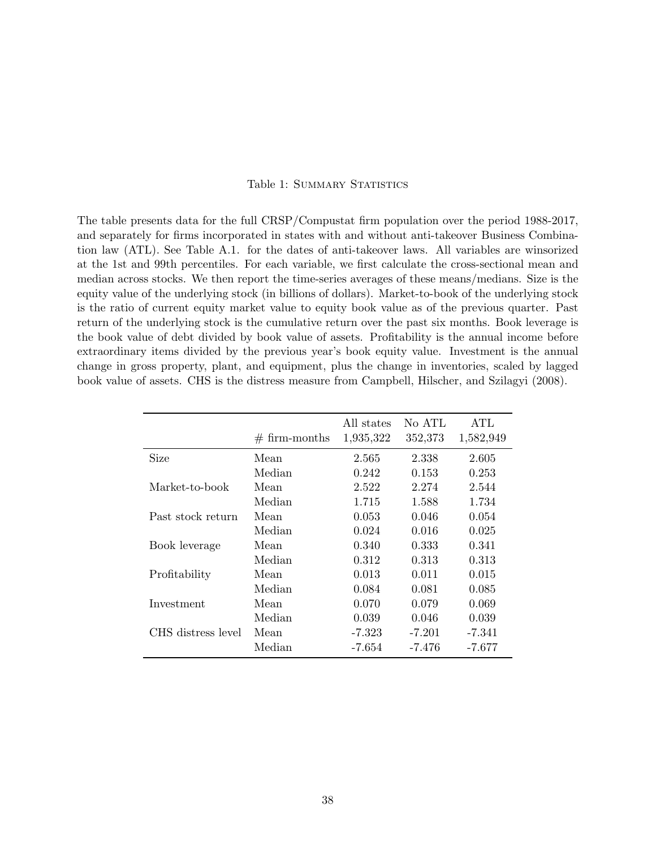#### Table 1: SUMMARY STATISTICS

<span id="page-38-0"></span>The table presents data for the full CRSP/Compustat firm population over the period 1988-2017, and separately for firms incorporated in states with and without anti-takeover Business Combination law (ATL). See Table A.1. for the dates of anti-takeover laws. All variables are winsorized at the 1st and 99th percentiles. For each variable, we first calculate the cross-sectional mean and median across stocks. We then report the time-series averages of these means/medians. Size is the equity value of the underlying stock (in billions of dollars). Market-to-book of the underlying stock is the ratio of current equity market value to equity book value as of the previous quarter. Past return of the underlying stock is the cumulative return over the past six months. Book leverage is the book value of debt divided by book value of assets. Profitability is the annual income before extraordinary items divided by the previous year's book equity value. Investment is the annual change in gross property, plant, and equipment, plus the change in inventories, scaled by lagged book value of assets. CHS is the distress measure from Campbell, Hilscher, and Szilagyi (2008).

|                    | $# firm-months$ | All states<br>1,935,322 | No ATL<br>352,373 | <b>ATL</b><br>1,582,949 |
|--------------------|-----------------|-------------------------|-------------------|-------------------------|
| Size               | Mean            | 2.565                   | 2.338             | 2.605                   |
|                    | Median          | 0.242                   | 0.153             | 0.253                   |
| Market-to-book     | Mean            | 2.522                   | 2.274             | 2.544                   |
|                    | Median          | 1.715                   | 1.588             | 1.734                   |
| Past stock return  | Mean            | 0.053                   | 0.046             | 0.054                   |
|                    | Median          | 0.024                   | 0.016             | 0.025                   |
| Book leverage      | Mean            | 0.340                   | 0.333             | 0.341                   |
|                    | Median          | 0.312                   | 0.313             | 0.313                   |
| Profitability      | Mean            | 0.013                   | 0.011             | 0.015                   |
|                    | Median          | 0.084                   | 0.081             | 0.085                   |
| Investment         | Mean            | 0.070                   | 0.079             | 0.069                   |
|                    | Median          | 0.039                   | 0.046             | 0.039                   |
| CHS distress level | Mean            | -7.323                  | $-7.201$          | -7.341                  |
|                    | Median          | -7.654                  | -7.476            | -7.677                  |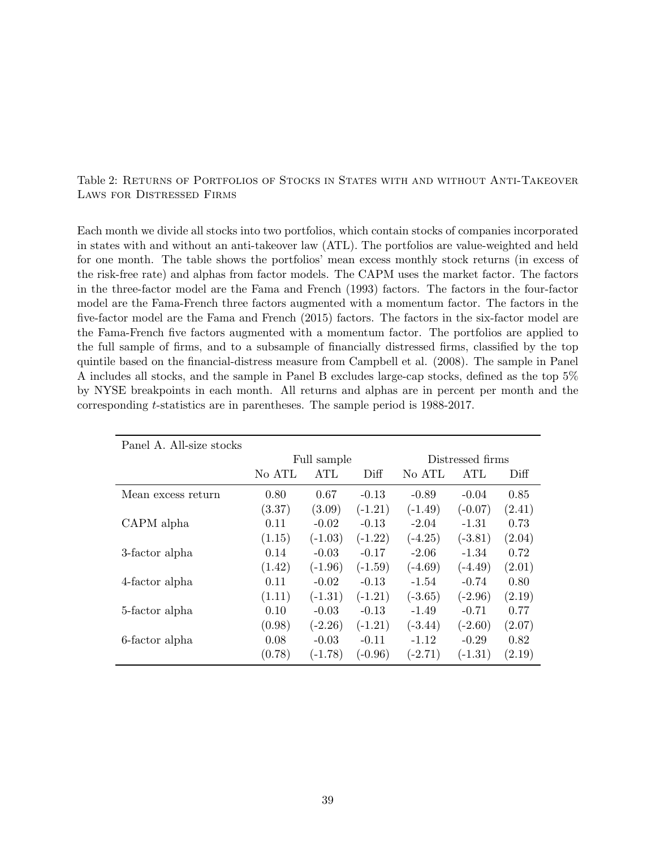### <span id="page-39-0"></span>Table 2: Returns of Portfolios of Stocks in States with and without Anti-Takeover Laws for Distressed Firms

Each month we divide all stocks into two portfolios, which contain stocks of companies incorporated in states with and without an anti-takeover law (ATL). The portfolios are value-weighted and held for one month. The table shows the portfolios' mean excess monthly stock returns (in excess of the risk-free rate) and alphas from factor models. The CAPM uses the market factor. The factors in the three-factor model are the Fama and French (1993) factors. The factors in the four-factor model are the Fama-French three factors augmented with a momentum factor. The factors in the five-factor model are the Fama and French (2015) factors. The factors in the six-factor model are the Fama-French five factors augmented with a momentum factor. The portfolios are applied to the full sample of firms, and to a subsample of financially distressed firms, classified by the top quintile based on the financial-distress measure from Campbell et al. (2008). The sample in Panel A includes all stocks, and the sample in Panel B excludes large-cap stocks, defined as the top 5% by NYSE breakpoints in each month. All returns and alphas are in percent per month and the corresponding t-statistics are in parentheses. The sample period is 1988-2017.

| Panel A. All-size stocks |        |             |           |                  |           |        |
|--------------------------|--------|-------------|-----------|------------------|-----------|--------|
|                          |        | Full sample |           | Distressed firms |           |        |
|                          | No ATL | ATL         | Diff      | No ATL           | ATL       | Diff   |
| Mean excess return       | 0.80   | 0.67        | $-0.13$   | $-0.89$          | $-0.04$   | 0.85   |
|                          | (3.37) | (3.09)      | $(-1.21)$ | $(-1.49)$        | $(-0.07)$ | (2.41) |
| CAPM alpha               | 0.11   | $-0.02$     | $-0.13$   | $-2.04$          | $-1.31$   | 0.73   |
|                          | (1.15) | $(-1.03)$   | $(-1.22)$ | $(-4.25)$        | $(-3.81)$ | (2.04) |
| 3-factor alpha           | 0.14   | $-0.03$     | $-0.17$   | $-2.06$          | $-1.34$   | 0.72   |
|                          | (1.42) | $(-1.96)$   | $(-1.59)$ | $(-4.69)$        | $(-4.49)$ | (2.01) |
| 4-factor alpha           | 0.11   | $-0.02$     | $-0.13$   | $-1.54$          | $-0.74$   | 0.80   |
|                          | (1.11) | $(-1.31)$   | $(-1.21)$ | $(-3.65)$        | $(-2.96)$ | (2.19) |
| 5-factor alpha           | 0.10   | $-0.03$     | $-0.13$   | $-1.49$          | $-0.71$   | 0.77   |
|                          | (0.98) | $(-2.26)$   | $(-1.21)$ | $(-3.44)$        | $(-2.60)$ | (2.07) |
| 6-factor alpha           | 0.08   | $-0.03$     | $-0.11$   | $-1.12$          | $-0.29$   | 0.82   |
|                          | (0.78) | $(-1.78)$   | $(-0.96)$ | $(-2.71)$        | $(-1.31)$ | (2.19) |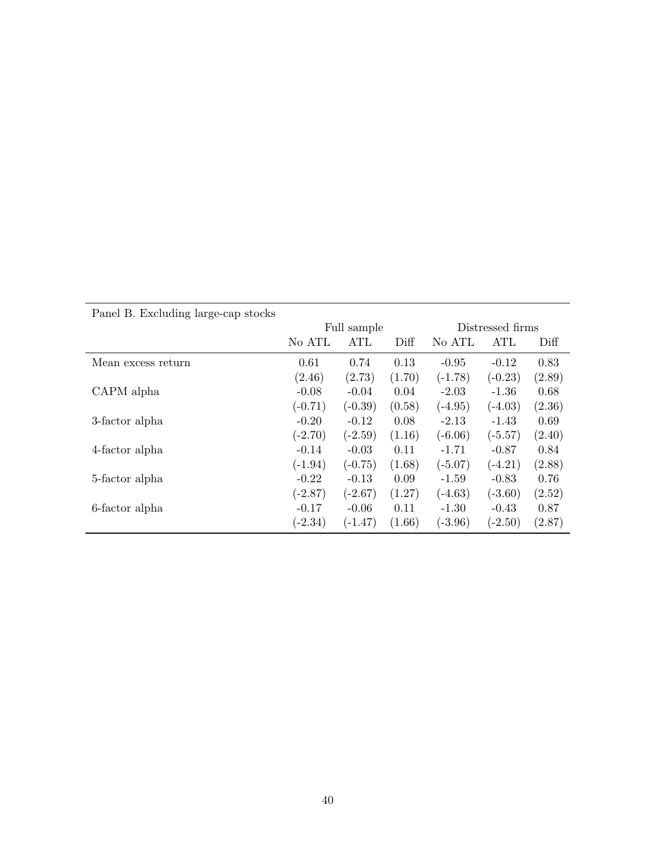|                    |           | Full sample |        | Distressed firms |            |        |
|--------------------|-----------|-------------|--------|------------------|------------|--------|
|                    | No ATL    | ATL         | Diff   | No ATL           | <b>ATL</b> | Diff   |
| Mean excess return | 0.61      | 0.74        | 0.13   | $-0.95$          | $-0.12$    | 0.83   |
|                    | (2.46)    | (2.73)      | (1.70) | $(-1.78)$        | $(-0.23)$  | (2.89) |
| CAPM alpha         | $-0.08$   | $-0.04$     | 0.04   | $-2.03$          | $-1.36$    | 0.68   |
|                    | $(-0.71)$ | $(-0.39)$   | (0.58) | $(-4.95)$        | $(-4.03)$  | (2.36) |
| 3-factor alpha     | $-0.20$   | $-0.12$     | 0.08   | $-2.13$          | $-1.43$    | 0.69   |
|                    | $(-2.70)$ | $(-2.59)$   | (1.16) | $(-6.06)$        | $(-5.57)$  | (2.40) |
| 4-factor alpha     | $-0.14$   | $-0.03$     | 0.11   | $-1.71$          | $-0.87$    | 0.84   |
|                    | $(-1.94)$ | $(-0.75)$   | (1.68) | $(-5.07)$        | $(-4.21)$  | (2.88) |
| 5-factor alpha     | $-0.22$   | $-0.13$     | 0.09   | $-1.59$          | $-0.83$    | 0.76   |
|                    | $(-2.87)$ | $(-2.67)$   | (1.27) | $(-4.63)$        | $(-3.60)$  | (2.52) |
| 6-factor alpha     | $-0.17$   | $-0.06$     | 0.11   | $-1.30$          | $-0.43$    | 0.87   |
|                    | $(-2.34)$ | $(-1.47)$   | (1.66) | $(-3.96)$        | $(-2.50)$  | (2.87) |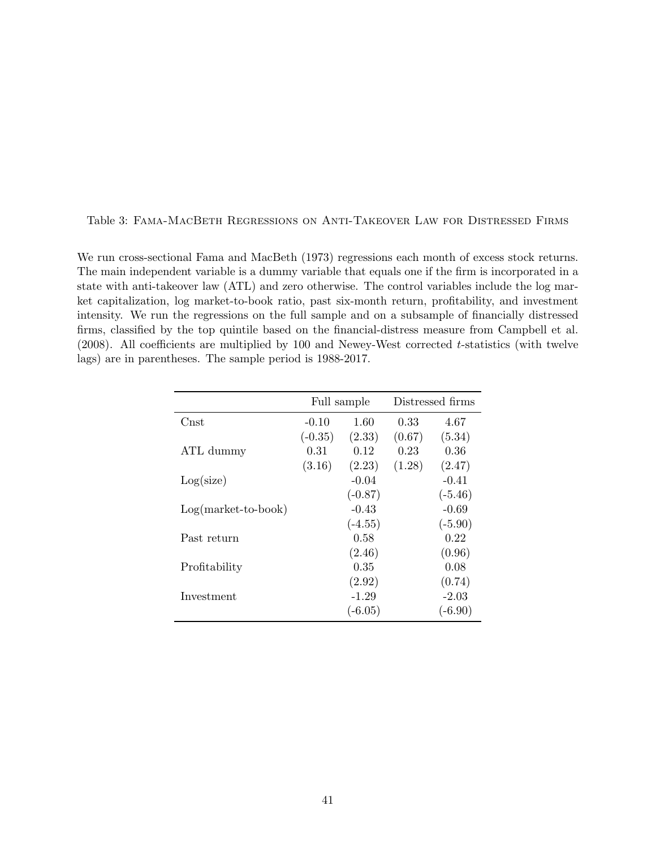#### <span id="page-41-0"></span>Table 3: Fama-MacBeth Regressions on Anti-Takeover Law for Distressed Firms

We run cross-sectional Fama and MacBeth (1973) regressions each month of excess stock returns. The main independent variable is a dummy variable that equals one if the firm is incorporated in a state with anti-takeover law (ATL) and zero otherwise. The control variables include the log market capitalization, log market-to-book ratio, past six-month return, profitability, and investment intensity. We run the regressions on the full sample and on a subsample of financially distressed firms, classified by the top quintile based on the financial-distress measure from Campbell et al. (2008). All coefficients are multiplied by 100 and Newey-West corrected t-statistics (with twelve lags) are in parentheses. The sample period is 1988-2017.

|                       | Full sample |           |        | Distressed firms |
|-----------------------|-------------|-----------|--------|------------------|
| Cnst                  | $-0.10$     | 1.60      | 0.33   | 4.67             |
|                       | $(-0.35)$   | (2.33)    | (0.67) | (5.34)           |
| ATL dummy             | 0.31        | 0.12      | 0.23   | 0.36             |
|                       | (3.16)      | (2.23)    | (1.28) | (2.47)           |
| Log(size)             |             | $-0.04$   |        | $-0.41$          |
|                       |             | $(-0.87)$ |        | $(-5.46)$        |
| $Log(maxket-to-book)$ |             | $-0.43$   |        | $-0.69$          |
|                       |             | $(-4.55)$ |        | $(-5.90)$        |
| Past return           |             | 0.58      |        | 0.22             |
|                       |             | (2.46)    |        | (0.96)           |
| Profitability         |             | 0.35      |        | 0.08             |
|                       |             | (2.92)    |        | (0.74)           |
| Investment            |             | $-1.29$   |        | -2.03            |
|                       |             | $(-6.05)$ |        | $(-6.90)$        |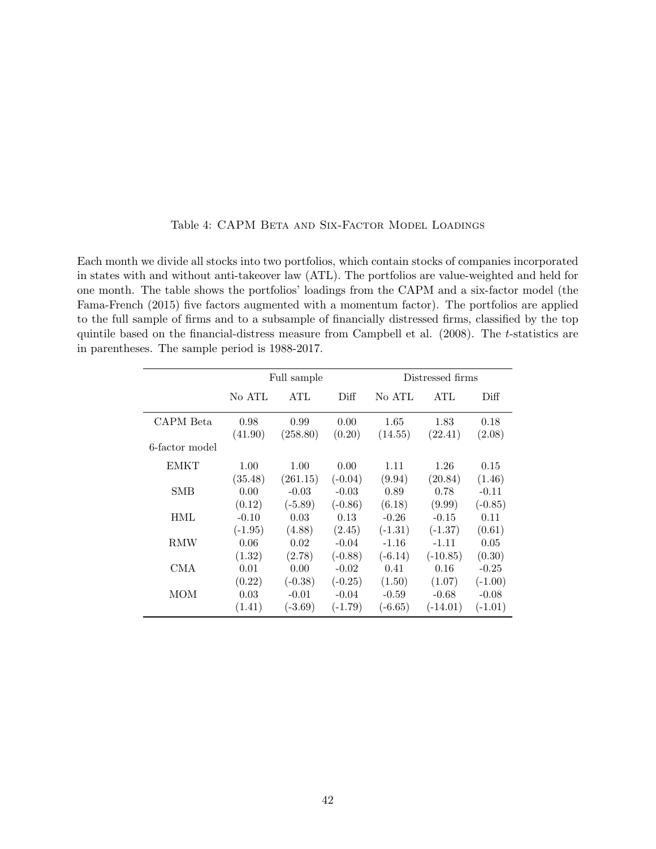<span id="page-42-0"></span>

| Each month we divide all stocks into two portfolios, which contain stocks of companies incorporated   |
|-------------------------------------------------------------------------------------------------------|
| in states with and without anti-takeover law (ATL). The portfolios are value-weighted and held for    |
| one month. The table shows the portfolios' loadings from the CAPM and a six-factor model (the         |
| Fama-French (2015) five factors augmented with a momentum factor). The portfolios are applied         |
| to the full sample of firms and to a subsample of financially distressed firms, classified by the top |

in parentheses. The sample period is 1988-2017.

### Table 4: CAPM BETA AND SIX-FACTOR MODEL LOADINGS

quintile based on the financial-distress measure from Campbell et al. (2008). The t-statistics are

|           |           |             | Distressed firms |            |                   |  |
|-----------|-----------|-------------|------------------|------------|-------------------|--|
| No ATL    | ATL       | Diff        | No ATL           | <b>ATL</b> | Diff <sub>1</sub> |  |
| 0.98      | 0.99      | 0.00        | 1.65             | 1.83       | 0.18              |  |
| (41.90)   | (258.80)  | (0.20)      | (14.55)          | (22.41)    | (2.08)            |  |
|           |           |             |                  |            |                   |  |
| 1.00      | 1.00      | 0.00        | 1.11             | 1.26       | 0.15              |  |
| (35.48)   | (261.15)  | $(-0.04)$   | (9.94)           | (20.84)    | (1.46)            |  |
| 0.00      | $-0.03$   | $-0.03$     | 0.89             | 0.78       | $-0.11$           |  |
| (0.12)    | $(-5.89)$ | $(-0.86)$   | (6.18)           | (9.99)     | $(-0.85)$         |  |
| $-0.10$   | 0.03      | 0.13        | $-0.26$          | $-0.15$    | 0.11              |  |
| $(-1.95)$ | (4.88)    | (2.45)      | $(-1.31)$        | $(-1.37)$  | (0.61)            |  |
| 0.06      | 0.02      | $-0.04$     | $-1.16$          | $-1.11$    | 0.05              |  |
| (1.32)    | (2.78)    | $(-0.88)$   | $(-6.14)$        | $(-10.85)$ | (0.30)            |  |
| 0.01      | 0.00      | $-0.02$     | 0.41             | 0.16       | $-0.25$           |  |
| (0.22)    | $(-0.38)$ | $(-0.25)$   | (1.50)           | (1.07)     | $(-1.00)$         |  |
| 0.03      | $-0.01$   | $-0.04$     | $-0.59$          | $-0.68$    | $-0.08$           |  |
| (1.41)    | $(-3.69)$ | $(-1.79)$   | $(-6.65)$        | $(-14.01)$ | $(-1.01)$         |  |
|           |           | Full sample |                  |            |                   |  |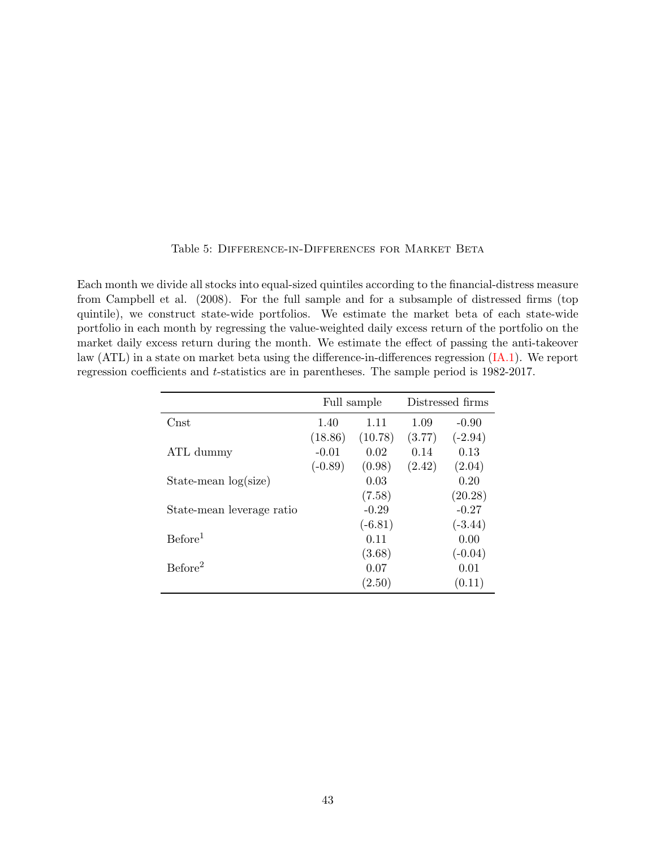### Table 5: Difference-in-Differences for Market Beta

<span id="page-43-0"></span>Each month we divide all stocks into equal-sized quintiles according to the financial-distress measure from Campbell et al. (2008). For the full sample and for a subsample of distressed firms (top quintile), we construct state-wide portfolios. We estimate the market beta of each state-wide portfolio in each month by regressing the value-weighted daily excess return of the portfolio on the market daily excess return during the month. We estimate the effect of passing the anti-takeover law (ATL) in a state on market beta using the difference-in-differences regression [\(IA.1\)](#page-55-0). We report regression coefficients and t-statistics are in parentheses. The sample period is 1982-2017.

|                           | Full sample |           |        | Distressed firms |
|---------------------------|-------------|-----------|--------|------------------|
| Cnst                      | 1.40        | 1.11      | 1.09   | $-0.90$          |
|                           | (18.86)     | (10.78)   | (3.77) | $(-2.94)$        |
| ATL dummy                 | $-0.01$     | 0.02      | 0.14   | 0.13             |
|                           | $(-0.89)$   | (0.98)    | (2.42) | (2.04)           |
| State-mean log(size)      |             | 0.03      |        | 0.20             |
|                           |             | (7.58)    |        | (20.28)          |
| State-mean leverage ratio |             | $-0.29$   |        | $-0.27$          |
|                           |             | $(-6.81)$ |        | $(-3.44)$        |
| Before <sup>1</sup>       |             | 0.11      |        | 0.00             |
|                           |             | (3.68)    |        | $(-0.04)$        |
| Before <sup>2</sup>       |             | 0.07      |        | 0.01             |
|                           |             | (2.50)    |        | (0.11)           |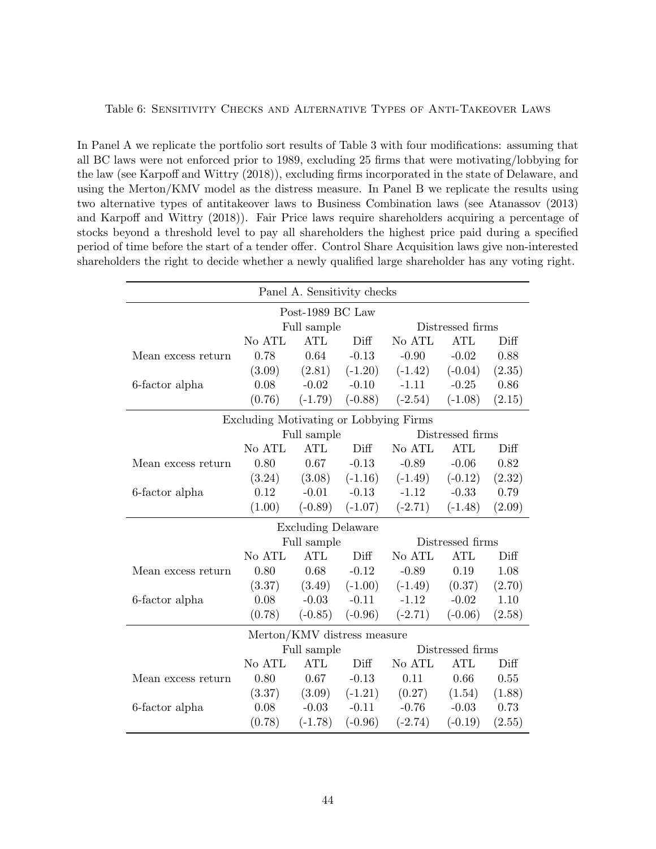<span id="page-44-0"></span>In Panel A we replicate the portfolio sort results of Table 3 with four modifications: assuming that all BC laws were not enforced prior to 1989, excluding 25 firms that were motivating/lobbying for the law (see Karpoff and Wittry (2018)), excluding firms incorporated in the state of Delaware, and using the Merton/KMV model as the distress measure. In Panel B we replicate the results using two alternative types of antitakeover laws to Business Combination laws (see Atanassov (2013) and Karpoff and Wittry (2018)). Fair Price laws require shareholders acquiring a percentage of stocks beyond a threshold level to pay all shareholders the highest price paid during a specified period of time before the start of a tender offer. Control Share Acquisition laws give non-interested shareholders the right to decide whether a newly qualified large shareholder has any voting right.

| Panel A. Sensitivity checks |                                        |                             |           |                  |                  |        |  |
|-----------------------------|----------------------------------------|-----------------------------|-----------|------------------|------------------|--------|--|
| Post-1989 BC Law            |                                        |                             |           |                  |                  |        |  |
|                             |                                        | Full sample                 |           | Distressed firms |                  |        |  |
|                             | No ATL                                 | <b>ATL</b>                  | Diff      | No ATL           | <b>ATL</b>       | Diff   |  |
| Mean excess return          | 0.78                                   | 0.64                        | $-0.13$   | $-0.90$          | $-0.02$          | 0.88   |  |
|                             | (3.09)                                 | (2.81)                      | $(-1.20)$ | $(-1.42)$        | $(-0.04)$        | (2.35) |  |
| 6-factor alpha              | 0.08                                   | $-0.02$                     | $-0.10$   | $-1.11$          | $-0.25$          | 0.86   |  |
|                             | (0.76)                                 | $(-1.79)$                   | $(-0.88)$ | $(-2.54)$        | $(-1.08)$        | (2.15) |  |
|                             | Excluding Motivating or Lobbying Firms |                             |           |                  |                  |        |  |
|                             |                                        | Full sample                 |           |                  | Distressed firms |        |  |
|                             | No ATL                                 | ATL                         | Diff      | No ATL           | <b>ATL</b>       | Diff   |  |
| Mean excess return          | 0.80                                   | 0.67                        | $-0.13$   | $-0.89$          | $-0.06$          | 0.82   |  |
|                             | (3.24)                                 | (3.08)                      | $(-1.16)$ | $(-1.49)$        | $(-0.12)$        | (2.32) |  |
| 6-factor alpha              | 0.12                                   | $-0.01$                     | $-0.13$   | $-1.12$          | $-0.33$          | 0.79   |  |
|                             | (1.00)                                 | $(-0.89)$                   | $(-1.07)$ | $(-2.71)$        | $(-1.48)$        | (2.09) |  |
|                             |                                        | <b>Excluding Delaware</b>   |           |                  |                  |        |  |
|                             |                                        | Full sample                 |           |                  | Distressed firms |        |  |
|                             | No ATL                                 | ATL                         | Diff      | No ATL           | <b>ATL</b>       | Diff   |  |
| Mean excess return          | 0.80                                   | 0.68                        | $-0.12$   | $-0.89$          | 0.19             | 1.08   |  |
|                             | (3.37)                                 | (3.49)                      | $(-1.00)$ | $(-1.49)$        | (0.37)           | (2.70) |  |
| 6-factor alpha              | 0.08                                   | $-0.03$                     | $-0.11$   | $-1.12$          | $-0.02$          | 1.10   |  |
|                             | (0.78)                                 | $(-0.85)$                   | $(-0.96)$ | $(-2.71)$        | $(-0.06)$        | (2.58) |  |
|                             |                                        | Merton/KMV distress measure |           |                  |                  |        |  |
|                             |                                        | Full sample                 |           |                  | Distressed firms |        |  |
|                             | No ATL                                 | <b>ATL</b>                  | Diff      | No ATL           | <b>ATL</b>       | Diff   |  |
| Mean excess return          | 0.80                                   | 0.67                        | $-0.13$   | 0.11             | 0.66             | 0.55   |  |
|                             | (3.37)                                 | (3.09)                      | $(-1.21)$ | (0.27)           | (1.54)           | (1.88) |  |
| 6-factor alpha              | 0.08                                   | $-0.03$                     | $-0.11$   | $-0.76$          | $-0.03$          | 0.73   |  |
|                             | (0.78)                                 | $(-1.78)$                   | $(-0.96)$ | $(-2.74)$        | $(-0.19)$        | (2.55) |  |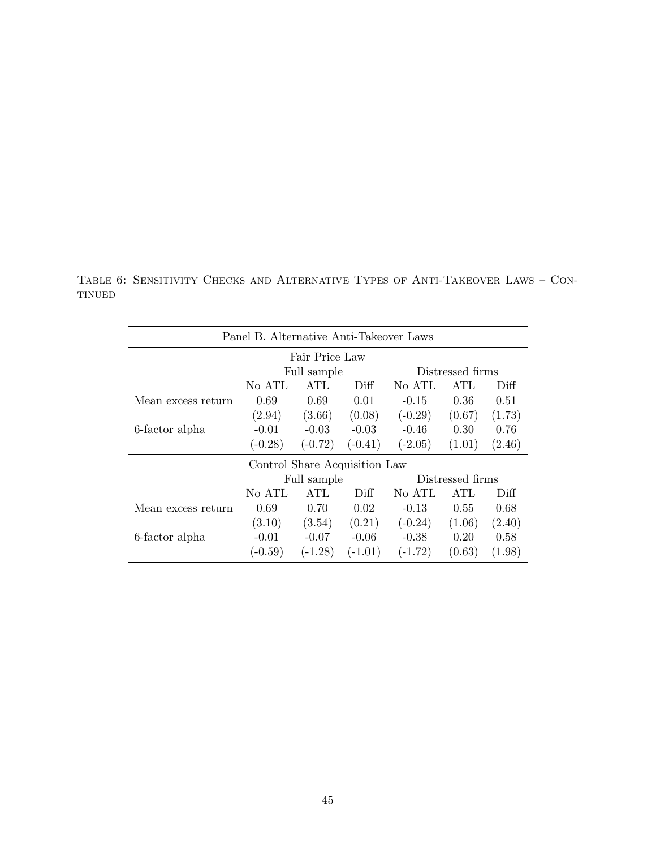Table 6: Sensitivity Checks and Alternative Types of Anti-Takeover Laws – Continued

| Panel B. Alternative Anti-Takeover Laws |           |                               |           |           |                  |        |  |
|-----------------------------------------|-----------|-------------------------------|-----------|-----------|------------------|--------|--|
|                                         |           | Fair Price Law                |           |           |                  |        |  |
|                                         |           | Full sample                   |           |           | Distressed firms |        |  |
|                                         | No ATL    | ATL                           | Diff      | No ATL    | <b>ATL</b>       | Diff   |  |
| Mean excess return                      | 0.69      | 0.69                          | 0.01      | $-0.15$   | 0.36             | 0.51   |  |
|                                         | (2.94)    | (3.66)                        | (0.08)    | $(-0.29)$ | (0.67)           | (1.73) |  |
| 6-factor alpha                          | $-0.01$   | $-0.03$                       | $-0.03$   | $-0.46$   | 0.30             | 0.76   |  |
|                                         | $(-0.28)$ | $(-0.72)$                     | $(-0.41)$ | $(-2.05)$ | (1.01)           | (2.46) |  |
|                                         |           | Control Share Acquisition Law |           |           |                  |        |  |
|                                         |           | Full sample                   |           |           | Distressed firms |        |  |
|                                         | No ATL    | ATL                           | Diff      | No ATL    | <b>ATL</b>       | Diff   |  |
| Mean excess return                      | 0.69      | 0.70                          | 0.02      | $-0.13$   | 0.55             | 0.68   |  |
|                                         | (3.10)    | (3.54)                        | (0.21)    | $(-0.24)$ | (1.06)           | (2.40) |  |
| 6-factor alpha                          | $-0.01$   | $-0.07$                       | $-0.06$   | $-0.38$   | 0.20             | 0.58   |  |
|                                         | $(-0.59)$ | $(-1.28)$                     | $(-1.01)$ | $(-1.72)$ | (0.63)           | (1.98) |  |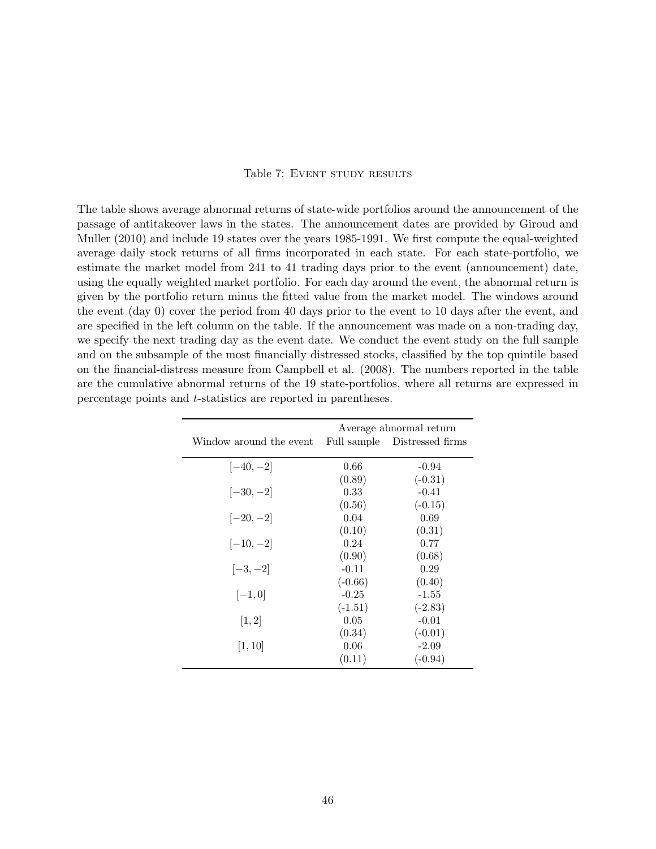### Table 7: EVENT STUDY RESULTS

<span id="page-46-0"></span>The table shows average abnormal returns of state-wide portfolios around the announcement of the passage of antitakeover laws in the states. The announcement dates are provided by Giroud and Muller (2010) and include 19 states over the years 1985-1991. We first compute the equal-weighted average daily stock returns of all firms incorporated in each state. For each state-portfolio, we estimate the market model from 241 to 41 trading days prior to the event (announcement) date, using the equally weighted market portfolio. For each day around the event, the abnormal return is given by the portfolio return minus the fitted value from the market model. The windows around the event (day 0) cover the period from 40 days prior to the event to 10 days after the event, and are specified in the left column on the table. If the announcement was made on a non-trading day, we specify the next trading day as the event date. We conduct the event study on the full sample and on the subsample of the most financially distressed stocks, classified by the top quintile based on the financial-distress measure from Campbell et al. (2008). The numbers reported in the table are the cumulative abnormal returns of the 19 state-portfolios, where all returns are expressed in percentage points and t-statistics are reported in parentheses.

|                         | Average abnormal return |                              |  |  |  |
|-------------------------|-------------------------|------------------------------|--|--|--|
| Window around the event |                         | Full sample Distressed firms |  |  |  |
|                         |                         |                              |  |  |  |
| $[-40,-2]$              | 0.66                    | $-0.94$                      |  |  |  |
|                         | (0.89)                  | $(-0.31)$                    |  |  |  |
| $[-30,-2]$              | 0.33                    | $-0.41$                      |  |  |  |
|                         | (0.56)                  | $(-0.15)$                    |  |  |  |
| $[-20,-2]$              | 0.04                    | 0.69                         |  |  |  |
|                         | (0.10)                  | (0.31)                       |  |  |  |
| $[-10,-2]$              | 0.24                    | 0.77                         |  |  |  |
|                         | (0.90)                  | (0.68)                       |  |  |  |
| $[-3,-2]$               | $-0.11$                 | 0.29                         |  |  |  |
|                         | $(-0.66)$               | (0.40)                       |  |  |  |
| $[-1,0]$                | $-0.25$                 | $-1.55$                      |  |  |  |
|                         | $(-1.51)$               | $(-2.83)$                    |  |  |  |
| [1, 2]                  | 0.05                    | $-0.01$                      |  |  |  |
|                         | (0.34)                  | $(-0.01)$                    |  |  |  |
| [1, 10]                 | 0.06                    | $-2.09$                      |  |  |  |
|                         | (0.11)                  | $(-0.94)$                    |  |  |  |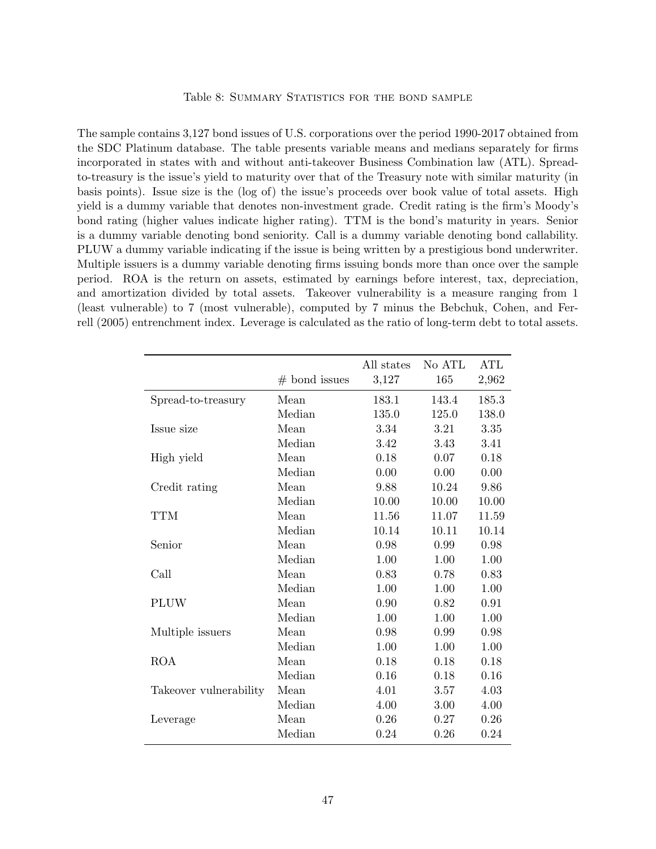#### Table 8: SUMMARY STATISTICS FOR THE BOND SAMPLE

<span id="page-47-0"></span>The sample contains 3,127 bond issues of U.S. corporations over the period 1990-2017 obtained from the SDC Platinum database. The table presents variable means and medians separately for firms incorporated in states with and without anti-takeover Business Combination law (ATL). Spreadto-treasury is the issue's yield to maturity over that of the Treasury note with similar maturity (in basis points). Issue size is the (log of) the issue's proceeds over book value of total assets. High yield is a dummy variable that denotes non-investment grade. Credit rating is the firm's Moody's bond rating (higher values indicate higher rating). TTM is the bond's maturity in years. Senior is a dummy variable denoting bond seniority. Call is a dummy variable denoting bond callability. PLUW a dummy variable indicating if the issue is being written by a prestigious bond underwriter. Multiple issuers is a dummy variable denoting firms issuing bonds more than once over the sample period. ROA is the return on assets, estimated by earnings before interest, tax, depreciation, and amortization divided by total assets. Takeover vulnerability is a measure ranging from 1 (least vulnerable) to 7 (most vulnerable), computed by 7 minus the Bebchuk, Cohen, and Ferrell (2005) entrenchment index. Leverage is calculated as the ratio of long-term debt to total assets.

|                        |                 | All states | No ATL | ATL   |
|------------------------|-----------------|------------|--------|-------|
|                        | $#$ bond issues | 3,127      | 165    | 2,962 |
| Spread-to-treasury     | Mean            | 183.1      | 143.4  | 185.3 |
|                        | Median          | 135.0      | 125.0  | 138.0 |
| Issue size             | Mean            | 3.34       | 3.21   | 3.35  |
|                        | Median          | 3.42       | 3.43   | 3.41  |
| High yield             | Mean            | 0.18       | 0.07   | 0.18  |
|                        | Median          | 0.00       | 0.00   | 0.00  |
| Credit rating          | Mean            | 9.88       | 10.24  | 9.86  |
|                        | Median          | 10.00      | 10.00  | 10.00 |
| <b>TTM</b>             | Mean            | 11.56      | 11.07  | 11.59 |
|                        | Median          | 10.14      | 10.11  | 10.14 |
| Senior                 | Mean            | 0.98       | 0.99   | 0.98  |
|                        | Median          | 1.00       | 1.00   | 1.00  |
| Call                   | Mean            | 0.83       | 0.78   | 0.83  |
|                        | Median          | 1.00       | 1.00   | 1.00  |
| <b>PLUW</b>            | Mean            | 0.90       | 0.82   | 0.91  |
|                        | Median          | 1.00       | 1.00   | 1.00  |
| Multiple issuers       | Mean            | 0.98       | 0.99   | 0.98  |
|                        | Median          | 1.00       | 1.00   | 1.00  |
| <b>ROA</b>             | Mean            | 0.18       | 0.18   | 0.18  |
|                        | Median          | 0.16       | 0.18   | 0.16  |
| Takeover vulnerability | Mean            | 4.01       | 3.57   | 4.03  |
|                        | Median          | 4.00       | 3.00   | 4.00  |
| Leverage               | Mean            | 0.26       | 0.27   | 0.26  |
|                        | Median          | 0.24       | 0.26   | 0.24  |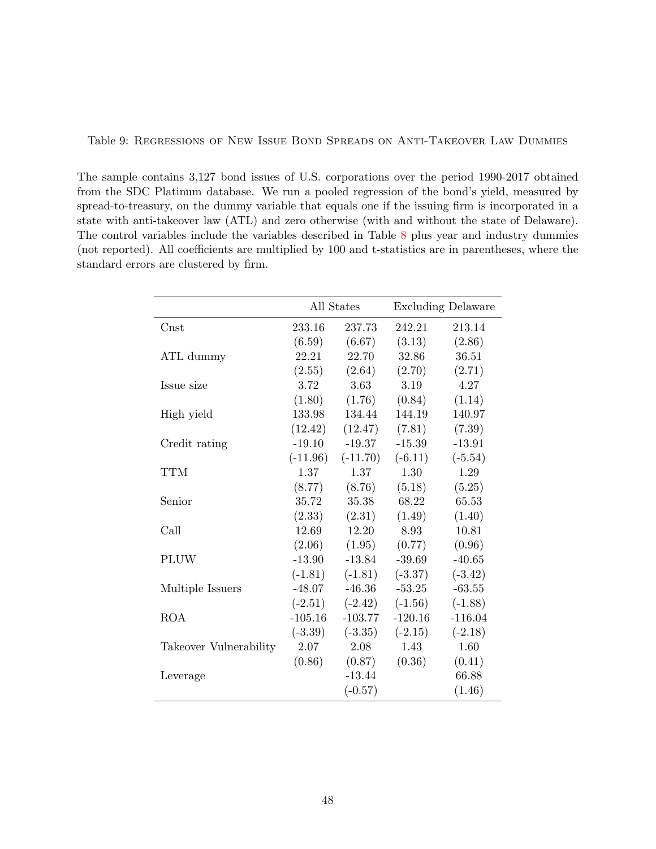<span id="page-48-0"></span>Table 9: Regressions of New Issue Bond Spreads on Anti-Takeover Law Dummies

The sample contains 3,127 bond issues of U.S. corporations over the period 1990-2017 obtained from the SDC Platinum database. We run a pooled regression of the bond's yield, measured by spread-to-treasury, on the dummy variable that equals one if the issuing firm is incorporated in a state with anti-takeover law (ATL) and zero otherwise (with and without the state of Delaware). The control variables include the variables described in Table [8](#page-47-0) plus year and industry dummies (not reported). All coefficients are multiplied by 100 and t-statistics are in parentheses, where the standard errors are clustered by firm.

|                        | All States |            |           | <b>Excluding Delaware</b> |
|------------------------|------------|------------|-----------|---------------------------|
| $\mathrm{Const}$       | 233.16     | 237.73     | 242.21    | 213.14                    |
|                        | (6.59)     | (6.67)     | (3.13)    | (2.86)                    |
| ATL dummy              | 22.21      | 22.70      | 32.86     | 36.51                     |
|                        | (2.55)     | (2.64)     | (2.70)    | (2.71)                    |
| Issue size             | 3.72       | 3.63       | 3.19      | 4.27                      |
|                        | (1.80)     | (1.76)     | (0.84)    | (1.14)                    |
| High yield             | 133.98     | 134.44     | 144.19    | 140.97                    |
|                        | (12.42)    | (12.47)    | (7.81)    | (7.39)                    |
| Credit rating          | $-19.10$   | $-19.37$   | $-15.39$  | $-13.91$                  |
|                        | $(-11.96)$ | $(-11.70)$ | $(-6.11)$ | $(-5.54)$                 |
| <b>TTM</b>             | 1.37       | 1.37       | 1.30      | 1.29                      |
|                        | (8.77)     | (8.76)     | (5.18)    | (5.25)                    |
| Senior                 | 35.72      | 35.38      | 68.22     | 65.53                     |
|                        | (2.33)     | (2.31)     | (1.49)    | (1.40)                    |
| Call                   | 12.69      | 12.20      | 8.93      | 10.81                     |
|                        | (2.06)     | (1.95)     | (0.77)    | (0.96)                    |
| <b>PLUW</b>            | $-13.90$   | $-13.84$   | $-39.69$  | $-40.65$                  |
|                        | $(-1.81)$  | $(-1.81)$  | $(-3.37)$ | $(-3.42)$                 |
| Multiple Issuers       | $-48.07$   | $-46.36$   | $-53.25$  | $-63.55$                  |
|                        | $(-2.51)$  | $(-2.42)$  | $(-1.56)$ | $(-1.88)$                 |
| <b>ROA</b>             | $-105.16$  | $-103.77$  | $-120.16$ | $-116.04$                 |
|                        | $(-3.39)$  | $(-3.35)$  | $(-2.15)$ | $(-2.18)$                 |
| Takeover Vulnerability | 2.07       | 2.08       | 1.43      | 1.60                      |
|                        | (0.86)     | (0.87)     | (0.36)    | (0.41)                    |
| Leverage               |            | $-13.44$   |           | 66.88                     |
|                        |            | $(-0.57)$  |           | (1.46)                    |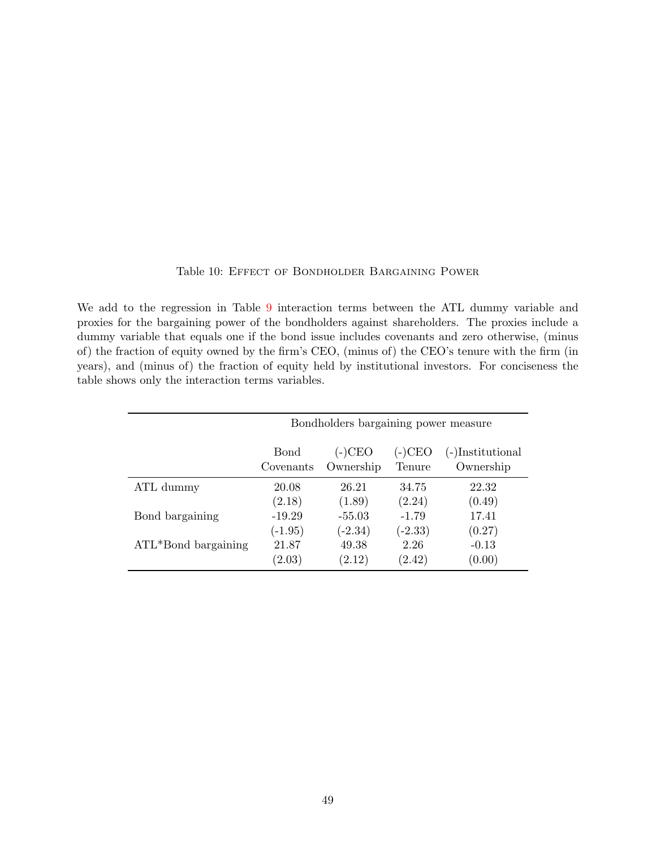|  | Table 10: EFFECT OF BONDHOLDER BARGAINING POWER |  |
|--|-------------------------------------------------|--|
|  |                                                 |  |

<span id="page-49-0"></span>We add to the regression in Table [9](#page-48-0) interaction terms between the ATL dummy variable and proxies for the bargaining power of the bondholders against shareholders. The proxies include a dummy variable that equals one if the bond issue includes covenants and zero otherwise, (minus of) the fraction of equity owned by the firm's CEO, (minus of) the CEO's tenure with the firm (in years), and (minus of) the fraction of equity held by institutional investors. For conciseness the table shows only the interaction terms variables.

|                        |                           | Bondholders bargaining power measure |                  |                               |
|------------------------|---------------------------|--------------------------------------|------------------|-------------------------------|
|                        | <b>B</b> ond<br>Covenants | (-)CEO<br>Ownership                  | (-)CEO<br>Tenure | (-)Institutional<br>Ownership |
| ATL dummy              | 20.08                     | 26.21                                | 34.75            | 22.32                         |
|                        | (2.18)                    | (1.89)                               | (2.24)           | (0.49)                        |
| Bond bargaining        | $-19.29$                  | $-55.03$                             | $-1.79$          | 17.41                         |
|                        | $(-1.95)$                 | $(-2.34)$                            | $(-2.33)$        | (0.27)                        |
| $ATL*$ Bond bargaining | 21.87                     | 49.38                                | 2.26             | $-0.13$                       |
|                        | (2.03)                    | (2.12)                               | (2.42)           | (0.00)                        |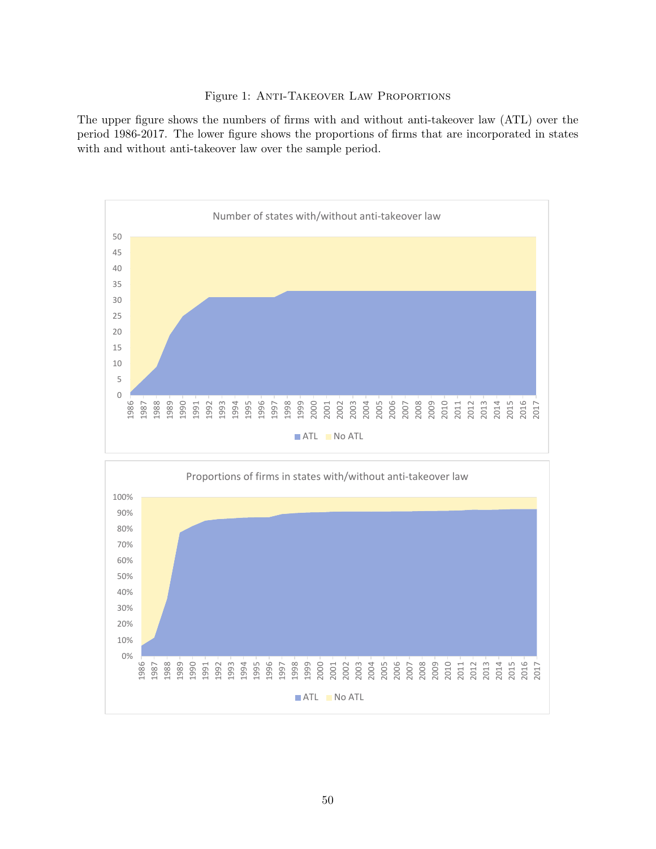#### Figure 1: Anti-Takeover Law Proportions

<span id="page-50-0"></span>The upper figure shows the numbers of firms with and without anti-takeover law (ATL) over the period 1986-2017. The lower figure shows the proportions of firms that are incorporated in states with and without anti-takeover law over the sample period.

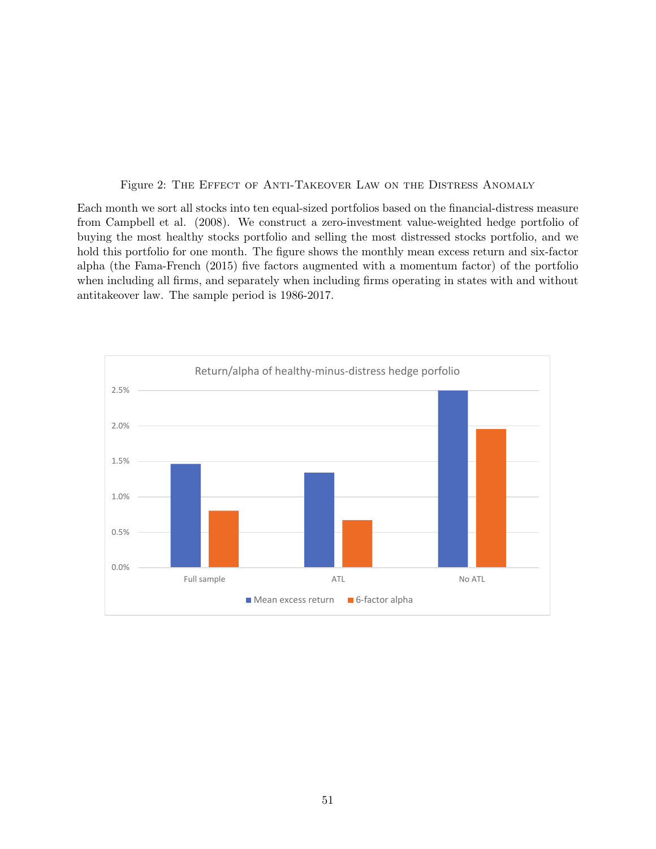Figure 2: The Effect of Anti-Takeover Law on the Distress Anomaly

<span id="page-51-0"></span>Each month we sort all stocks into ten equal-sized portfolios based on the financial-distress measure from Campbell et al. (2008). We construct a zero-investment value-weighted hedge portfolio of buying the most healthy stocks portfolio and selling the most distressed stocks portfolio, and we hold this portfolio for one month. The figure shows the monthly mean excess return and six-factor alpha (the Fama-French (2015) five factors augmented with a momentum factor) of the portfolio when including all firms, and separately when including firms operating in states with and without antitakeover law. The sample period is 1986-2017.

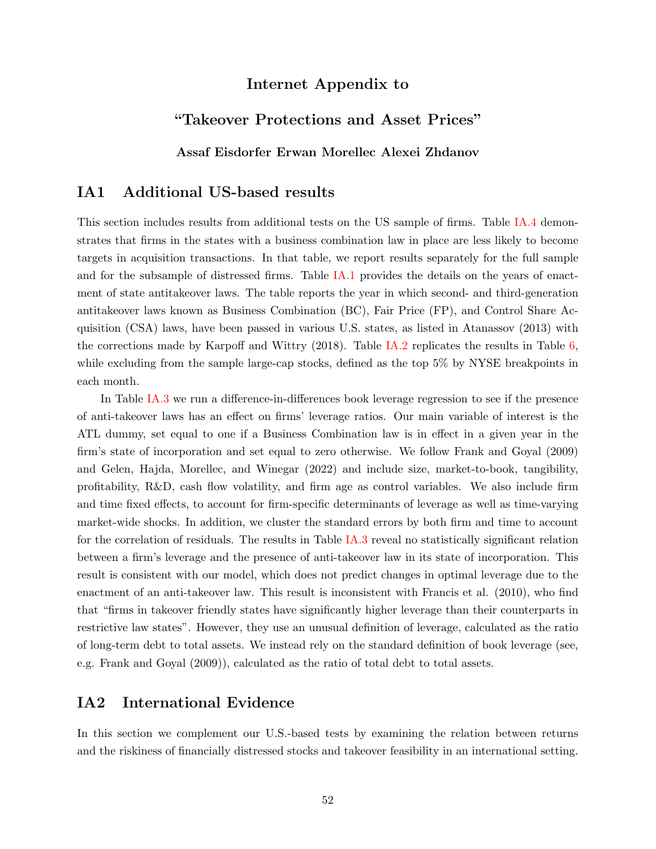# Internet Appendix to

# "Takeover Protections and Asset Prices"

Assaf Eisdorfer Erwan Morellec Alexei Zhdanov

# IA1 Additional US-based results

This section includes results from additional tests on the US sample of firms. Table [IA.4](#page-62-0) demonstrates that firms in the states with a business combination law in place are less likely to become targets in acquisition transactions. In that table, we report results separately for the full sample and for the subsample of distressed firms. Table [IA.1](#page-58-0) provides the details on the years of enactment of state antitakeover laws. The table reports the year in which second- and third-generation antitakeover laws known as Business Combination (BC), Fair Price (FP), and Control Share Acquisition (CSA) laws, have been passed in various U.S. states, as listed in Atanassov (2013) with the corrections made by Karpoff and Wittry (2018). Table [IA.2](#page-59-0) replicates the results in Table [6,](#page-44-0) while excluding from the sample large-cap stocks, defined as the top 5% by NYSE breakpoints in each month.

In Table [IA.3](#page-61-0) we run a difference-in-differences book leverage regression to see if the presence of anti-takeover laws has an effect on firms' leverage ratios. Our main variable of interest is the ATL dummy, set equal to one if a Business Combination law is in effect in a given year in the firm's state of incorporation and set equal to zero otherwise. We follow Frank and Goyal (2009) and Gelen, Hajda, Morellec, and Winegar (2022) and include size, market-to-book, tangibility, profitability, R&D, cash flow volatility, and firm age as control variables. We also include firm and time fixed effects, to account for firm-specific determinants of leverage as well as time-varying market-wide shocks. In addition, we cluster the standard errors by both firm and time to account for the correlation of residuals. The results in Table [IA.3](#page-61-0) reveal no statistically significant relation between a firm's leverage and the presence of anti-takeover law in its state of incorporation. This result is consistent with our model, which does not predict changes in optimal leverage due to the enactment of an anti-takeover law. This result is inconsistent with Francis et al. (2010), who find that "firms in takeover friendly states have significantly higher leverage than their counterparts in restrictive law states". However, they use an unusual definition of leverage, calculated as the ratio of long-term debt to total assets. We instead rely on the standard definition of book leverage (see, e.g. Frank and Goyal (2009)), calculated as the ratio of total debt to total assets.

### IA2 International Evidence

In this section we complement our U.S.-based tests by examining the relation between returns and the riskiness of financially distressed stocks and takeover feasibility in an international setting.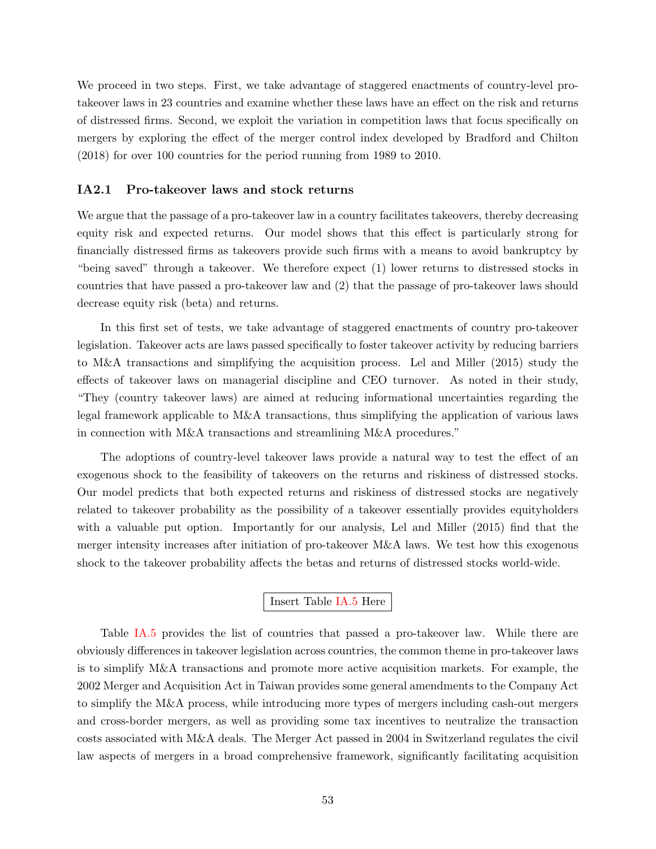We proceed in two steps. First, we take advantage of staggered enactments of country-level protakeover laws in 23 countries and examine whether these laws have an effect on the risk and returns of distressed firms. Second, we exploit the variation in competition laws that focus specifically on mergers by exploring the effect of the merger control index developed by Bradford and Chilton (2018) for over 100 countries for the period running from 1989 to 2010.

#### <span id="page-53-0"></span>IA2.1 Pro-takeover laws and stock returns

We argue that the passage of a pro-takeover law in a country facilitates takeovers, thereby decreasing equity risk and expected returns. Our model shows that this effect is particularly strong for financially distressed firms as takeovers provide such firms with a means to avoid bankruptcy by "being saved" through a takeover. We therefore expect (1) lower returns to distressed stocks in countries that have passed a pro-takeover law and (2) that the passage of pro-takeover laws should decrease equity risk (beta) and returns.

In this first set of tests, we take advantage of staggered enactments of country pro-takeover legislation. Takeover acts are laws passed specifically to foster takeover activity by reducing barriers to M&A transactions and simplifying the acquisition process. Lel and Miller (2015) study the effects of takeover laws on managerial discipline and CEO turnover. As noted in their study, "They (country takeover laws) are aimed at reducing informational uncertainties regarding the legal framework applicable to M&A transactions, thus simplifying the application of various laws in connection with M&A transactions and streamlining M&A procedures."

The adoptions of country-level takeover laws provide a natural way to test the effect of an exogenous shock to the feasibility of takeovers on the returns and riskiness of distressed stocks. Our model predicts that both expected returns and riskiness of distressed stocks are negatively related to takeover probability as the possibility of a takeover essentially provides equityholders with a valuable put option. Importantly for our analysis, Lel and Miller (2015) find that the merger intensity increases after initiation of pro-takeover M&A laws. We test how this exogenous shock to the takeover probability affects the betas and returns of distressed stocks world-wide.

### Insert Table [IA.5](#page-63-0) Here

Table [IA.5](#page-63-0) provides the list of countries that passed a pro-takeover law. While there are obviously differences in takeover legislation across countries, the common theme in pro-takeover laws is to simplify M&A transactions and promote more active acquisition markets. For example, the 2002 Merger and Acquisition Act in Taiwan provides some general amendments to the Company Act to simplify the M&A process, while introducing more types of mergers including cash-out mergers and cross-border mergers, as well as providing some tax incentives to neutralize the transaction costs associated with M&A deals. The Merger Act passed in 2004 in Switzerland regulates the civil law aspects of mergers in a broad comprehensive framework, significantly facilitating acquisition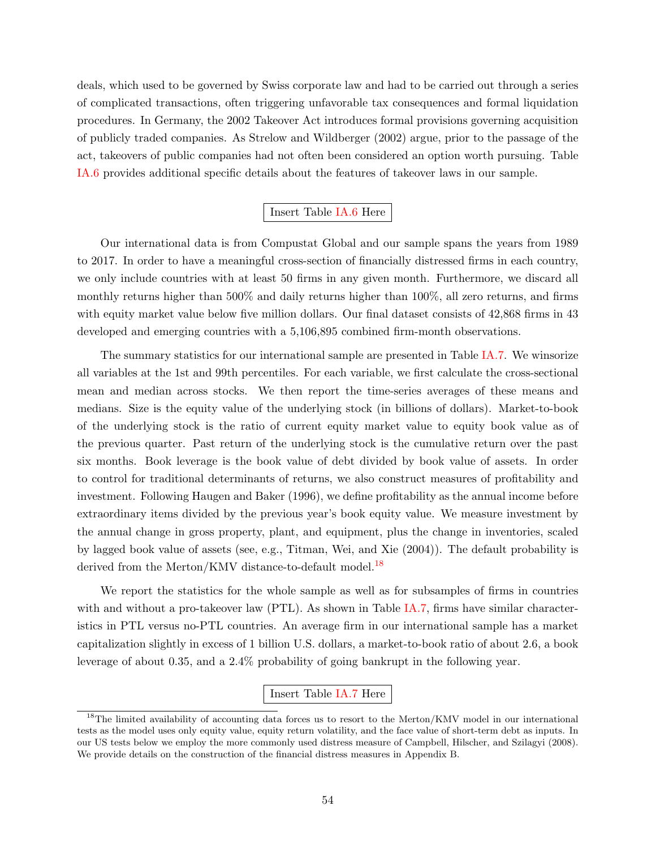deals, which used to be governed by Swiss corporate law and had to be carried out through a series of complicated transactions, often triggering unfavorable tax consequences and formal liquidation procedures. In Germany, the 2002 Takeover Act introduces formal provisions governing acquisition of publicly traded companies. As Strelow and Wildberger (2002) argue, prior to the passage of the act, takeovers of public companies had not often been considered an option worth pursuing. Table [IA.6](#page-64-0) provides additional specific details about the features of takeover laws in our sample.

### Insert Table [IA.6](#page-64-0) Here

Our international data is from Compustat Global and our sample spans the years from 1989 to 2017. In order to have a meaningful cross-section of financially distressed firms in each country, we only include countries with at least 50 firms in any given month. Furthermore, we discard all monthly returns higher than 500% and daily returns higher than 100%, all zero returns, and firms with equity market value below five million dollars. Our final dataset consists of 42,868 firms in 43 developed and emerging countries with a 5,106,895 combined firm-month observations.

The summary statistics for our international sample are presented in Table [IA.7.](#page-67-0) We winsorize all variables at the 1st and 99th percentiles. For each variable, we first calculate the cross-sectional mean and median across stocks. We then report the time-series averages of these means and medians. Size is the equity value of the underlying stock (in billions of dollars). Market-to-book of the underlying stock is the ratio of current equity market value to equity book value as of the previous quarter. Past return of the underlying stock is the cumulative return over the past six months. Book leverage is the book value of debt divided by book value of assets. In order to control for traditional determinants of returns, we also construct measures of profitability and investment. Following Haugen and Baker (1996), we define profitability as the annual income before extraordinary items divided by the previous year's book equity value. We measure investment by the annual change in gross property, plant, and equipment, plus the change in inventories, scaled by lagged book value of assets (see, e.g., Titman, Wei, and Xie (2004)). The default probability is derived from the Merton/KMV distance-to-default model.<sup>[18](#page-54-0)</sup>

We report the statistics for the whole sample as well as for subsamples of firms in countries with and without a pro-takeover law (PTL). As shown in Table [IA.7,](#page-67-0) firms have similar characteristics in PTL versus no-PTL countries. An average firm in our international sample has a market capitalization slightly in excess of 1 billion U.S. dollars, a market-to-book ratio of about 2.6, a book leverage of about 0.35, and a 2.4% probability of going bankrupt in the following year.

### Insert Table [IA.7](#page-67-0) Here

<span id="page-54-0"></span><sup>&</sup>lt;sup>18</sup>The limited availability of accounting data forces us to resort to the Merton/KMV model in our international tests as the model uses only equity value, equity return volatility, and the face value of short-term debt as inputs. In our US tests below we employ the more commonly used distress measure of Campbell, Hilscher, and Szilagyi (2008). We provide details on the construction of the financial distress measures in Appendix B.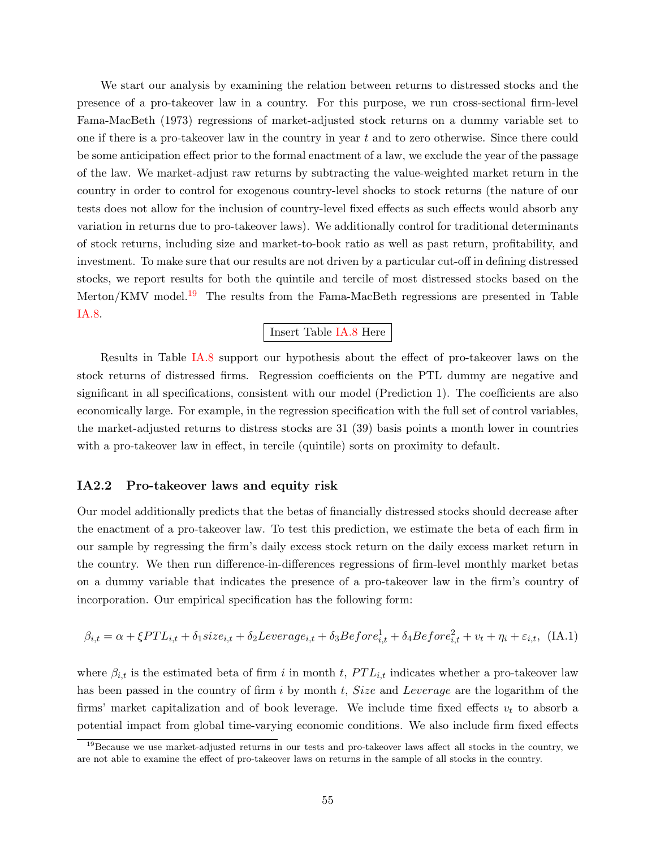We start our analysis by examining the relation between returns to distressed stocks and the presence of a pro-takeover law in a country. For this purpose, we run cross-sectional firm-level Fama-MacBeth (1973) regressions of market-adjusted stock returns on a dummy variable set to one if there is a pro-takeover law in the country in year t and to zero otherwise. Since there could be some anticipation effect prior to the formal enactment of a law, we exclude the year of the passage of the law. We market-adjust raw returns by subtracting the value-weighted market return in the country in order to control for exogenous country-level shocks to stock returns (the nature of our tests does not allow for the inclusion of country-level fixed effects as such effects would absorb any variation in returns due to pro-takeover laws). We additionally control for traditional determinants of stock returns, including size and market-to-book ratio as well as past return, profitability, and investment. To make sure that our results are not driven by a particular cut-off in defining distressed stocks, we report results for both the quintile and tercile of most distressed stocks based on the Merton/KMV model.<sup>[19](#page-55-1)</sup> The results from the Fama-MacBeth regressions are presented in Table [IA.8.](#page-68-0)

#### Insert Table [IA.8](#page-68-0) Here

Results in Table [IA.8](#page-68-0) support our hypothesis about the effect of pro-takeover laws on the stock returns of distressed firms. Regression coefficients on the PTL dummy are negative and significant in all specifications, consistent with our model (Prediction 1). The coefficients are also economically large. For example, in the regression specification with the full set of control variables, the market-adjusted returns to distress stocks are 31 (39) basis points a month lower in countries with a pro-takeover law in effect, in tercile (quintile) sorts on proximity to default.

### IA2.2 Pro-takeover laws and equity risk

Our model additionally predicts that the betas of financially distressed stocks should decrease after the enactment of a pro-takeover law. To test this prediction, we estimate the beta of each firm in our sample by regressing the firm's daily excess stock return on the daily excess market return in the country. We then run difference-in-differences regressions of firm-level monthly market betas on a dummy variable that indicates the presence of a pro-takeover law in the firm's country of incorporation. Our empirical specification has the following form:

<span id="page-55-0"></span>
$$
\beta_{i,t} = \alpha + \xi PTL_{i,t} + \delta_1 size_{i,t} + \delta_2 Leverage_{i,t} + \delta_3 Before_{i,t}^1 + \delta_4 Before_{i,t}^2 + v_t + \eta_i + \varepsilon_{i,t}, \text{ (IA.1)}
$$

where  $\beta_{i,t}$  is the estimated beta of firm i in month t,  $PTL_{i,t}$  indicates whether a pro-takeover law has been passed in the country of firm i by month t, Size and Leverage are the logarithm of the firms' market capitalization and of book leverage. We include time fixed effects  $v_t$  to absorb a potential impact from global time-varying economic conditions. We also include firm fixed effects

<span id="page-55-1"></span> $19$ Because we use market-adjusted returns in our tests and pro-takeover laws affect all stocks in the country, we are not able to examine the effect of pro-takeover laws on returns in the sample of all stocks in the country.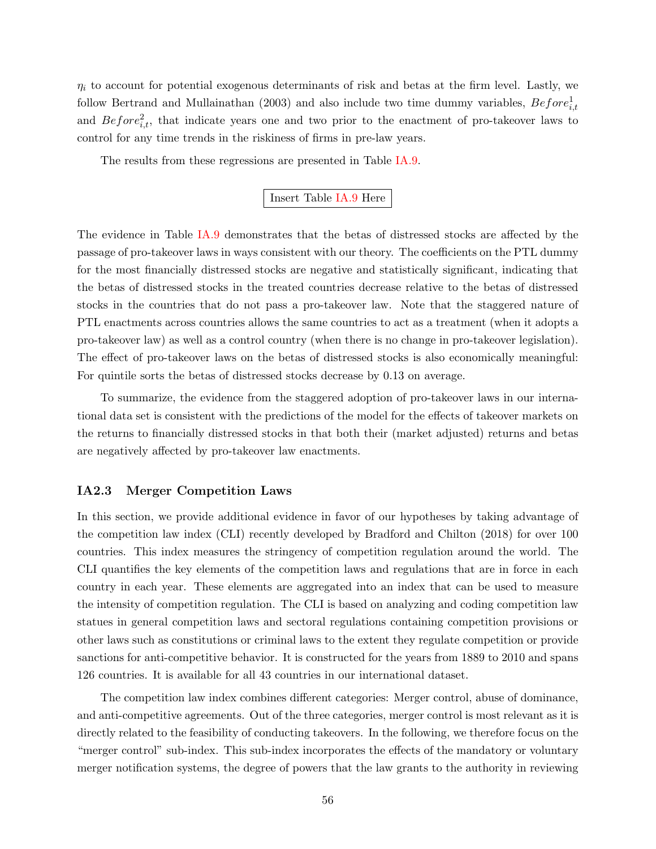$\eta_i$  to account for potential exogenous determinants of risk and betas at the firm level. Lastly, we follow Bertrand and Mullainathan (2003) and also include two time dummy variables,  $Before_{i,t}^1$ and  $Before_{i,t}^2$ , that indicate years one and two prior to the enactment of pro-takeover laws to control for any time trends in the riskiness of firms in pre-law years.

The results from these regressions are presented in Table [IA.9.](#page-69-0)

### Insert Table [IA.9](#page-69-0) Here

The evidence in Table [IA.9](#page-69-0) demonstrates that the betas of distressed stocks are affected by the passage of pro-takeover laws in ways consistent with our theory. The coefficients on the PTL dummy for the most financially distressed stocks are negative and statistically significant, indicating that the betas of distressed stocks in the treated countries decrease relative to the betas of distressed stocks in the countries that do not pass a pro-takeover law. Note that the staggered nature of PTL enactments across countries allows the same countries to act as a treatment (when it adopts a pro-takeover law) as well as a control country (when there is no change in pro-takeover legislation). The effect of pro-takeover laws on the betas of distressed stocks is also economically meaningful: For quintile sorts the betas of distressed stocks decrease by 0.13 on average.

To summarize, the evidence from the staggered adoption of pro-takeover laws in our international data set is consistent with the predictions of the model for the effects of takeover markets on the returns to financially distressed stocks in that both their (market adjusted) returns and betas are negatively affected by pro-takeover law enactments.

### IA2.3 Merger Competition Laws

In this section, we provide additional evidence in favor of our hypotheses by taking advantage of the competition law index (CLI) recently developed by Bradford and Chilton (2018) for over 100 countries. This index measures the stringency of competition regulation around the world. The CLI quantifies the key elements of the competition laws and regulations that are in force in each country in each year. These elements are aggregated into an index that can be used to measure the intensity of competition regulation. The CLI is based on analyzing and coding competition law statues in general competition laws and sectoral regulations containing competition provisions or other laws such as constitutions or criminal laws to the extent they regulate competition or provide sanctions for anti-competitive behavior. It is constructed for the years from 1889 to 2010 and spans 126 countries. It is available for all 43 countries in our international dataset.

The competition law index combines different categories: Merger control, abuse of dominance, and anti-competitive agreements. Out of the three categories, merger control is most relevant as it is directly related to the feasibility of conducting takeovers. In the following, we therefore focus on the "merger control" sub-index. This sub-index incorporates the effects of the mandatory or voluntary merger notification systems, the degree of powers that the law grants to the authority in reviewing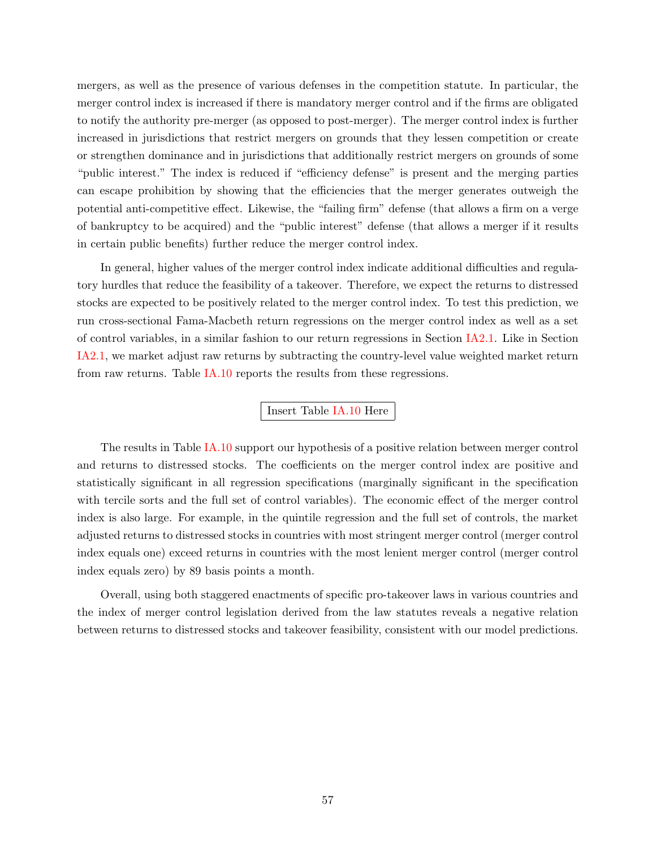mergers, as well as the presence of various defenses in the competition statute. In particular, the merger control index is increased if there is mandatory merger control and if the firms are obligated to notify the authority pre-merger (as opposed to post-merger). The merger control index is further increased in jurisdictions that restrict mergers on grounds that they lessen competition or create or strengthen dominance and in jurisdictions that additionally restrict mergers on grounds of some "public interest." The index is reduced if "efficiency defense" is present and the merging parties can escape prohibition by showing that the efficiencies that the merger generates outweigh the potential anti-competitive effect. Likewise, the "failing firm" defense (that allows a firm on a verge of bankruptcy to be acquired) and the "public interest" defense (that allows a merger if it results in certain public benefits) further reduce the merger control index.

In general, higher values of the merger control index indicate additional difficulties and regulatory hurdles that reduce the feasibility of a takeover. Therefore, we expect the returns to distressed stocks are expected to be positively related to the merger control index. To test this prediction, we run cross-sectional Fama-Macbeth return regressions on the merger control index as well as a set of control variables, in a similar fashion to our return regressions in Section [IA2.1.](#page-53-0) Like in Section [IA2.1,](#page-53-0) we market adjust raw returns by subtracting the country-level value weighted market return from raw returns. Table [IA.10](#page-70-0) reports the results from these regressions.

#### Insert Table [IA.10](#page-70-0) Here

The results in Table [IA.10](#page-70-0) support our hypothesis of a positive relation between merger control and returns to distressed stocks. The coefficients on the merger control index are positive and statistically significant in all regression specifications (marginally significant in the specification with tercile sorts and the full set of control variables). The economic effect of the merger control index is also large. For example, in the quintile regression and the full set of controls, the market adjusted returns to distressed stocks in countries with most stringent merger control (merger control index equals one) exceed returns in countries with the most lenient merger control (merger control index equals zero) by 89 basis points a month.

Overall, using both staggered enactments of specific pro-takeover laws in various countries and the index of merger control legislation derived from the law statutes reveals a negative relation between returns to distressed stocks and takeover feasibility, consistent with our model predictions.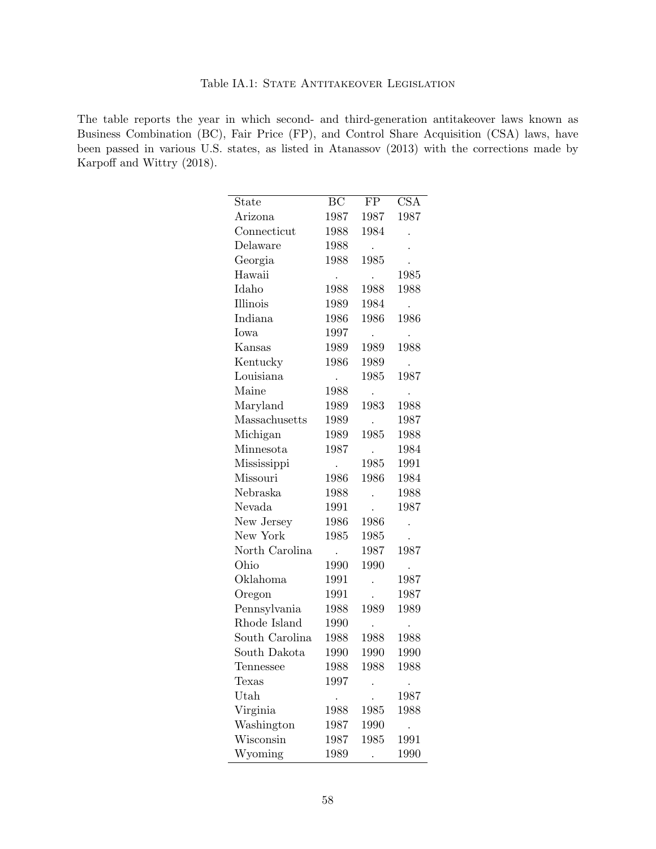### Table IA.1: STATE ANTITAKEOVER LEGISLATION

<span id="page-58-0"></span>The table reports the year in which second- and third-generation antitakeover laws known as Business Combination (BC), Fair Price (FP), and Control Share Acquisition (CSA) laws, have been passed in various U.S. states, as listed in Atanassov (2013) with the corrections made by Karpoff and Wittry (2018).

| State          | ВC   | FP                   | <b>CSA</b>           |
|----------------|------|----------------------|----------------------|
| Arizona        | 1987 | 1987                 | 1987                 |
| Connecticut    | 1988 | 1984                 |                      |
| Delaware       | 1988 | ٠                    |                      |
| Georgia        | 1988 | 1985                 |                      |
| Hawaii         |      |                      | 1985                 |
| Idaho          | 1988 | 1988                 | 1988                 |
| Illinois       | 1989 | 1984                 |                      |
| Indiana        | 1986 | 1986                 | 1986                 |
| Iowa           | 1997 | $\cdot$              |                      |
| Kansas         | 1989 | 1989                 | 1988                 |
| Kentucky       | 1986 | 1989                 |                      |
| Louisiana      |      | 1985                 | 1987                 |
| Maine          | 1988 |                      |                      |
| Maryland       | 1989 | 1983                 | 1988                 |
| Massachusetts  | 1989 |                      | 1987                 |
| Michigan       | 1989 | 1985                 | 1988                 |
| Minnesota      | 1987 | $\ddot{\phantom{0}}$ | 1984                 |
| Mississippi    |      | 1985                 | 1991                 |
| Missouri       | 1986 | 1986                 | 1984                 |
| Nebraska       | 1988 |                      | 1988                 |
| Nevada         | 1991 |                      | 1987                 |
| New Jersey     | 1986 | 1986                 |                      |
| New York       | 1985 | 1985                 |                      |
| North Carolina |      | 1987                 | 1987                 |
| Ohio           | 1990 | 1990                 | $\bullet$            |
| Oklahoma       | 1991 |                      | 1987                 |
| Oregon         | 1991 | $\ddot{\phantom{0}}$ | 1987                 |
| Pennsylvania   | 1988 | 1989                 | 1989                 |
| Rhode Island   | 1990 |                      |                      |
| South Carolina | 1988 | 1988                 | 1988                 |
| South Dakota   | 1990 | 1990                 | 1990                 |
| Tennessee      | 1988 | 1988                 | 1988                 |
| Texas          | 1997 |                      |                      |
| Utah           |      |                      | 1987                 |
| Virginia       | 1988 | 1985                 | 1988                 |
| Washington     | 1987 | 1990                 | $\ddot{\phantom{0}}$ |
| Wisconsin      | 1987 | 1985                 | 1991                 |
| Wyoming        | 1989 |                      | 1990                 |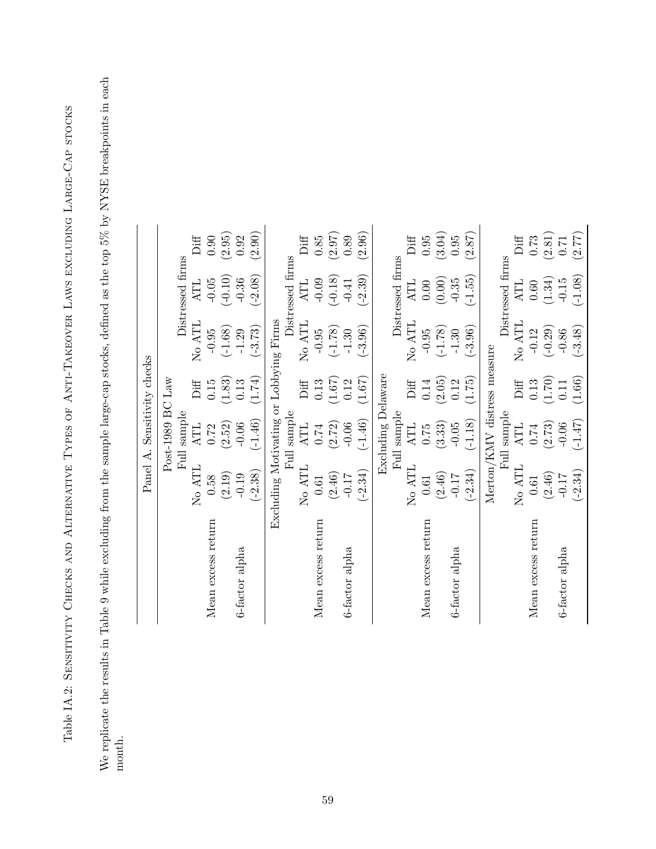Table IA.2: SENSITIVITY CHECKS AND ALTERNATIVE TYPES OF ANTI-TAKEOVER LAWS EXCLUDING LARGE-CAP STOCKS Table IA.2: Sensitivity Checks and Alternative Types of Anti-Takeover Laws excluding Large-Cap stocks <span id="page-59-0"></span>We replicate the results in Table 9 while excluding from the sample large-cap stocks, defined as the top 5% by NYSE breakpoints in each We replicate the results in Table 9 while excluding from the sample large-cap stocks, defined as the top 5% by NYSE breakpoints in each month.

|                    |                                        | Panel A. Sensitivity checks |        |           |                    |          |
|--------------------|----------------------------------------|-----------------------------|--------|-----------|--------------------|----------|
|                    |                                        | Post-1989 BC Law            |        |           |                    |          |
|                    | <b>Full</b>                            | sample                      |        |           | Distressed firms   |          |
|                    | No ATL                                 | <b>ATL</b>                  | Diff   | No ATL    | ATL                | Diff     |
| Mean excess return | 0.58                                   | 0.72                        | 0.15   | $-0.95$   | $-0.05$            | 0.90     |
|                    | (2.19)                                 | (2.52)                      | (1.83) | $(-1.68)$ | $(-0.10)$          | (2.95)   |
| 6-factor alpha     | $-0.19$                                | $-0.06$                     | 0.13   | $-1.29$   | $-0.36$            | 0.92     |
|                    | $(-2.38)$                              | $(-1.46)$                   | (1.74) | $(-3.73)$ | $(-2.08)$          | (2.90)   |
|                    | Excluding Motivating or Lobbying Firms |                             |        |           |                    |          |
|                    |                                        | Full sample                 |        |           | Distressed firms   |          |
|                    | No ATL                                 | <b>ATL</b>                  | Diff   | No ATL    | <b>ATL</b>         | Diff     |
| Mean excess return | 0.61                                   | 0.74                        | 0.13   | $-0.95$   | $-0.09$            | $0.85\,$ |
|                    | (2.46)                                 | (2.72)                      | (1.67) | $(-1.78)$ | $(-0.18)$          | (2.97)   |
| 6-factor alpha     | $-0.17$                                | $-0.06$                     | 0.12   | $-1.30$   | $-0.41$            | 0.89     |
|                    | $(-2.34)$                              | $(-1.46)$                   | (1.67) | $(-3.96)$ | $(-2.39)$          | (2.96)   |
|                    |                                        | Excluding Delaware          |        |           |                    |          |
|                    |                                        | Full sample                 |        |           | Distressed firms   |          |
|                    | No ATL                                 | <b>ATL</b>                  | Diff   | No ATL    | $\Lambda\text{TL}$ | Diff     |
| Mean excess return | 0.61                                   | 0.75                        | 0.14   | $-0.95$   | $0.00$             | $0.95\,$ |
|                    | (2.46)                                 | (3.33)                      | (2.05) | $(-1.78)$ | (0.00)             | (3.04)   |
| 6-factor alpha     | $-0.17$                                | $-0.05$                     | 0.12   | $-1.30$   | $-0.35$            | $0.95\,$ |
|                    | $(-2.34)$                              | $(-1.18)$                   | (1.75) | $(-3.96)$ | $(-1.55)$          | (2.87)   |
|                    | $Merton/KMV$ distress measure          |                             |        |           |                    |          |
|                    |                                        | Full sample                 |        |           | Distressed firms   |          |
|                    | No ATL                                 | <b>ATL</b>                  | Diff   | No ATL    | ATL                | Diff     |
| Mean excess return | 0.61                                   | $0.74\,$                    | 0.13   | $-0.12$   | 0.60               | 0.73     |
|                    | (2.46)                                 | (2.73)                      | (1.70) | $(-0.29)$ | (1.34)             | (2.81)   |
| 6-factor alpha     | $-0.17$                                | $-0.06$                     | 0.11   | $-0.86$   | $-0.15$            | $0.71\,$ |
|                    | $(-2.34)$                              | $(-1.47)$                   | (1.66) | $(-3.48)$ | $(-1.08)$          | (2.77)   |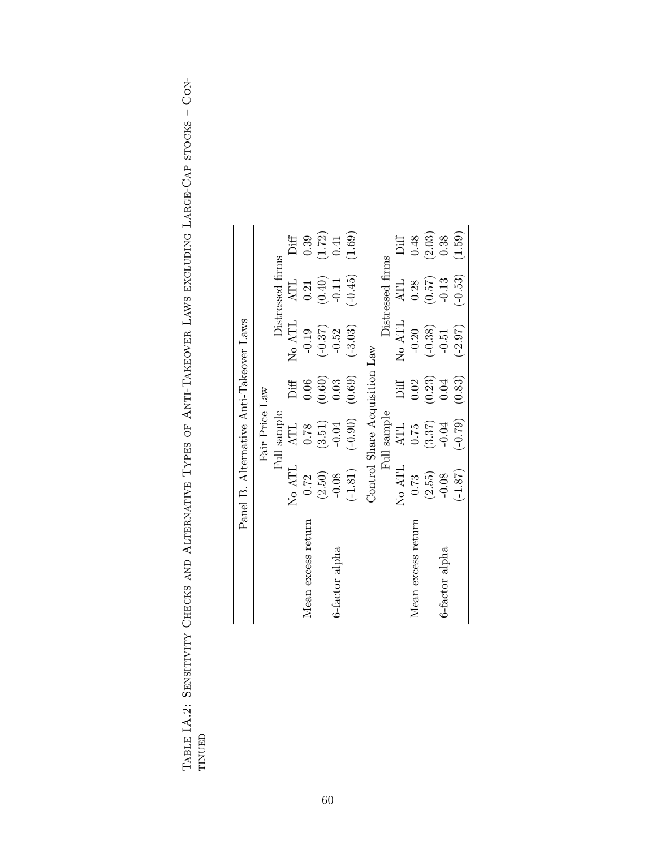|                    | Panel B. Alternative Anti-Takeover Laws |                               |        |           |                      |        |
|--------------------|-----------------------------------------|-------------------------------|--------|-----------|----------------------|--------|
|                    |                                         | Fair Price Law                |        |           |                      |        |
|                    |                                         | Full sample                   |        |           | Distressed firms     |        |
|                    | No ATL                                  | <b>ATL</b>                    | Diff   | No ATL    | $\operatorname{ATL}$ | Diff   |
| Mean excess return | 0.72                                    | 0.78                          | 0.06   | $-0.19$   | 0.21                 | 0.39   |
|                    | (2.50)                                  | (3.51)                        | (0.60) | $(-0.37)$ | (0.40)               | (1.72) |
| 6-factor alpha     | $-0.08$                                 | $-0.04$                       | 0.03   | $-0.52$   | $-0.11$              | 0.41   |
|                    | $(-1.81)$                               | $(-0.90)$                     | (0.69) | $(-3.03)$ | $(-0.45)$            | (1.69) |
|                    |                                         | Control Share Acquisition Law |        |           |                      |        |
|                    |                                         | Full sample                   |        |           | Distressed firms     |        |
|                    | No ATL                                  | <b>ATL</b>                    | Diff   | No ATL    | <b>ATL</b>           | Diff   |
| Mean excess return | 0.73                                    | 0.75                          | 0.02   | $-0.20$   | 0.28                 | 0.48   |
|                    | (2.55)                                  | (3.37)                        | (0.23) | $(-0.38)$ | (0.57)               | (2.03) |
| 6-factor alpha     | $-0.08$                                 | $-0.04$                       | 0.04   | $-0.51$   | $-0.13$              | 0.38   |
|                    | $(-1.87)$                               | $(-0.79)$                     | (0.83) | $(-2.97)$ | $(-0.53)$            | (1.59) |

TABLE IA.2: SENSITIVITY CHECKS AND ALTERNATIVE TYPES OF ANTI-TAKEOVER LAWS EXCLUDING LARGE-CAP STOCKS - CON-Table IA.2: Sensitivity Checks and Alternative Types of Anti-Takeover Laws excluding Large-Cap stocks – Continued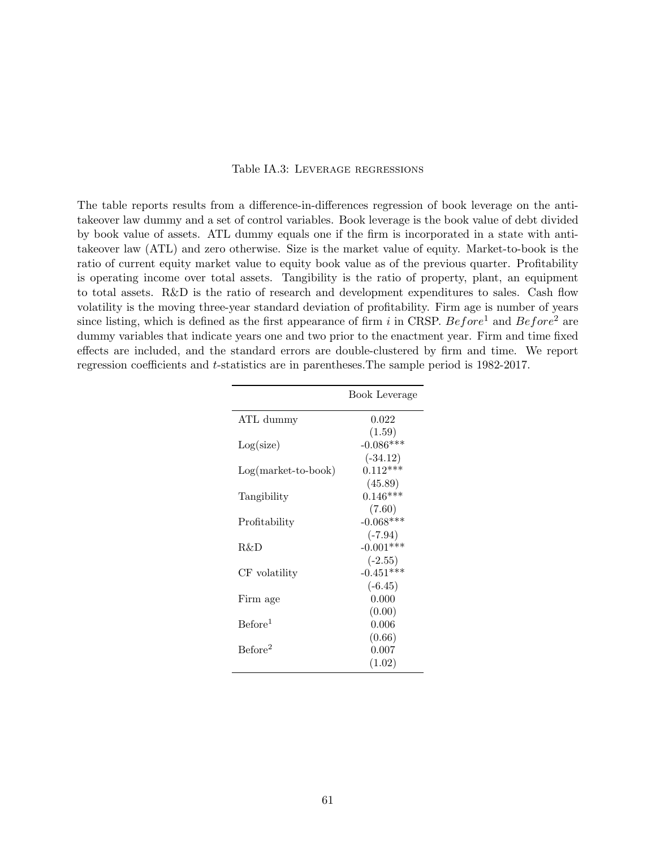#### Table IA.3: Leverage regressions

<span id="page-61-0"></span>The table reports results from a difference-in-differences regression of book leverage on the antitakeover law dummy and a set of control variables. Book leverage is the book value of debt divided by book value of assets. ATL dummy equals one if the firm is incorporated in a state with antitakeover law (ATL) and zero otherwise. Size is the market value of equity. Market-to-book is the ratio of current equity market value to equity book value as of the previous quarter. Profitability is operating income over total assets. Tangibility is the ratio of property, plant, an equipment to total assets. R&D is the ratio of research and development expenditures to sales. Cash flow volatility is the moving three-year standard deviation of profitability. Firm age is number of years since listing, which is defined as the first appearance of firm i in CRSP. Before<sup>1</sup> and Before<sup>2</sup> are dummy variables that indicate years one and two prior to the enactment year. Firm and time fixed effects are included, and the standard errors are double-clustered by firm and time. We report regression coefficients and t-statistics are in parentheses.The sample period is 1982-2017.

|                       | Book Leverage |
|-----------------------|---------------|
| ATL dummy             | 0.022         |
|                       | (1.59)        |
| Log(size)             | $-0.086***$   |
|                       | $(-34.12)$    |
| $Log(maxket-to-book)$ | $0.112***$    |
|                       | (45.89)       |
| Tangibility           | $0.146***$    |
|                       | (7.60)        |
| Profitability         | $-0.068***$   |
|                       | $(-7.94)$     |
| R&D                   | $-0.001***$   |
|                       | $(-2.55)$     |
| CF volatility         | $-0.451***$   |
|                       | $(-6.45)$     |
| Firm age              | 0.000         |
|                       | (0.00)        |
| Before <sup>1</sup>   | 0.006         |
|                       | (0.66)        |
| Before <sup>2</sup>   | 0.007         |
|                       | (1.02)        |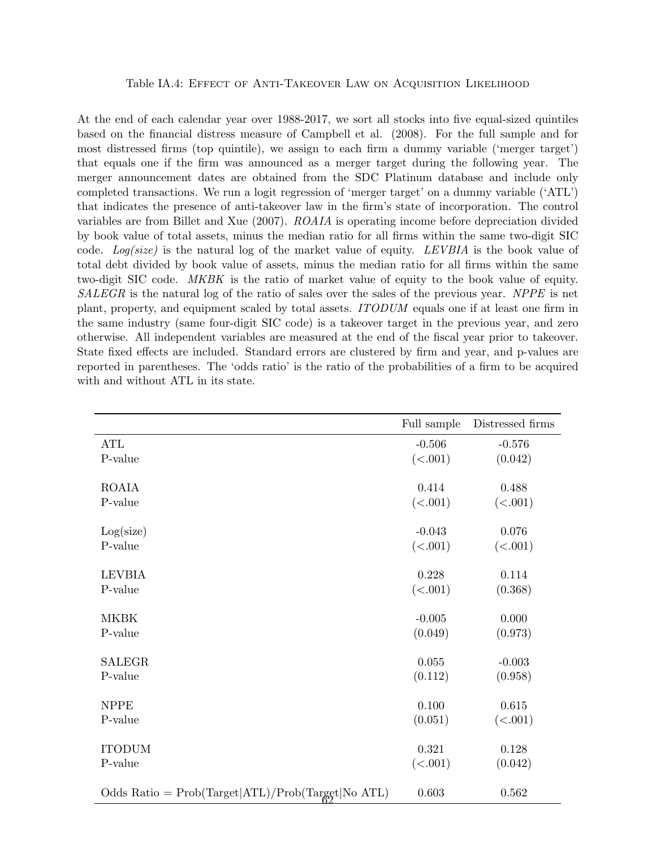#### Table IA.4: Effect of Anti-Takeover Law on Acquisition Likelihood

<span id="page-62-0"></span>At the end of each calendar year over 1988-2017, we sort all stocks into five equal-sized quintiles based on the financial distress measure of Campbell et al. (2008). For the full sample and for most distressed firms (top quintile), we assign to each firm a dummy variable ('merger target') that equals one if the firm was announced as a merger target during the following year. The merger announcement dates are obtained from the SDC Platinum database and include only completed transactions. We run a logit regression of 'merger target' on a dummy variable ('ATL') that indicates the presence of anti-takeover law in the firm's state of incorporation. The control variables are from Billet and Xue (2007). ROAIA is operating income before depreciation divided by book value of total assets, minus the median ratio for all firms within the same two-digit SIC code. Log(size) is the natural log of the market value of equity. LEVBIA is the book value of total debt divided by book value of assets, minus the median ratio for all firms within the same two-digit SIC code. MKBK is the ratio of market value of equity to the book value of equity. SALEGR is the natural log of the ratio of sales over the sales of the previous year. NPPE is net plant, property, and equipment scaled by total assets. ITODUM equals one if at least one firm in the same industry (same four-digit SIC code) is a takeover target in the previous year, and zero otherwise. All independent variables are measured at the end of the fiscal year prior to takeover. State fixed effects are included. Standard errors are clustered by firm and year, and p-values are reported in parentheses. The 'odds ratio' is the ratio of the probabilities of a firm to be acquired with and without ATL in its state.

|                                                     | Full sample | Distressed firms |
|-----------------------------------------------------|-------------|------------------|
| ATL                                                 | $-0.506$    | $-0.576$         |
| P-value                                             | (<.001)     | (0.042)          |
|                                                     |             |                  |
| <b>ROAIA</b>                                        | 0.414       | 0.488            |
| P-value                                             | (<.001)     | (<.001)          |
|                                                     | $-0.043$    | 0.076            |
| Log(size)<br>P-value                                |             |                  |
|                                                     | (<.001)     | (<.001)          |
| <b>LEVBIA</b>                                       | 0.228       | 0.114            |
| P-value                                             | (<.001)     | (0.368)          |
|                                                     |             |                  |
| MKBK                                                | $-0.005$    | 0.000            |
| P-value                                             | (0.049)     | (0.973)          |
|                                                     |             |                  |
| <b>SALEGR</b>                                       | 0.055       | $-0.003$         |
| P-value                                             | (0.112)     | (0.958)          |
|                                                     |             |                  |
| <b>NPPE</b>                                         | 0.100       | $0.615\,$        |
| P-value                                             | (0.051)     | (<.001)          |
|                                                     |             |                  |
| <b>ITODUM</b>                                       | 0.321       | 0.128            |
| P-value                                             | (<.001)     | (0.042)          |
| Odds Ratio = $Prob(Target ATL)/Prob(Target No ATL)$ | 0.603       | 0.562            |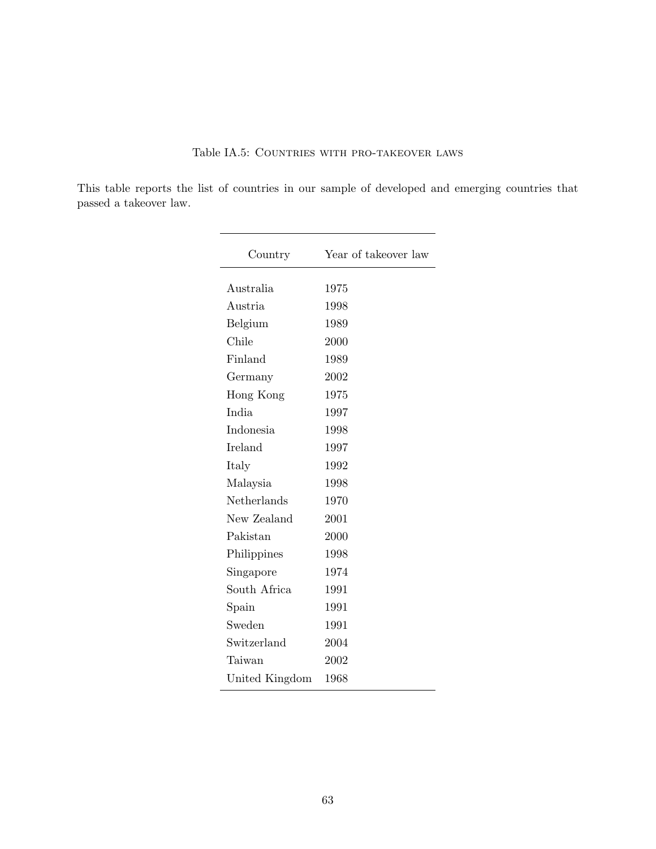### Table IA.5: Countries with pro-takeover laws

<span id="page-63-0"></span>This table reports the list of countries in our sample of developed and emerging countries that passed a takeover law.

| Country        | Year of takeover law |
|----------------|----------------------|
| Australia      | 1975                 |
| Austria        | 1998                 |
| Belgium        | 1989                 |
| Chile          | 2000                 |
| Finland        | 1989                 |
| Germany        | 2002                 |
| Hong Kong      | 1975                 |
| India          | 1997                 |
| Indonesia      | 1998                 |
| Ireland        | 1997                 |
| Italy          | 1992                 |
| Malaysia       | 1998                 |
| Netherlands    | 1970                 |
| New Zealand    | 2001                 |
| Pakistan       | 2000                 |
| Philippines    | 1998                 |
| Singapore      | 1974                 |
| South Africa   | 1991                 |
| Spain          | 1991                 |
| Sweden         | 1991                 |
| Switzerland    | 2004                 |
| Taiwan         | 2002                 |
| United Kingdom | 1968                 |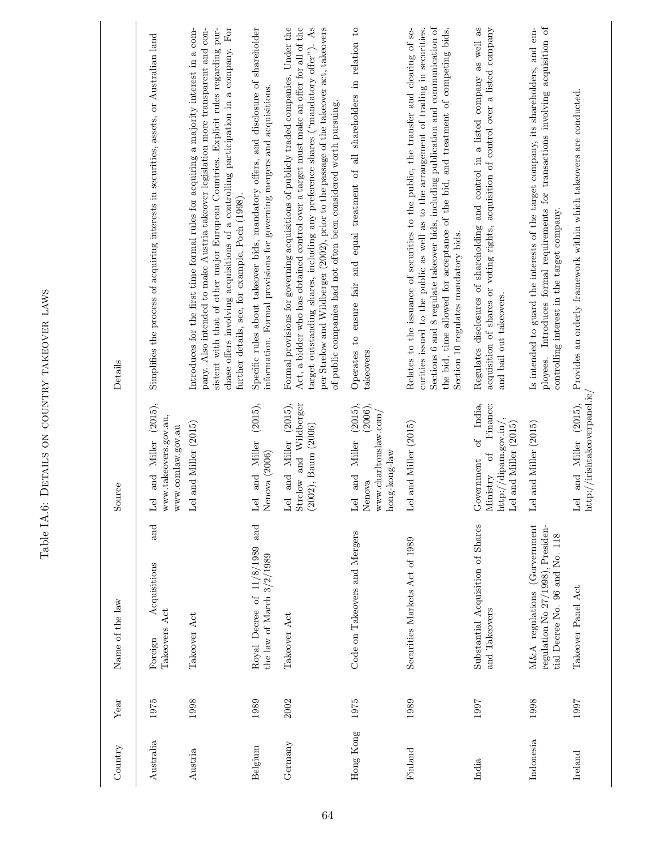<span id="page-64-0"></span>

| Country   | Year | Name of the law                                                                                     | Source                                                                                                          | Details                                                                                                                                                                                                                                                                                                                                                                                                                             |
|-----------|------|-----------------------------------------------------------------------------------------------------|-----------------------------------------------------------------------------------------------------------------|-------------------------------------------------------------------------------------------------------------------------------------------------------------------------------------------------------------------------------------------------------------------------------------------------------------------------------------------------------------------------------------------------------------------------------------|
| Australia | 1975 | $\quad \  \  \, {\rm and}$<br>Acquisitions<br>Takeovers Act<br>Foreign                              | (2015),<br>www.takeovers.gov.au,<br>www.comlaw.gov.au<br>and Miller<br>Lel                                      | Simplifies the process of acquiring interests in securities, assets, or Australian land                                                                                                                                                                                                                                                                                                                                             |
| Austria   | 1998 | Takeover Act                                                                                        | Lel and Miller (2015)                                                                                           | chase offers involving acquisitions of a controlling participation in a company. For<br>pany. Also intended to make Austria takeover legislation more transparent and con-<br>sistent with that of other major European Countries. Explicit rules regarding pur-<br>Introduces for the first time formal rules for acquiring a majority interest in a com-<br>further details, see, for example, Poch (1998).                       |
| Belgium   | 1989 | Royal Decree of 11/8/1989 and<br>the law of March 3/2/1989                                          | (2015),<br>and Miller<br>Nenova (2006)<br>$_{\rm Lel}$                                                          | Specific rules about takeover bids, mandatory offers, and disclosure of shareholder<br>information. Formal provisions for governing mergers and acquisitions.                                                                                                                                                                                                                                                                       |
| Germany   | 2002 | Takeover Act                                                                                        | and Miller (2015),<br>Strelow and Wildberger<br>$(2002)$ , Baum $(2006)$<br>Lel                                 | Act, a bidder who has obtained control over a target must make an offer for all of the<br>Formal provisions for governing acquisitions of publicly traded companies. Under the<br>target outstanding shares, including any preference shares ("mandatory offer"). As<br>per Strelow and Wildberger (2002), prior to the passage of the takeover act, takeovers<br>of public companies had not often been considered worth pursuing. |
| Hong Kong | 1975 | Code on Takeovers and Mergers                                                                       | $(2015)$ ,<br>(2006),<br>www.charltonslaw.com/<br>and Miller<br>hong-kong-law<br>Nenova<br>Lel                  | Operates to ensure fair and equal treatment of all shareholders in relation to<br>takeovers.                                                                                                                                                                                                                                                                                                                                        |
| Finland   | 1989 | Securities Markets Act of 1989                                                                      | Lel and Miller (2015)                                                                                           | Sections 6 and 8 regulate takeover bids, including publication and communication of<br>Relates to the issuance of securities to the public, the transfer and clearing of se-<br>the bid, time allowed for acceptance of the bid, and treatment of competing bids.<br>curities issued to the public as well as to the arrangement of trading in securities.<br>Section 10 regulates mandatory bids.                                  |
| India     | 1997 | Substantial Acquisition of Shares<br>and Takeovers                                                  | of India,<br>Finance:<br>$\frac{http://dipam.gov.in/}{$ ,<br>Lel and Miller (2015)<br>Ministry of<br>Government | Regulates disclosures of shareholding and control in a listed company as well as<br>acquisition of shares or voting rights, acquisition of control over a listed company<br>and bail out takeovers.                                                                                                                                                                                                                                 |
| Indonesia | 1998 | M&A regulations (Gorvernment<br>regulation No 27/1998), Presiden-<br>tial Decree No. 96 and No. 118 | and Miller (2015)<br>Lel                                                                                        | ployees. Introduces formal requirements for transactions involving acquisition of<br>Is intended to guard the interests of the target company, its shareholders, and em-<br>controlling interest in the target company.                                                                                                                                                                                                             |
| Ireland   | 1997 | Takeover Panel Act                                                                                  | ${\rm http://irishtakeoverpanel.ie/}$<br>and Miller (2015).<br>Lel                                              | Provides an orderly framework within which takeovers are conducted.                                                                                                                                                                                                                                                                                                                                                                 |

Table IA.6: Details on country takeover laws

Table IA.6: DETAILS ON COUNTRY TAKEOVER LAWS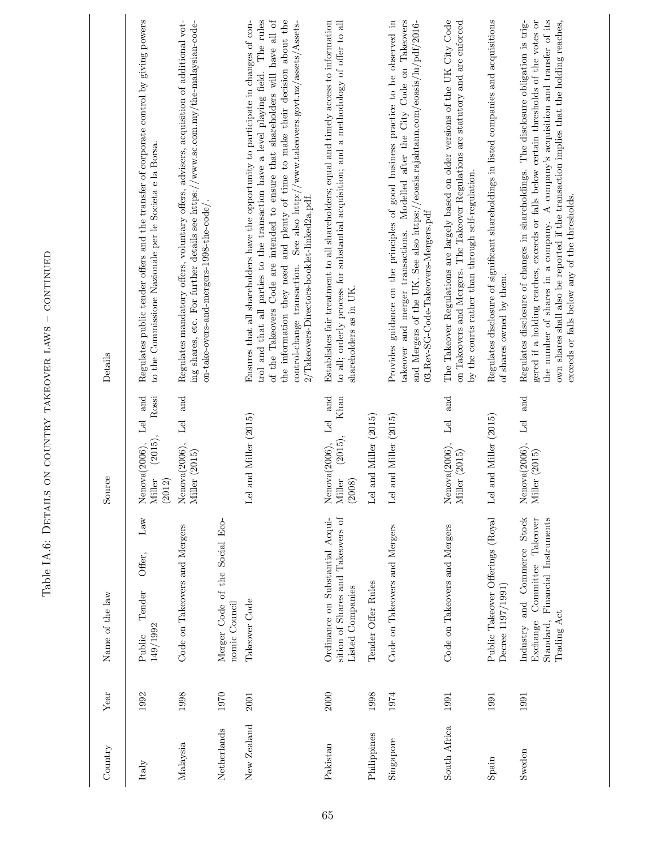| Country      | Year | Name of the law                                                                                                 | Source                                                           | Details                                                                                                                                                                                                                                                                                                                                                                                                                                                                              |
|--------------|------|-----------------------------------------------------------------------------------------------------------------|------------------------------------------------------------------|--------------------------------------------------------------------------------------------------------------------------------------------------------------------------------------------------------------------------------------------------------------------------------------------------------------------------------------------------------------------------------------------------------------------------------------------------------------------------------------|
| Italy        | 1992 | $_{\rm Law}$<br>Offer,<br>Tender<br>149/1992<br>Public                                                          | Lel and<br>Rossi<br>(2015),<br>Nenova(2006),<br>Miller<br>(2012) | Regulates public tender offers and the transfer of corporate control by giving powers<br>to the Commissione Nazionale per le Societa e la Borsa.                                                                                                                                                                                                                                                                                                                                     |
| Malaysia     | 1998 | Code on Takeovers and Mergers                                                                                   | Lel and<br>Nenova(2006),<br>Miller (2015)                        | Regulates mandatory offers, voluntary offers, advisers, acquisition of additional vot-<br>ing shares, etc. For further details see https://www.sc.com.my/the-malaysian-code-<br>on-take-overs-and-mergers-1998-the-code/.                                                                                                                                                                                                                                                            |
| Netherlands  | 1970 | Merger Code of the Social Eco-<br>nomic Council                                                                 |                                                                  |                                                                                                                                                                                                                                                                                                                                                                                                                                                                                      |
| New Zealand  | 2001 | Takeover Code                                                                                                   | Lel and Miller (2015)                                            | The rules<br>of the Takeovers Code are intended to ensure that shareholders will have all of<br>the information they need and plenty of time to make their decision about the<br>Ensures that all shareholders have the opportunity to participate in changes of con-<br>control-change transaction. See also http://www.takeovers.govt.nz/assets/Assets-<br>trol and that all parties to the transaction have a level playing field.<br>2/Takeovers-Directors-booklet-linked2a.pdf. |
| Pakistan     | 2000 | sition of Shares and Takeovers of<br>Ordinance on Substantial Acqui-<br>Listed Companies                        | Lel and<br>Khan<br>(2015),<br>Nenova(2006),<br>Miller<br>(2008)  | Establishes fair treatment to all shareholders; equal and timely access to information<br>to all; orderly process for substantial acquisition; and a methodology of offer to all<br>shareholders as in UK.                                                                                                                                                                                                                                                                           |
| Philippines  | 1998 | Tender Offer Rules                                                                                              | Lel and Miller (2015)                                            |                                                                                                                                                                                                                                                                                                                                                                                                                                                                                      |
| Singapore    | 1974 | Code on Takeovers and Mergers                                                                                   | and Miller (2015)<br>Lel                                         | Provides guidance on the principles of good business practice to be observed in<br>takeover and merger transactions. Modelled after the City Code on Takeovers<br>and Mergers of the UK. See also https://eoasis.rajahtann.com/eoasis/lu/pdf/2016-<br>03_Rev-SG-Code-Takeovers-Mergers.pdf                                                                                                                                                                                           |
| South Africa | 1991 | Code on Takeovers and Mergers                                                                                   | and<br>$L$ el<br>Nenova(2006),<br>Miller (2015)                  | The Takeover Regulations are largely based on older versions of the UK City Code<br>on Takeovers and Mergers. The Takeover Regulations are statutory and are enforced<br>by the courts rather than through self-regulation.                                                                                                                                                                                                                                                          |
| Spain        | 1991 | Public Takeover Offerings (Royal<br>Decree 1197/1991)                                                           | Lel and Miller (2015)                                            | Regulates disclosure of significant shareholdings in listed companies and acquisitions<br>of shares owned by them.                                                                                                                                                                                                                                                                                                                                                                   |
| Sweden       | 1991 | Standard, Financial Instruments<br>Industry and Commerce Stock<br>Committee Takeover<br>Trading Act<br>Exchange | Lel and<br>Nenova(2006),<br>Miller (2015)                        | gered if a holding reaches, exceeds or falls below certain thresholds of the votes or<br>the number of shares in a company. A company's acquisition and transfer of its<br>own shares shall also be reported if the transaction implies that the holding reaches,<br>Regulates disclosure of changes in shareholdings. The disclosure obligation is trig-<br>exceeds or falls below any of the thresholds.                                                                           |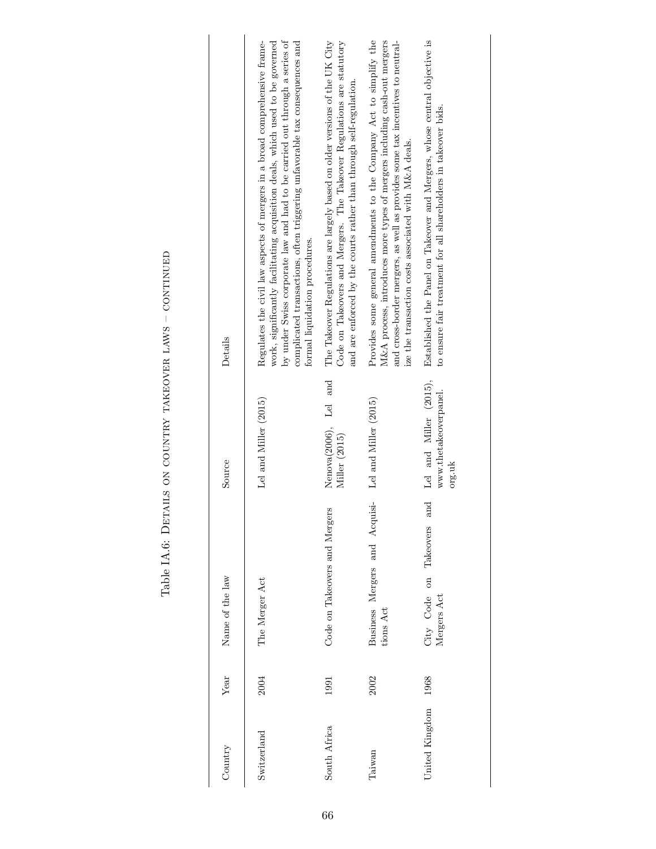| Country        | Year | Name of the law                                 | Source                                                    | Details                                                                                                                                                                                                                                                                                                                                                    |
|----------------|------|-------------------------------------------------|-----------------------------------------------------------|------------------------------------------------------------------------------------------------------------------------------------------------------------------------------------------------------------------------------------------------------------------------------------------------------------------------------------------------------------|
| Switzerland    | 2004 | The Merger Act                                  | Lel and Miller (2015)                                     | by under Swiss corporate law and had to be carried out through a series of<br>work, significantly facilitating acquisition deals, which used to be governed<br>complicated transactions, often triggering unfavorable tax consequences and<br>Regulates the civil law aspects of mergers in a broad comprehensive frame-<br>formal liquidation procedures. |
| South Africa   | 1991 | Code on Takeovers and Mergers                   | Nenova(2006), Lel and<br>Miller (2015)                    | The Takeover Regulations are largely based on older versions of the UK City<br>Code on Takeovers and Mergers. The Takeover Regulations are statutory<br>and are enforced by the courts rather than through self-regulation.                                                                                                                                |
| Taiwan         | 2002 | Business Mergers and Acquisi-<br>tions Act      | Lel and Miller (2015)                                     | Provides some general amendments to the Company Act to simplify the<br>$M\&A$ process, introduces more types of mergers including cash-out mergers<br>and cross-border mergers, as well as provides some tax incentives to neutral-<br>ize the transaction costs associated with M&A deals.                                                                |
| United Kingdom | 1968 | and<br>Takeovers<br>City Code on<br>Mergers Act | Lel and Miller (2015),<br>www.thetakeoverpanel.<br>org.uk | Established the Panel on Takeover and Mergers, whose central objective is<br>to ensure fair treatment for all shareholders in takeover bids.                                                                                                                                                                                                               |

Table IA.6: DETAILS ON COUNTRY TAKEOVER LAWS - CONTINUED Table IA.6: Details on country takeover laws – continued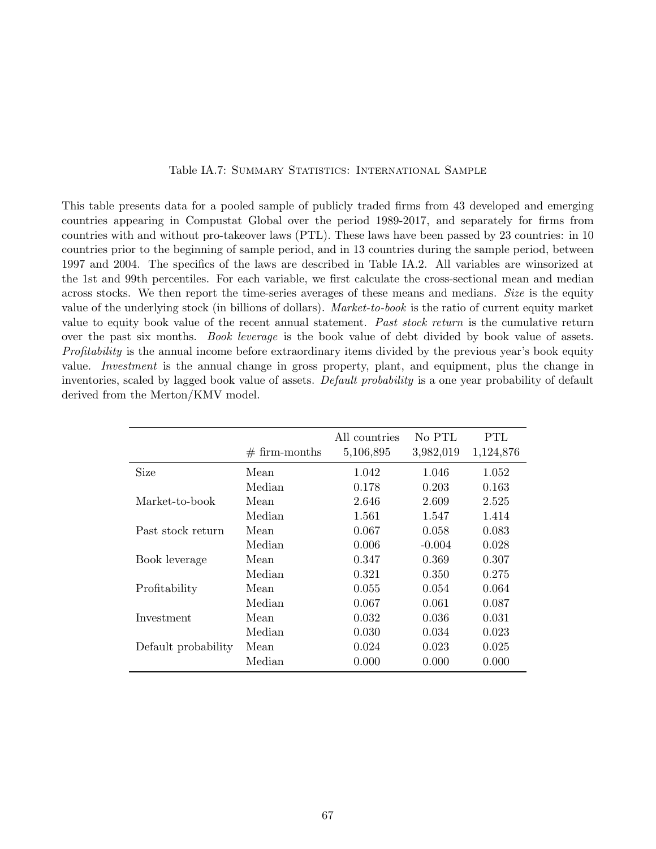### Table IA.7: SUMMARY STATISTICS: INTERNATIONAL SAMPLE

<span id="page-67-0"></span>This table presents data for a pooled sample of publicly traded firms from 43 developed and emerging countries appearing in Compustat Global over the period 1989-2017, and separately for firms from countries with and without pro-takeover laws (PTL). These laws have been passed by 23 countries: in 10 countries prior to the beginning of sample period, and in 13 countries during the sample period, between 1997 and 2004. The specifics of the laws are described in Table IA.2. All variables are winsorized at the 1st and 99th percentiles. For each variable, we first calculate the cross-sectional mean and median across stocks. We then report the time-series averages of these means and medians. Size is the equity value of the underlying stock (in billions of dollars). Market-to-book is the ratio of current equity market value to equity book value of the recent annual statement. Past stock return is the cumulative return over the past six months. Book leverage is the book value of debt divided by book value of assets. Profitability is the annual income before extraordinary items divided by the previous year's book equity value. Investment is the annual change in gross property, plant, and equipment, plus the change in inventories, scaled by lagged book value of assets. Default probability is a one year probability of default derived from the Merton/KMV model.

|                     | $# firm-months$ | All countries<br>5,106,895 | No PTL<br>3,982,019 | PTL<br>1,124,876 |
|---------------------|-----------------|----------------------------|---------------------|------------------|
| Size                | Mean            | 1.042                      | 1.046               | 1.052            |
|                     | Median          | 0.178                      | 0.203               | 0.163            |
| Market-to-book      | Mean            | 2.646                      | 2.609               | 2.525            |
|                     | Median          | 1.561                      | 1.547               | 1.414            |
| Past stock return   | Mean            | 0.067                      | 0.058               | 0.083            |
|                     | Median          | 0.006                      | $-0.004$            | 0.028            |
| Book leverage       | Mean            | 0.347                      | 0.369               | 0.307            |
|                     | Median          | 0.321                      | 0.350               | 0.275            |
| Profitability       | Mean            | 0.055                      | 0.054               | 0.064            |
|                     | Median          | 0.067                      | 0.061               | 0.087            |
| Investment          | Mean            | 0.032                      | 0.036               | 0.031            |
|                     | Median          | 0.030                      | 0.034               | 0.023            |
| Default probability | Mean            | 0.024                      | 0.023               | 0.025            |
|                     | Median          | 0.000                      | 0.000               | 0.000            |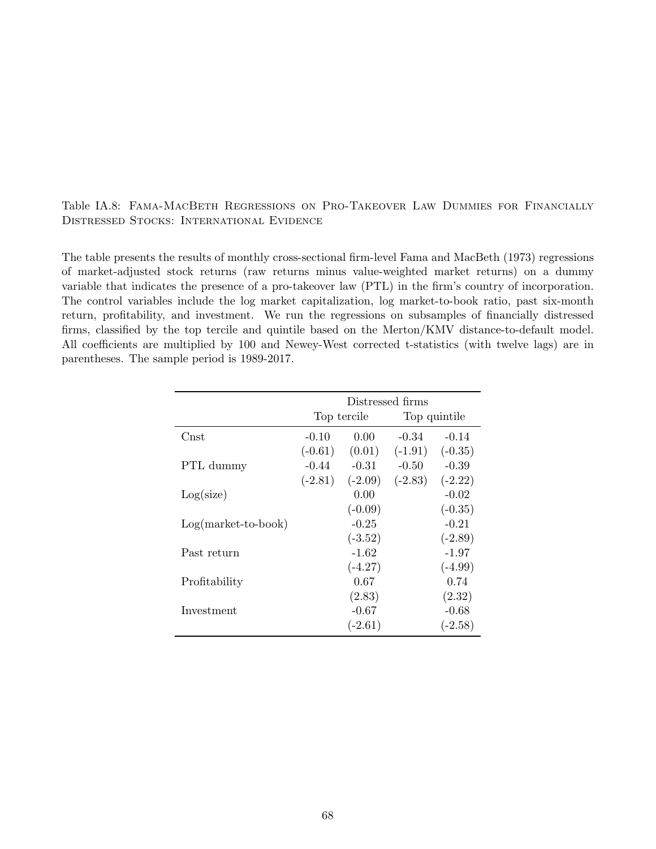### <span id="page-68-0"></span>Table IA.8: Fama-MacBeth Regressions on Pro-Takeover Law Dummies for Financially Distressed Stocks: International Evidence

The table presents the results of monthly cross-sectional firm-level Fama and MacBeth (1973) regressions of market-adjusted stock returns (raw returns minus value-weighted market returns) on a dummy variable that indicates the presence of a pro-takeover law (PTL) in the firm's country of incorporation. The control variables include the log market capitalization, log market-to-book ratio, past six-month return, profitability, and investment. We run the regressions on subsamples of financially distressed firms, classified by the top tercile and quintile based on the Merton/KMV distance-to-default model. All coefficients are multiplied by 100 and Newey-West corrected t-statistics (with twelve lags) are in parentheses. The sample period is 1989-2017.

|                       | Distressed firms |           |              |           |
|-----------------------|------------------|-----------|--------------|-----------|
|                       | Top tercile      |           | Top quintile |           |
| Cnst                  | $-0.10$          | 0.00      | $-0.34$      | $-0.14$   |
|                       | $(-0.61)$        | (0.01)    | $(-1.91)$    | $(-0.35)$ |
| PTL dummy             | $-0.44$          | $-0.31$   | $-0.50$      | $-0.39$   |
|                       | $(-2.81)$        | $(-2.09)$ | $(-2.83)$    | $(-2.22)$ |
| Log(size)             |                  | 0.00      |              | $-0.02$   |
|                       |                  | $(-0.09)$ |              | $(-0.35)$ |
| $Log(maxket-to-book)$ |                  | $-0.25$   |              | $-0.21$   |
|                       |                  | $(-3.52)$ |              | $(-2.89)$ |
| Past return           |                  | $-1.62$   |              | $-1.97$   |
|                       |                  | $(-4.27)$ |              | $(-4.99)$ |
| Profitability         |                  | 0.67      |              | 0.74      |
|                       |                  | (2.83)    |              | (2.32)    |
| Investment            |                  | $-0.67$   |              | $-0.68$   |
|                       |                  | $(-2.61)$ |              | $(-2.58)$ |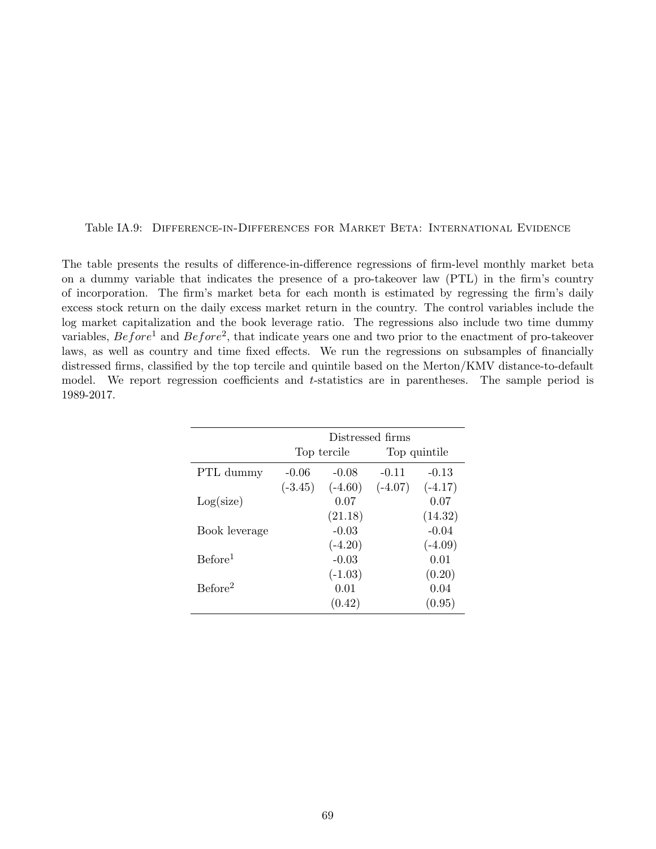<span id="page-69-0"></span>Table IA.9: Difference-in-Differences for Market Beta: International Evidence

The table presents the results of difference-in-difference regressions of firm-level monthly market beta on a dummy variable that indicates the presence of a pro-takeover law (PTL) in the firm's country of incorporation. The firm's market beta for each month is estimated by regressing the firm's daily excess stock return on the daily excess market return in the country. The control variables include the log market capitalization and the book leverage ratio. The regressions also include two time dummy variables,  $Before<sup>1</sup>$  and  $Before<sup>2</sup>$ , that indicate years one and two prior to the enactment of pro-takeover laws, as well as country and time fixed effects. We run the regressions on subsamples of financially distressed firms, classified by the top tercile and quintile based on the Merton/KMV distance-to-default model. We report regression coefficients and  $t$ -statistics are in parentheses. The sample period is 1989-2017.

|                     | Distressed firms |           |              |           |  |
|---------------------|------------------|-----------|--------------|-----------|--|
|                     | Top tercile      |           | Top quintile |           |  |
| PTL dummy           | $-0.06$          | $-0.08$   | $-0.11$      | $-0.13$   |  |
|                     | $(-3.45)$        | $(-4.60)$ | $(-4.07)$    | $(-4.17)$ |  |
| Log(size)           |                  | 0.07      |              | 0.07      |  |
|                     |                  | (21.18)   |              | (14.32)   |  |
| Book leverage       |                  | $-0.03$   |              | $-0.04$   |  |
|                     |                  | $(-4.20)$ |              | $(-4.09)$ |  |
| Before <sup>1</sup> |                  | $-0.03$   |              | 0.01      |  |
|                     |                  | $(-1.03)$ |              | (0.20)    |  |
| Before <sup>2</sup> |                  | 0.01      |              | 0.04      |  |
|                     |                  | (0.42)    |              | (0.95)    |  |